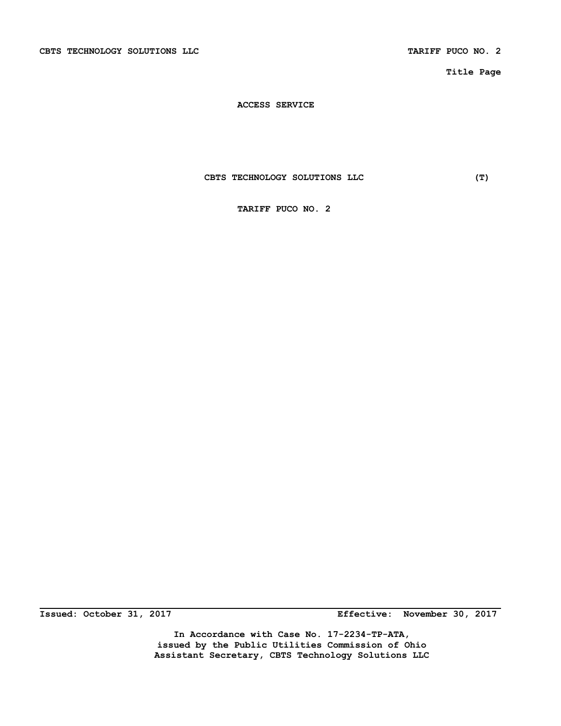CBTS TECHNOLOGY SOLUTIONS LLC **TARIFF PUCO NO. 2** 

**Title Page** 

 **ACCESS SERVICE** 

 **CBTS TECHNOLOGY SOLUTIONS LLC (T)** 

 **TARIFF PUCO NO. 2** 

**Issued: October 31, 2017 Effective: November 30, 2017** 

**In Accordance with Case No. 17-2234-TP-ATA, issued by the Public Utilities Commission of Ohio Assistant Secretary, CBTS Technology Solutions LLC**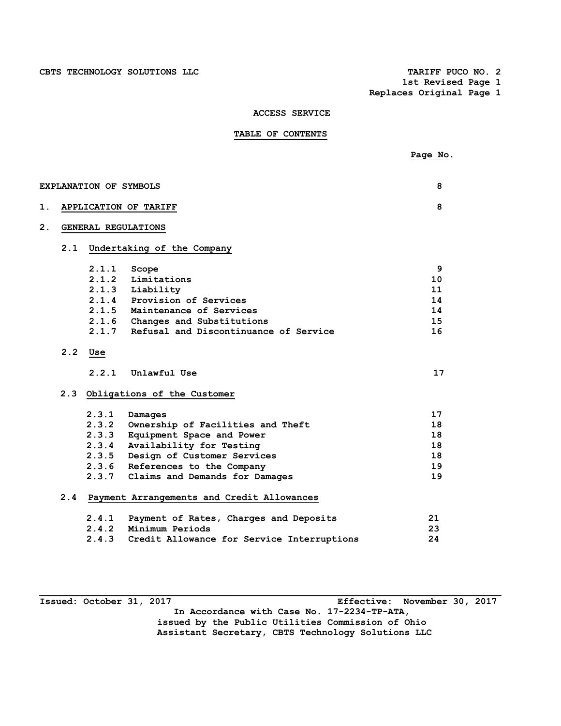**1st Revised Page 1 Replaces Original Page 1** 

# **ACCESS SERVICE**

# **TABLE OF CONTENTS**

|     |       |                                            | Page No. |
|-----|-------|--------------------------------------------|----------|
|     |       |                                            |          |
|     |       | <b>EXPLANATION OF SYMBOLS</b>              | 8        |
|     |       | APPLICATION OF TARIFF                      | 8        |
|     |       | GENERAL REGULATIONS                        |          |
| 2.1 |       | Undertaking of the Company                 |          |
|     | 2.1.1 | Scope                                      | 9        |
|     | 2.1.2 | Limitations                                | 10       |
|     | 2.1.3 | Liability                                  | 11       |
|     | 2.1.4 | Provision of Services                      | 14       |
|     |       | 2.1.5 Maintenance of Services              | 14       |
|     |       | 2.1.6 Changes and Substitutions            | 15       |
|     | 2.1.7 | Refusal and Discontinuance of Service      | 16       |
| 2.2 | Use   |                                            |          |
|     | 2.2.1 | Unlawful Use                               | 17       |
| 2.3 |       | Obligations of the Customer                |          |
|     | 2.3.1 | Damages                                    | 17       |
|     | 2.3.2 | Ownership of Facilities and Theft          | 18       |
|     | 2.3.3 | Equipment Space and Power                  | 18       |
|     | 2.3.4 | Availability for Testing                   | 18       |
|     | 2.3.5 | Design of Customer Services                | 18       |
|     |       | 2.3.6 References to the Company            | 19       |
|     |       | 2.3.7 Claims and Demands for Damages       | 19       |
| 2.4 |       | Payment Arrangements and Credit Allowances |          |
|     | 2.4.1 | Payment of Rates, Charges and Deposits     | 21       |
|     | 2.4.2 | Minimum Periods                            | 23       |
|     | 2.4.3 | Credit Allowance for Service Interruptions | 24       |

**Issued: October 31, 2017 Effective: November 30, 2017 In Accordance with Case No. 17-2234-TP-ATA, issued by the Public Utilities Commission of Ohio Assistant Secretary, CBTS Technology Solutions LLC**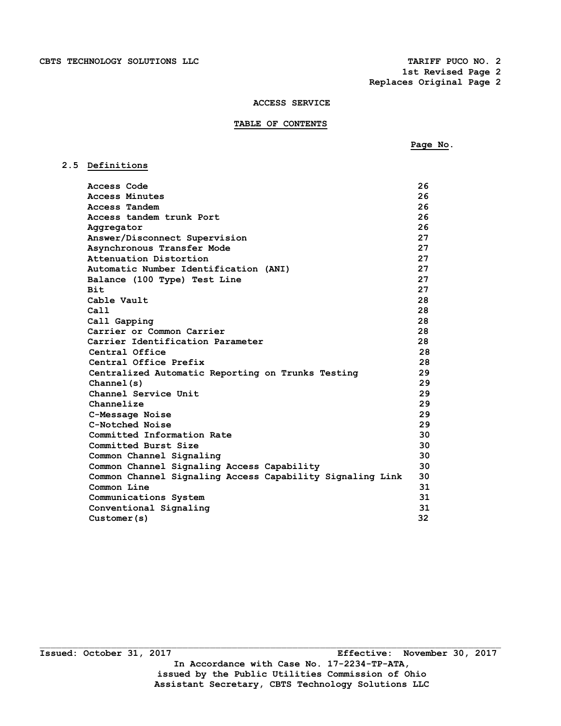**2.5 Definitions** 

 **1st Revised Page 2 Replaces Original Page 2** 

### **ACCESS SERVICE**

## **TABLE OF CONTENTS**

 $P_{\text{A}}$  **Page No.** 

 **Access Code 26 Access Minutes 26 Access Tandem 26 Access tandem trunk Port 26 Aggregator 26 Answer/Disconnect Supervision 27 Asynchronous Transfer Mode 27 Attenuation Distortion 27 Automatic Number Identification (ANI) 27 Balance (100 Type) Test Line 27 Bit** 27  **Cable Vault 28 Call** 28  **Call Gapping 28 Carrier or Common Carrier 28 Carrier Identification Parameter 28 Central Office 28 Central Office Prefix 28 Centralized Automatic Reporting on Trunks Testing 29 Channel(s) 29 Channel Service Unit 29 Channelize 29 C-Message Noise 29 C-Notched Noise 29 Committed Information Rate 30 Committed Burst Size 30** 30 **Common Channel Signaling 30 30 Common Channel Signaling Access Capability 30 Common Channel Signaling Access Capability Signaling Link 30 Common Line 31 Common Line Communications System 31 Conventional Signaling 31 Customer(s) 32**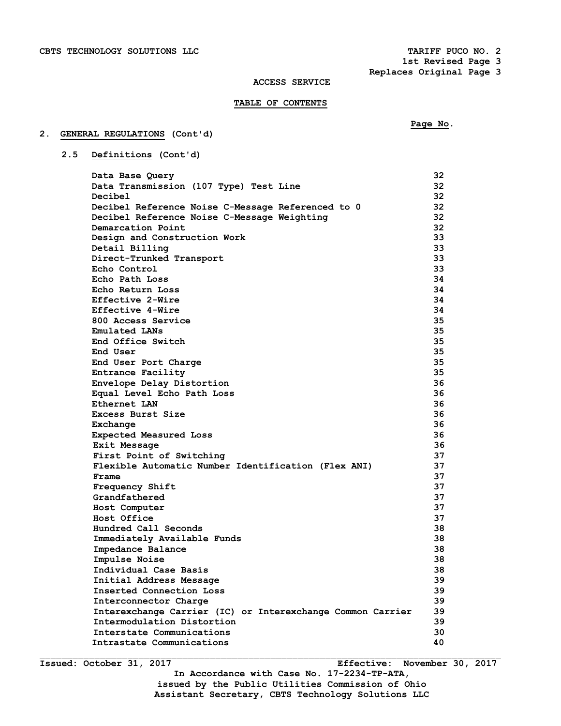**1st Revised Page 3 Replaces Original Page 3** 

### **ACCESS SERVICE**

## **TABLE OF CONTENTS**

# **Page No.**

# **2. GENERAL REGULATIONS (Cont'd)**

 **2.5 Definitions (Cont'd)** 

| Data Base Query                                            | 32 |
|------------------------------------------------------------|----|
| Data Transmission (107 Type) Test Line                     | 32 |
| Decibel                                                    | 32 |
| Decibel Reference Noise C-Message Referenced to 0          | 32 |
| Decibel Reference Noise C-Message Weighting                | 32 |
| Demarcation Point                                          | 32 |
| Design and Construction Work                               | 33 |
| Detail Billing                                             | 33 |
| Direct-Trunked Transport                                   | 33 |
| Echo Control                                               | 33 |
| Echo Path Loss                                             | 34 |
| Echo Return Loss                                           | 34 |
| Effective 2-Wire                                           | 34 |
| Effective 4-Wire                                           | 34 |
| 800 Access Service                                         | 35 |
| Emulated LANs                                              | 35 |
| End Office Switch                                          | 35 |
| End User                                                   | 35 |
| End User Port Charge                                       | 35 |
| Entrance Facility                                          | 35 |
| Envelope Delay Distortion                                  | 36 |
| Equal Level Echo Path Loss                                 | 36 |
| Ethernet LAN                                               | 36 |
| <b>Excess Burst Size</b>                                   | 36 |
| Exchange                                                   | 36 |
| Expected Measured Loss                                     | 36 |
| Exit Message                                               | 36 |
| First Point of Switching                                   | 37 |
| Flexible Automatic Number Identification (Flex ANI)        | 37 |
| Frame                                                      | 37 |
| Frequency Shift                                            | 37 |
| Grandfathered                                              | 37 |
| Host Computer                                              | 37 |
| Host Office                                                | 37 |
| Hundred Call Seconds                                       | 38 |
| Immediately Available Funds                                | 38 |
| Impedance Balance                                          | 38 |
| Impulse Noise                                              | 38 |
| Individual Case Basis                                      | 38 |
| Initial Address Message                                    | 39 |
| Inserted Connection Loss                                   | 39 |
| Interconnector Charge                                      | 39 |
| Interexchange Carrier (IC) or Interexchange Common Carrier | 39 |
| Intermodulation Distortion                                 | 39 |
| Interstate Communications                                  | 30 |
| Intrastate Communications                                  | 40 |
|                                                            |    |

**Issued: October 31, 2017 Effective: November 30, 2017 In Accordance with Case No. 17-2234-TP-ATA, issued by the Public Utilities Commission of Ohio Assistant Secretary, CBTS Technology Solutions LLC**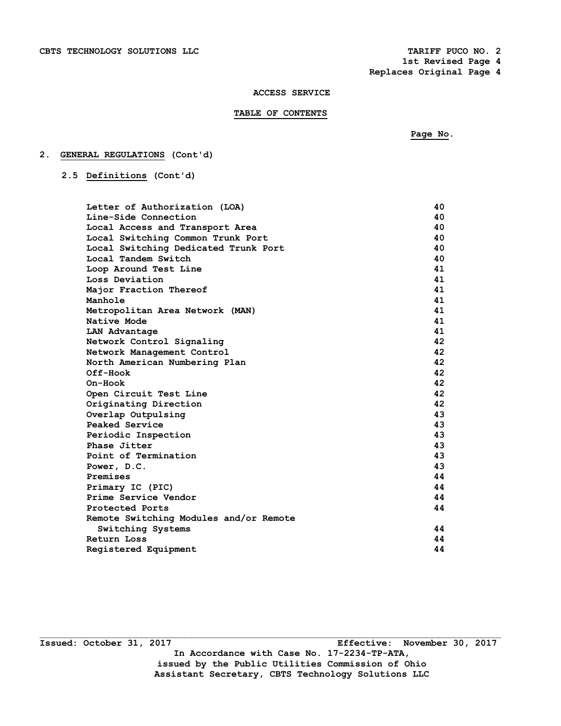## **TABLE OF CONTENTS**

 **Page No.** 

# **2. GENERAL REGULATIONS (Cont'd)**

 **2.5 Definitions (Cont'd)** 

| Letter of Authorization (LOA)          | 40. |
|----------------------------------------|-----|
| Line-Side Connection                   | 40  |
| Local Access and Transport Area        | 40  |
| Local Switching Common Trunk Port      | 40  |
| Local Switching Dedicated Trunk Port   | 40  |
| Local Tandem Switch                    | 40  |
| Loop Around Test Line                  | 41  |
| Loss Deviation                         | 41  |
| Major Fraction Thereof                 | 41  |
| Manhole                                | 41  |
| Metropolitan Area Network (MAN)        | 41  |
| Native Mode                            | 41  |
| LAN Advantage                          | 41  |
| Network Control Signaling              | 42  |
| Network Management Control             | 42  |
| North American Numbering Plan          | 42  |
| Off-Hook                               | 42  |
| $On-Hook$                              | 42  |
| Open Circuit Test Line                 | 42  |
| Originating Direction                  | 42  |
| Overlap Outpulsing                     | 43  |
| Peaked Service                         | 43  |
| Periodic Inspection                    | 43  |
| Phase Jitter                           | 43  |
| Point of Termination                   | 43  |
| Power, D.C.                            | 43  |
| Premises                               | 44  |
| Primary IC (PIC)                       | 44  |
| Prime Service Vendor                   | 44  |
| Protected Ports                        | 44  |
| Remote Switching Modules and/or Remote |     |
| Switching Systems                      | 44  |
| Return Loss                            | 44  |
| Registered Equipment                   | 44  |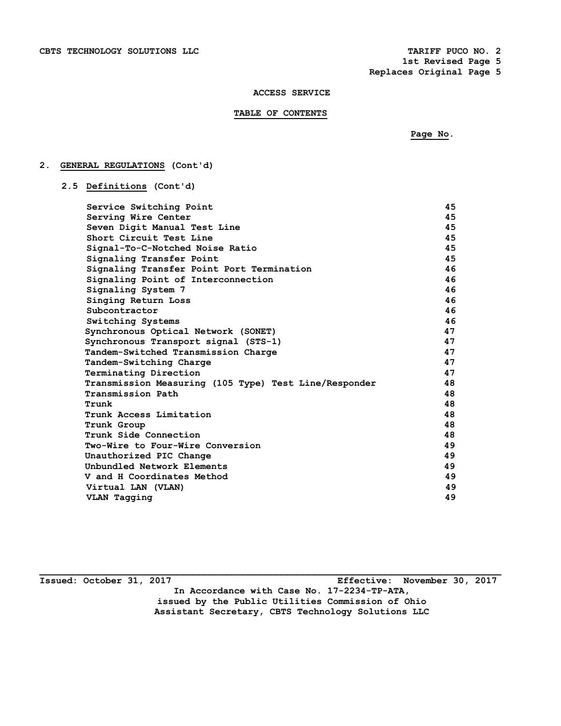## **TABLE OF CONTENTS**

 **Page No.** 

# **2. GENERAL REGULATIONS (Cont'd)**

 **2.5 Definitions (Cont'd)** 

| Service Switching Point                               | 45 |
|-------------------------------------------------------|----|
| Serving Wire Center                                   | 45 |
| Seven Digit Manual Test Line                          | 45 |
| Short Circuit Test Line                               | 45 |
| Signal-To-C-Notched Noise Ratio                       | 45 |
| Signaling Transfer Point                              | 45 |
| Signaling Transfer Point Port Termination             | 46 |
| Signaling Point of Interconnection                    | 46 |
| Signaling System 7                                    | 46 |
| Singing Return Loss                                   | 46 |
| Subcontractor                                         | 46 |
| Switching Systems                                     | 46 |
| Synchronous Optical Network (SONET)                   | 47 |
| Synchronous Transport signal (STS-1)                  | 47 |
| Tandem-Switched Transmission Charge                   | 47 |
| Tandem-Switching Charge                               | 47 |
| Terminating Direction                                 | 47 |
| Transmission Measuring (105 Type) Test Line/Responder | 48 |
| Transmission Path                                     | 48 |
| Trunk                                                 | 48 |
| Trunk Access Limitation                               | 48 |
| Trunk Group                                           | 48 |
| Trunk Side Connection                                 | 48 |
| Two-Wire to Four-Wire Conversion                      | 49 |
| Unauthorized PIC Change                               | 49 |
| Unbundled Network Elements                            | 49 |
| V and H Coordinates Method                            | 49 |
| Virtual LAN (VLAN)                                    | 49 |
| VLAN Tagging                                          | 49 |
|                                                       |    |

**Issued: October 31, 2017 Effective: November 30, 2017 In Accordance with Case No. 17-2234-TP-ATA, issued by the Public Utilities Commission of Ohio Assistant Secretary, CBTS Technology Solutions LLC**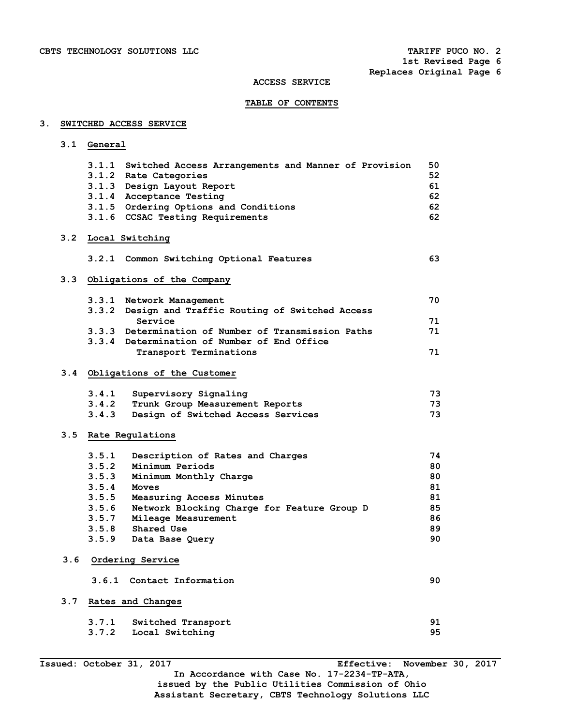# **TABLE OF CONTENTS**

# **3. SWITCHED ACCESS SERVICE**

 **3.1 General** 

|     |       | 3.1.1 Switched Access Arrangements and Manner of Provision     | 50 |
|-----|-------|----------------------------------------------------------------|----|
|     |       | 3.1.2 Rate Categories                                          | 52 |
|     |       | 3.1.3 Design Layout Report                                     | 61 |
|     |       | 3.1.4 Acceptance Testing                                       | 62 |
|     |       | 3.1.5 Ordering Options and Conditions                          | 62 |
|     |       | 3.1.6 CCSAC Testing Requirements                               | 62 |
|     |       | 3.2 Local Switching                                            |    |
|     |       | 3.2.1 Common Switching Optional Features                       | 63 |
|     |       | 3.3 Obligations of the Company                                 |    |
|     |       | 3.3.1 Network Management                                       | 70 |
|     |       | 3.3.2 Design and Traffic Routing of Switched Access            | 71 |
|     |       | Service<br>3.3.3 Determination of Number of Transmission Paths | 71 |
|     |       | 3.3.4 Determination of Number of End Office                    |    |
|     |       | Transport Terminations                                         | 71 |
|     |       |                                                                |    |
|     |       | 3.4 Obligations of the Customer                                |    |
|     | 3.4.1 | Supervisory Signaling                                          | 73 |
|     | 3.4.2 | Trunk Group Measurement Reports                                | 73 |
|     | 3.4.3 | Design of Switched Access Services                             | 73 |
|     |       | 3.5 Rate Regulations                                           |    |
|     | 3.5.1 | Description of Rates and Charges                               | 74 |
|     | 3.5.2 | Minimum Periods                                                | 80 |
|     | 3.5.3 | Minimum Monthly Charge                                         | 80 |
|     | 3.5.4 | Moves                                                          | 81 |
|     | 3.5.5 | Measuring Access Minutes                                       | 81 |
|     |       | 3.5.6 Network Blocking Charge for Feature Group D              | 85 |
|     |       | 3.5.7 Mileage Measurement                                      | 86 |
|     | 3.5.8 | Shared Use                                                     | 89 |
|     |       | 3.5.9 Data Base Query                                          | 90 |
| 3.6 |       | Ordering Service                                               |    |
|     |       | 3.6.1 Contact Information                                      | 90 |
| 3.7 |       | Rates and Changes                                              |    |
|     | 3.7.1 | Switched Transport                                             | 91 |
|     | 3.7.2 | Local Switching                                                | 95 |

**In Accordance with Case No. 17-2234-TP-ATA, issued by the Public Utilities Commission of Ohio Assistant Secretary, CBTS Technology Solutions LLC**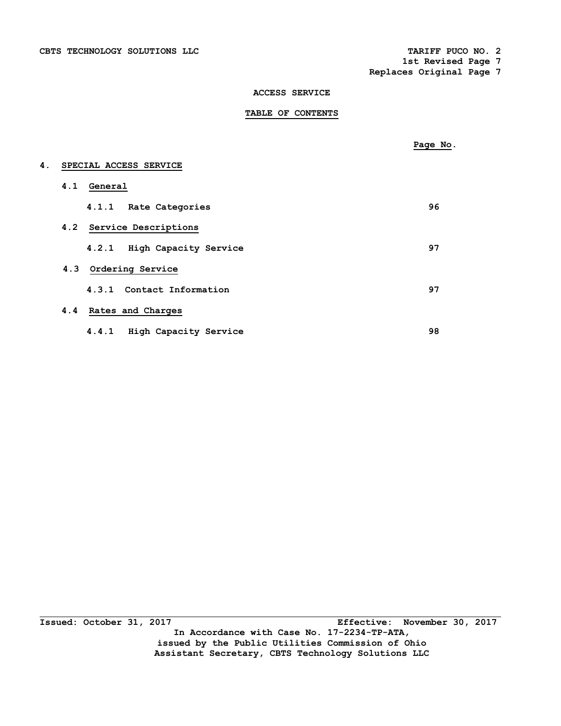# **TABLE OF CONTENTS**

|    |                             | Page No. |
|----|-----------------------------|----------|
| 4. | SPECIAL ACCESS SERVICE      |          |
|    | 4.1 General                 |          |
|    | 4.1.1 Rate Categories       | 96       |
|    | 4.2 Service Descriptions    |          |
|    | 4.2.1 High Capacity Service | 97       |
|    | 4.3 Ordering Service        |          |
|    | 4.3.1 Contact Information   | 97       |
|    | 4.4 Rates and Charges       |          |
|    | 4.4.1 High Capacity Service | 98       |

**Issued: October 31, 2017** Effective: November 30, 2017 **In Accordance with Case No. 17-2234-TP-ATA, issued by the Public Utilities Commission of Ohio Assistant Secretary, CBTS Technology Solutions LLC**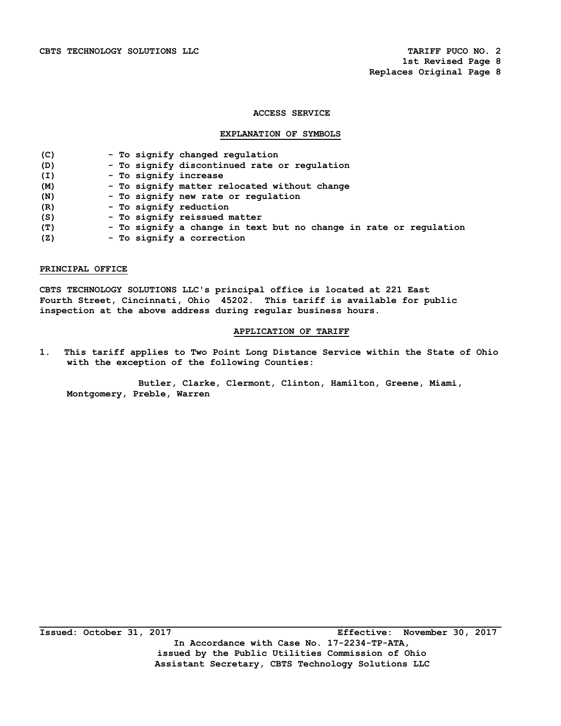## **EXPLANATION OF SYMBOLS**

| (C) | - To signify changed regulation                                   |
|-----|-------------------------------------------------------------------|
| (D) | - To signify discontinued rate or regulation                      |
| (I) | - To signify increase                                             |
| (M) | - To signify matter relocated without change                      |
| (N) | - To signify new rate or regulation                               |
| (R) | - To signify reduction                                            |
| (S) | - To signify reissued matter                                      |
| (T) | - To signify a change in text but no change in rate or regulation |
| (Z) | - To signify a correction                                         |

## **PRINCIPAL OFFICE**

**CBTS TECHNOLOGY SOLUTIONS LLC's principal office is located at 221 East Fourth Street, Cincinnati, Ohio 45202. This tariff is available for public inspection at the above address during regular business hours.** 

# **APPLICATION OF TARIFF**

**1. This tariff applies to Two Point Long Distance Service within the State of Ohio with the exception of the following Counties:** 

 **Butler, Clarke, Clermont, Clinton, Hamilton, Greene, Miami, Montgomery, Preble, Warren**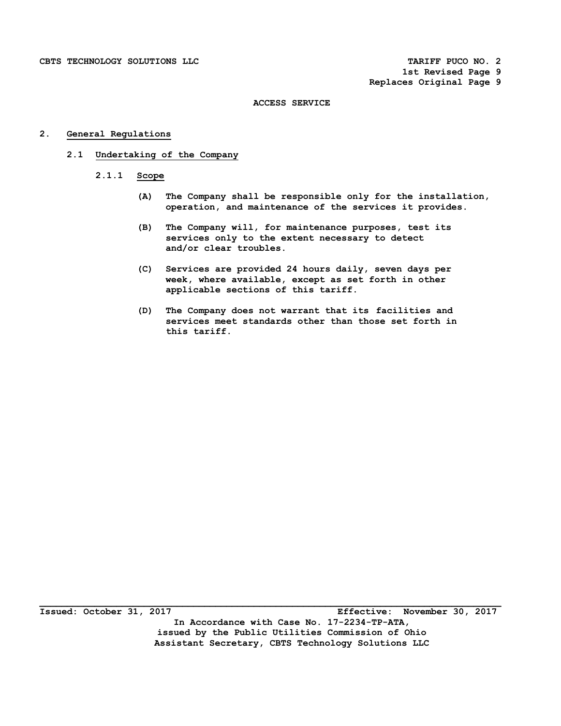# **2. General Regulations**

# **2.1 Undertaking of the Company**

- **2.1.1 Scope** 
	- **(A) The Company shall be responsible only for the installation, operation, and maintenance of the services it provides.**
	- **(B) The Company will, for maintenance purposes, test its services only to the extent necessary to detect and/or clear troubles.**
	- **(C) Services are provided 24 hours daily, seven days per week, where available, except as set forth in other applicable sections of this tariff.**
	- **(D) The Company does not warrant that its facilities and services meet standards other than those set forth in this tariff.**

**Issued: October 31, 2017 Effective: November 30, 2017 In Accordance with Case No. 17-2234-TP-ATA, issued by the Public Utilities Commission of Ohio Assistant Secretary, CBTS Technology Solutions LLC**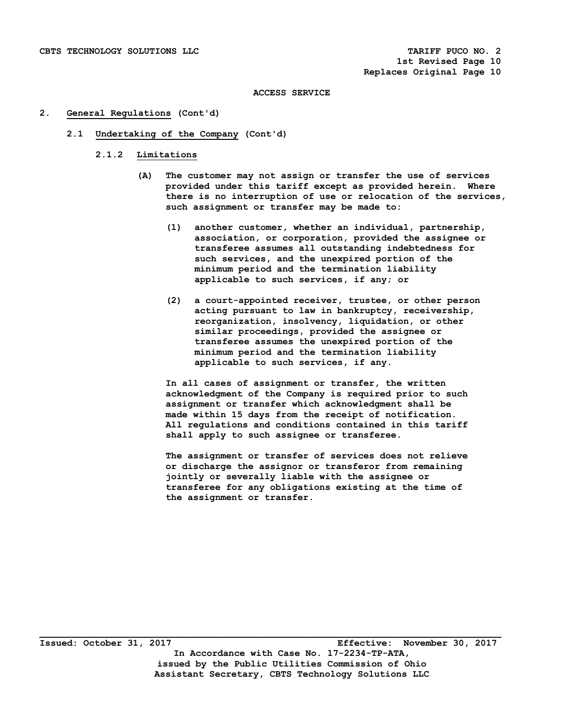## **2. General Regulations (Cont'd)**

### **2.1 Undertaking of the Company (Cont'd)**

## **2.1.2 Limitations**

- **(A) The customer may not assign or transfer the use of services provided under this tariff except as provided herein. Where there is no interruption of use or relocation of the services, such assignment or transfer may be made to:** 
	- **(1) another customer, whether an individual, partnership, association, or corporation, provided the assignee or transferee assumes all outstanding indebtedness for such services, and the unexpired portion of the minimum period and the termination liability applicable to such services, if any; or**
	- **(2) a court-appointed receiver, trustee, or other person acting pursuant to law in bankruptcy, receivership, reorganization, insolvency, liquidation, or other similar proceedings, provided the assignee or transferee assumes the unexpired portion of the minimum period and the termination liability applicable to such services, if any.**

 **In all cases of assignment or transfer, the written acknowledgment of the Company is required prior to such assignment or transfer which acknowledgment shall be made within 15 days from the receipt of notification. All regulations and conditions contained in this tariff shall apply to such assignee or transferee.** 

 **The assignment or transfer of services does not relieve or discharge the assignor or transferor from remaining jointly or severally liable with the assignee or transferee for any obligations existing at the time of the assignment or transfer.**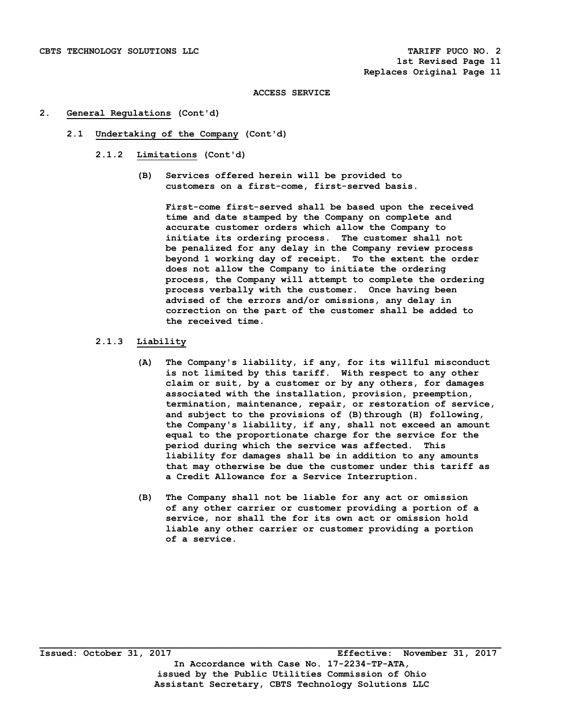## **2. General Regulations (Cont'd)**

- **2.1 Undertaking of the Company (Cont'd)** 
	- **2.1.2 Limitations (Cont'd)** 
		- **(B) Services offered herein will be provided to customers on a first-come, first-served basis.**

 **First-come first-served shall be based upon the received time and date stamped by the Company on complete and accurate customer orders which allow the Company to initiate its ordering process. The customer shall not be penalized for any delay in the Company review process beyond 1 working day of receipt. To the extent the order does not allow the Company to initiate the ordering process, the Company will attempt to complete the ordering process verbally with the customer. Once having been advised of the errors and/or omissions, any delay in correction on the part of the customer shall be added to the received time.** 

# **2.1.3 Liability**

- **(A) The Company's liability, if any, for its willful misconduct is not limited by this tariff. With respect to any other claim or suit, by a customer or by any others, for damages associated with the installation, provision, preemption, termination, maintenance, repair, or restoration of service,**  and subject to the provisions of (B) through (H) following,  **the Company's liability, if any, shall not exceed an amount equal to the proportionate charge for the service for the period during which the service was affected. This liability for damages shall be in addition to any amounts that may otherwise be due the customer under this tariff as a Credit Allowance for a Service Interruption.**
- **(B) The Company shall not be liable for any act or omission of any other carrier or customer providing a portion of a service, nor shall the for its own act or omission hold liable any other carrier or customer providing a portion of a service.**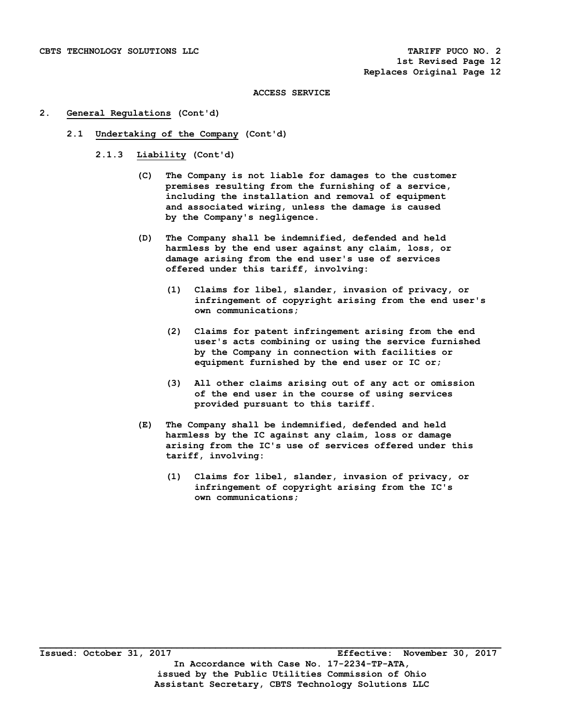## **2. General Regulations (Cont'd)**

- **2.1 Undertaking of the Company (Cont'd)** 
	- **2.1.3 Liability (Cont'd)** 
		- **(C) The Company is not liable for damages to the customer premises resulting from the furnishing of a service, including the installation and removal of equipment and associated wiring, unless the damage is caused by the Company's negligence.**
		- **(D) The Company shall be indemnified, defended and held harmless by the end user against any claim, loss, or damage arising from the end user's use of services offered under this tariff, involving:** 
			- **(1) Claims for libel, slander, invasion of privacy, or infringement of copyright arising from the end user's own communications;**
			- **(2) Claims for patent infringement arising from the end user's acts combining or using the service furnished by the Company in connection with facilities or equipment furnished by the end user or IC or;**
			- **(3) All other claims arising out of any act or omission of the end user in the course of using services provided pursuant to this tariff.**
		- **(E) The Company shall be indemnified, defended and held harmless by the IC against any claim, loss or damage arising from the IC's use of services offered under this tariff, involving:** 
			- **(1) Claims for libel, slander, invasion of privacy, or infringement of copyright arising from the IC's own communications;**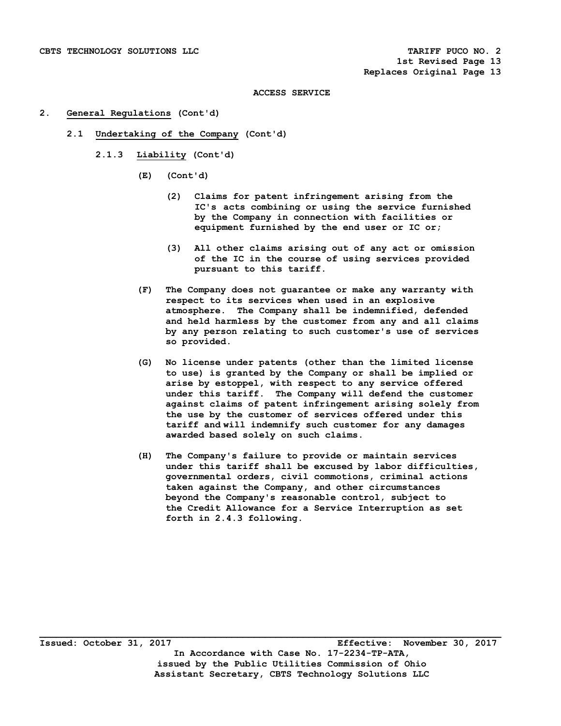## **2. General Regulations (Cont'd)**

- **2.1 Undertaking of the Company (Cont'd)** 
	- **2.1.3 Liability (Cont'd)** 
		- **(E) (Cont'd)** 
			- **(2) Claims for patent infringement arising from the IC's acts combining or using the service furnished by the Company in connection with facilities or equipment furnished by the end user or IC or;**
			- **(3) All other claims arising out of any act or omission of the IC in the course of using services provided pursuant to this tariff.**
		- **(F) The Company does not guarantee or make any warranty with respect to its services when used in an explosive atmosphere. The Company shall be indemnified, defended and held harmless by the customer from any and all claims by any person relating to such customer's use of services so provided.**
		- **(G) No license under patents (other than the limited license to use) is granted by the Company or shall be implied or arise by estoppel, with respect to any service offered under this tariff. The Company will defend the customer against claims of patent infringement arising solely from the use by the customer of services offered under this tariff and will indemnify such customer for any damages awarded based solely on such claims.**
		- **(H) The Company's failure to provide or maintain services under this tariff shall be excused by labor difficulties, governmental orders, civil commotions, criminal actions taken against the Company, and other circumstances beyond the Company's reasonable control, subject to the Credit Allowance for a Service Interruption as set forth in 2.4.3 following.**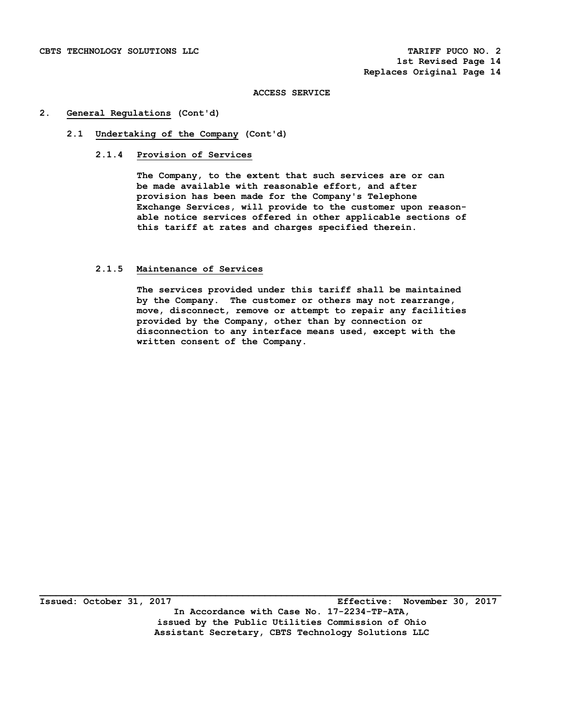# **2. General Regulations (Cont'd)**

# **2.1 Undertaking of the Company (Cont'd)**

## **2.1.4 Provision of Services**

 **The Company, to the extent that such services are or can be made available with reasonable effort, and after provision has been made for the Company's Telephone Exchange Services, will provide to the customer upon reason able notice services offered in other applicable sections of this tariff at rates and charges specified therein.** 

## **2.1.5 Maintenance of Services**

 **The services provided under this tariff shall be maintained by the Company. The customer or others may not rearrange, move, disconnect, remove or attempt to repair any facilities provided by the Company, other than by connection or disconnection to any interface means used, except with the written consent of the Company.**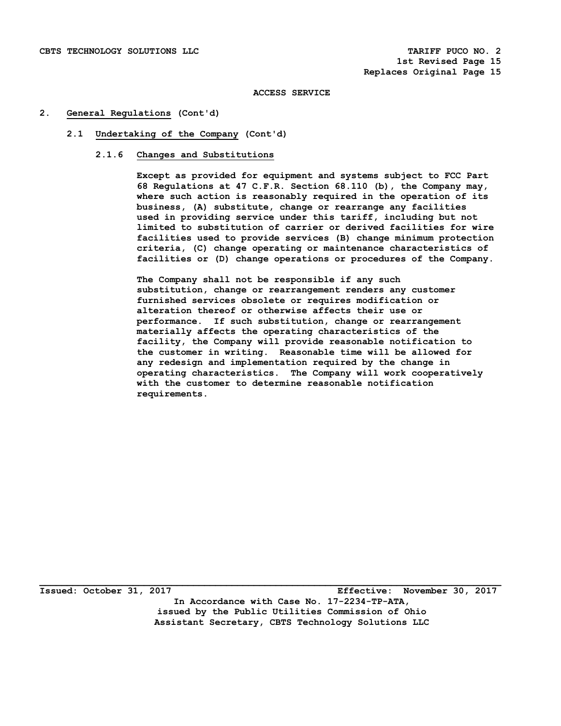## **2. General Regulations (Cont'd)**

## **2.1 Undertaking of the Company (Cont'd)**

## **2.1.6 Changes and Substitutions**

 **Except as provided for equipment and systems subject to FCC Part 68 Regulations at 47 C.F.R. Section 68.110 (b), the Company may, where such action is reasonably required in the operation of its business, (A) substitute, change or rearrange any facilities used in providing service under this tariff, including but not limited to substitution of carrier or derived facilities for wire facilities used to provide services (B) change minimum protection criteria, (C) change operating or maintenance characteristics of facilities or (D) change operations or procedures of the Company.** 

**The Company shall not be responsible if any such substitution, change or rearrangement renders any customer furnished services obsolete or requires modification or alteration thereof or otherwise affects their use or performance. If such substitution, change or rearrangement materially affects the operating characteristics of the facility, the Company will provide reasonable notification to the customer in writing. Reasonable time will be allowed for any redesign and implementation required by the change in operating characteristics. The Company will work cooperatively with the customer to determine reasonable notification requirements.**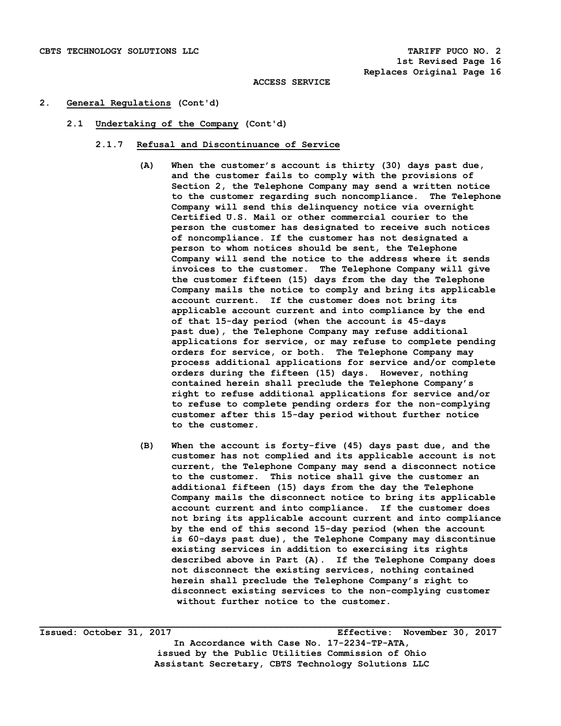## **2. General Regulations (Cont'd)**

 **2.1 Undertaking of the Company (Cont'd)** 

### **2.1.7 Refusal and Discontinuance of Service**

- **(A) When the customer's account is thirty (30) days past due, and the customer fails to comply with the provisions of Section 2, the Telephone Company may send a written notice to the customer regarding such noncompliance. The Telephone Company will send this delinquency notice via overnight Certified U.S. Mail or other commercial courier to the person the customer has designated to receive such notices of noncompliance. If the customer has not designated a person to whom notices should be sent, the Telephone Company will send the notice to the address where it sends invoices to the customer. The Telephone Company will give the customer fifteen (15) days from the day the Telephone Company mails the notice to comply and bring its applicable account current. If the customer does not bring its applicable account current and into compliance by the end of that 15-day period (when the account is 45-days past due), the Telephone Company may refuse additional applications for service, or may refuse to complete pending orders for service, or both. The Telephone Company may process additional applications for service and/or complete orders during the fifteen (15) days. However, nothing contained herein shall preclude the Telephone Company's right to refuse additional applications for service and/or to refuse to complete pending orders for the non-complying customer after this 15-day period without further notice to the customer.**
- **(B) When the account is forty-five (45) days past due, and the customer has not complied and its applicable account is not current, the Telephone Company may send a disconnect notice to the customer. This notice shall give the customer an additional fifteen (15) days from the day the Telephone Company mails the disconnect notice to bring its applicable account current and into compliance. If the customer does not bring its applicable account current and into compliance by the end of this second 15-day period (when the account is 60-days past due), the Telephone Company may discontinue existing services in addition to exercising its rights described above in Part (A). If the Telephone Company does not disconnect the existing services, nothing contained herein shall preclude the Telephone Company's right to disconnect existing services to the non-complying customer without further notice to the customer.**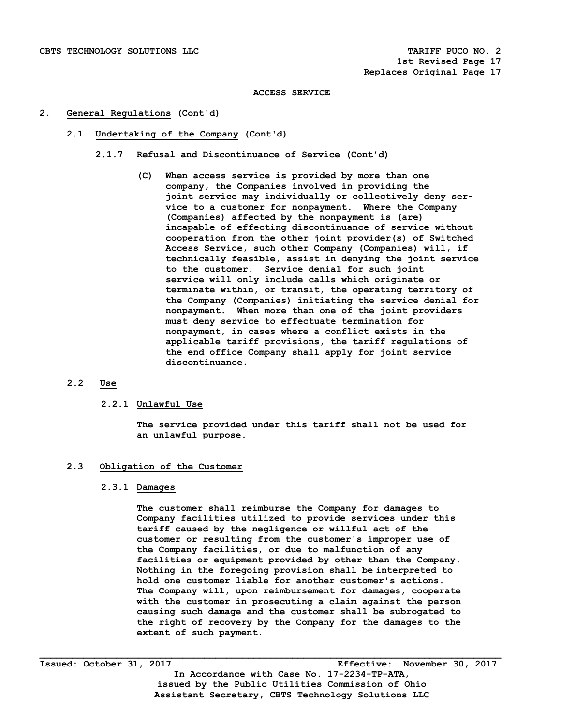## **2. General Regulations (Cont'd)**

- **2.1 Undertaking of the Company (Cont'd)** 
	- **2.1.7 Refusal and Discontinuance of Service (Cont'd)** 
		- **(C) When access service is provided by more than one company, the Companies involved in providing the joint service may individually or collectively deny ser vice to a customer for nonpayment. Where the Company (Companies) affected by the nonpayment is (are) incapable of effecting discontinuance of service without cooperation from the other joint provider(s) of Switched Access Service, such other Company (Companies) will, if technically feasible, assist in denying the joint service to the customer. Service denial for such joint service will only include calls which originate or terminate within, or transit, the operating territory of the Company (Companies) initiating the service denial for nonpayment. When more than one of the joint providers must deny service to effectuate termination for nonpayment, in cases where a conflict exists in the applicable tariff provisions, the tariff regulations of the end office Company shall apply for joint service discontinuance.**

# **2.2 Use**

# **2.2.1 Unlawful Use**

 **The service provided under this tariff shall not be used for an unlawful purpose.** 

### **2.3 Obligation of the Customer**

### **2.3.1 Damages**

 **The customer shall reimburse the Company for damages to Company facilities utilized to provide services under this tariff caused by the negligence or willful act of the customer or resulting from the customer's improper use of the Company facilities, or due to malfunction of any facilities or equipment provided by other than the Company. Nothing in the foregoing provision shall be interpreted to hold one customer liable for another customer's actions. The Company will, upon reimbursement for damages, cooperate with the customer in prosecuting a claim against the person causing such damage and the customer shall be subrogated to the right of recovery by the Company for the damages to the extent of such payment.**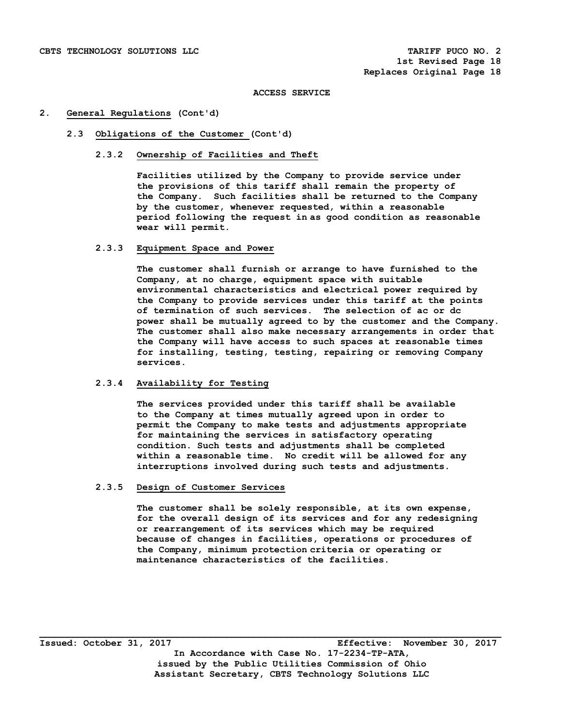## **2. General Regulations (Cont'd)**

## **2.3 Obligations of the Customer (Cont'd)**

## **2.3.2 Ownership of Facilities and Theft**

 **Facilities utilized by the Company to provide service under the provisions of this tariff shall remain the property of the Company. Such facilities shall be returned to the Company by the customer, whenever requested, within a reasonable period following the request in as good condition as reasonable wear will permit.** 

# **2.3.3 Equipment Space and Power**

 **The customer shall furnish or arrange to have furnished to the Company, at no charge, equipment space with suitable environmental characteristics and electrical power required by the Company to provide services under this tariff at the points of termination of such services. The selection of ac or dc power shall be mutually agreed to by the customer and the Company. The customer shall also make necessary arrangements in order that the Company will have access to such spaces at reasonable times for installing, testing, testing, repairing or removing Company services.** 

# **2.3.4 Availability for Testing**

 **The services provided under this tariff shall be available to the Company at times mutually agreed upon in order to permit the Company to make tests and adjustments appropriate for maintaining the services in satisfactory operating condition. Such tests and adjustments shall be completed within a reasonable time. No credit will be allowed for any interruptions involved during such tests and adjustments.** 

### **2.3.5 Design of Customer Services**

 **The customer shall be solely responsible, at its own expense, for the overall design of its services and for any redesigning or rearrangement of its services which may be required because of changes in facilities, operations or procedures of the Company, minimum protection criteria or operating or maintenance characteristics of the facilities.**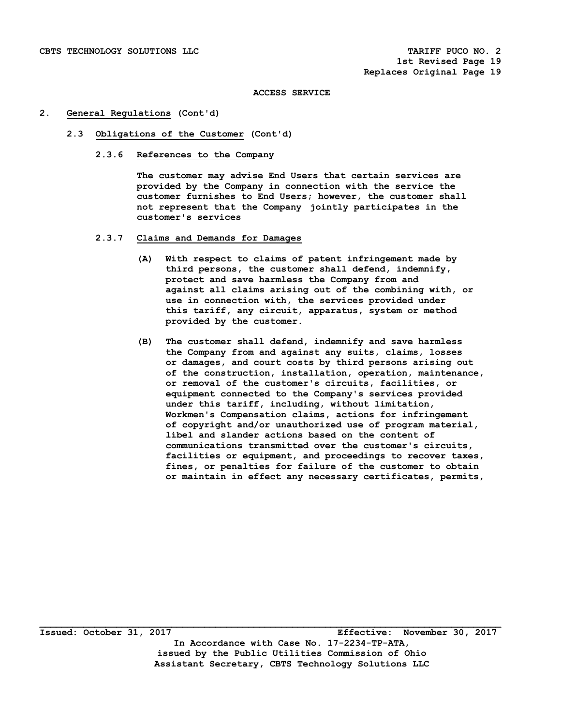## **2. General Regulations (Cont'd)**

## **2.3 Obligations of the Customer (Cont'd)**

 **2.3.6 References to the Company** 

 **The customer may advise End Users that certain services are provided by the Company in connection with the service the customer furnishes to End Users; however, the customer shall not represent that the Company jointly participates in the customer's services** 

- **2.3.7 Claims and Demands for Damages** 
	- **(A) With respect to claims of patent infringement made by third persons, the customer shall defend, indemnify, protect and save harmless the Company from and against all claims arising out of the combining with, or use in connection with, the services provided under this tariff, any circuit, apparatus, system or method provided by the customer.**
	- **(B) The customer shall defend, indemnify and save harmless the Company from and against any suits, claims, losses or damages, and court costs by third persons arising out of the construction, installation, operation, maintenance, or removal of the customer's circuits, facilities, or equipment connected to the Company's services provided under this tariff, including, without limitation, Workmen's Compensation claims, actions for infringement of copyright and/or unauthorized use of program material, libel and slander actions based on the content of communications transmitted over the customer's circuits, facilities or equipment, and proceedings to recover taxes, fines, or penalties for failure of the customer to obtain or maintain in effect any necessary certificates, permits,**

**Issued: October 31, 2017 Effective: November 30, 2017 In Accordance with Case No. 17-2234-TP-ATA, issued by the Public Utilities Commission of Ohio Assistant Secretary, CBTS Technology Solutions LLC**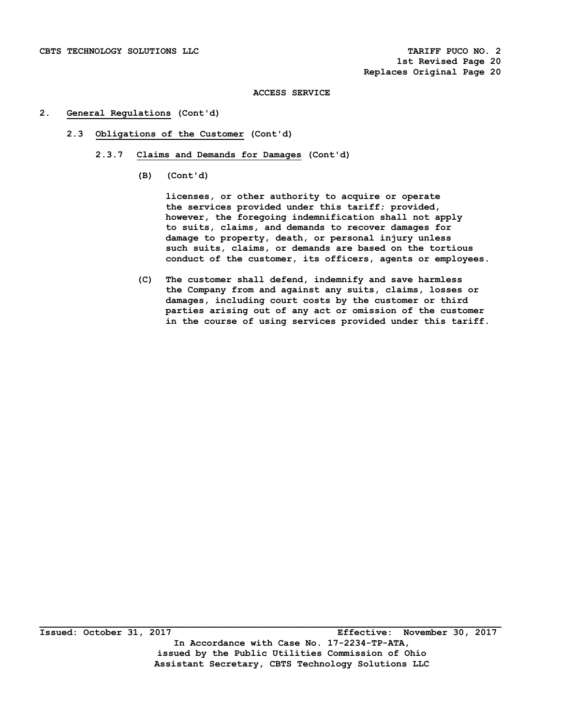## **2. General Regulations (Cont'd)**

- **2.3 Obligations of the Customer (Cont'd)** 
	- **2.3.7 Claims and Demands for Damages (Cont'd)** 
		- **(B) (Cont'd)**

 **licenses, or other authority to acquire or operate the services provided under this tariff; provided, however, the foregoing indemnification shall not apply to suits, claims, and demands to recover damages for damage to property, death, or personal injury unless such suits, claims, or demands are based on the tortious conduct of the customer, its officers, agents or employees.** 

 **(C) The customer shall defend, indemnify and save harmless the Company from and against any suits, claims, losses or damages, including court costs by the customer or third parties arising out of any act or omission of the customer in the course of using services provided under this tariff.**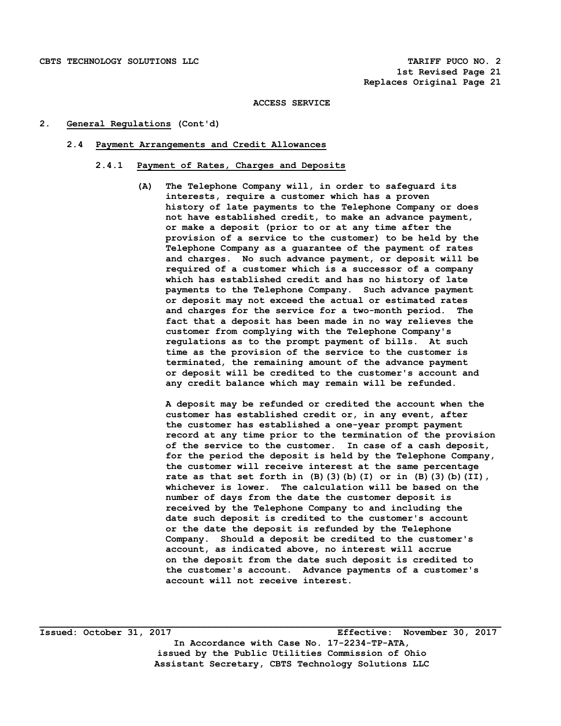## **2. General Regulations (Cont'd)**

### **2.4 Payment Arrangements and Credit Allowances**

# **2.4.1 Payment of Rates, Charges and Deposits**

 **(A) The Telephone Company will, in order to safeguard its interests, require a customer which has a proven history of late payments to the Telephone Company or does not have established credit, to make an advance payment, or make a deposit (prior to or at any time after the provision of a service to the customer) to be held by the Telephone Company as a guarantee of the payment of rates and charges. No such advance payment, or deposit will be required of a customer which is a successor of a company which has established credit and has no history of late payments to the Telephone Company. Such advance payment or deposit may not exceed the actual or estimated rates and charges for the service for a two-month period. The fact that a deposit has been made in no way relieves the customer from complying with the Telephone Company's regulations as to the prompt payment of bills. At such time as the provision of the service to the customer is terminated, the remaining amount of the advance payment or deposit will be credited to the customer's account and any credit balance which may remain will be refunded.** 

 **A deposit may be refunded or credited the account when the customer has established credit or, in any event, after the customer has established a one-year prompt payment record at any time prior to the termination of the provision of the service to the customer. In case of a cash deposit, for the period the deposit is held by the Telephone Company, the customer will receive interest at the same percentage rate as that set forth in (B)(3)(b)(I) or in (B)(3)(b)(II), whichever is lower. The calculation will be based on the number of days from the date the customer deposit is received by the Telephone Company to and including the date such deposit is credited to the customer's account or the date the deposit is refunded by the Telephone Company. Should a deposit be credited to the customer's account, as indicated above, no interest will accrue on the deposit from the date such deposit is credited to the customer's account. Advance payments of a customer's account will not receive interest.**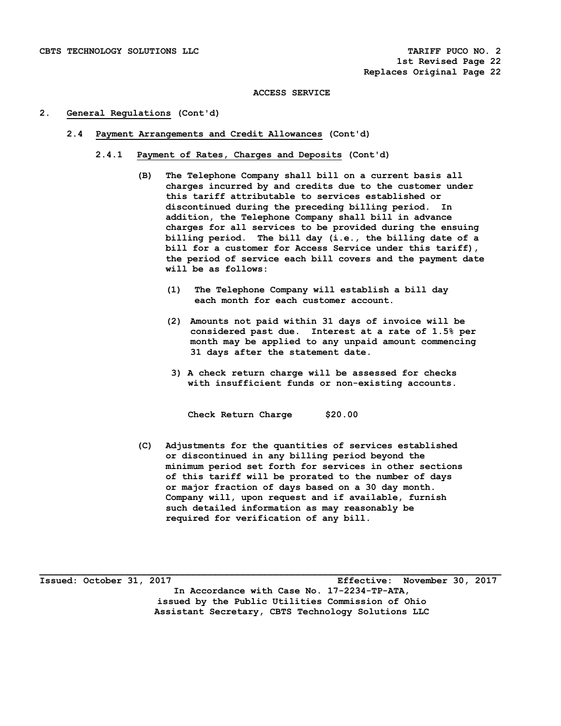## **2. General Regulations (Cont'd)**

- **2.4 Payment Arrangements and Credit Allowances (Cont'd)** 
	- **2.4.1 Payment of Rates, Charges and Deposits (Cont'd)** 
		- **(B) The Telephone Company shall bill on a current basis all charges incurred by and credits due to the customer under this tariff attributable to services established or discontinued during the preceding billing period. In addition, the Telephone Company shall bill in advance charges for all services to be provided during the ensuing billing period. The bill day (i.e., the billing date of a bill for a customer for Access Service under this tariff), the period of service each bill covers and the payment date will be as follows:** 
			- **(1) The Telephone Company will establish a bill day each month for each customer account.**
			- **(2) Amounts not paid within 31 days of invoice will be considered past due. Interest at a rate of 1.5% per month may be applied to any unpaid amount commencing 31 days after the statement date.**
			- **3) A check return charge will be assessed for checks with insufficient funds or non-existing accounts.**

 **Check Return Charge \$20.00** 

 **(C) Adjustments for the quantities of services established or discontinued in any billing period beyond the minimum period set forth for services in other sections of this tariff will be prorated to the number of days or major fraction of days based on a 30 day month. Company will, upon request and if available, furnish such detailed information as may reasonably be required for verification of any bill.** 

**Issued: October 31, 2017 Effective: November 30, 2017 In Accordance with Case No. 17-2234-TP-ATA, issued by the Public Utilities Commission of Ohio Assistant Secretary, CBTS Technology Solutions LLC**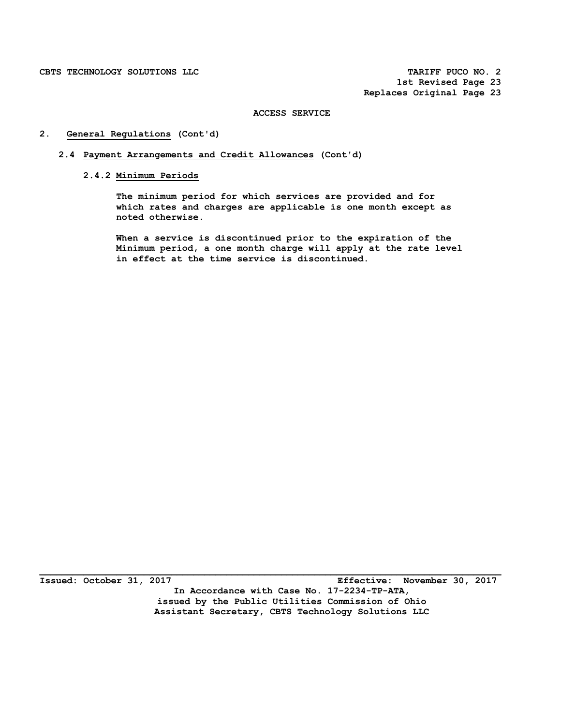# **2. General Regulations (Cont'd)**

- **2.4 Payment Arrangements and Credit Allowances (Cont'd)** 
	- **2.4.2 Minimum Periods**

 **The minimum period for which services are provided and for which rates and charges are applicable is one month except as noted otherwise.** 

 **When a service is discontinued prior to the expiration of the Minimum period, a one month charge will apply at the rate level in effect at the time service is discontinued.** 

**Issued: October 31, 2017 Effective: November 30, 2017 In Accordance with Case No. 17-2234-TP-ATA, issued by the Public Utilities Commission of Ohio Assistant Secretary, CBTS Technology Solutions LLC**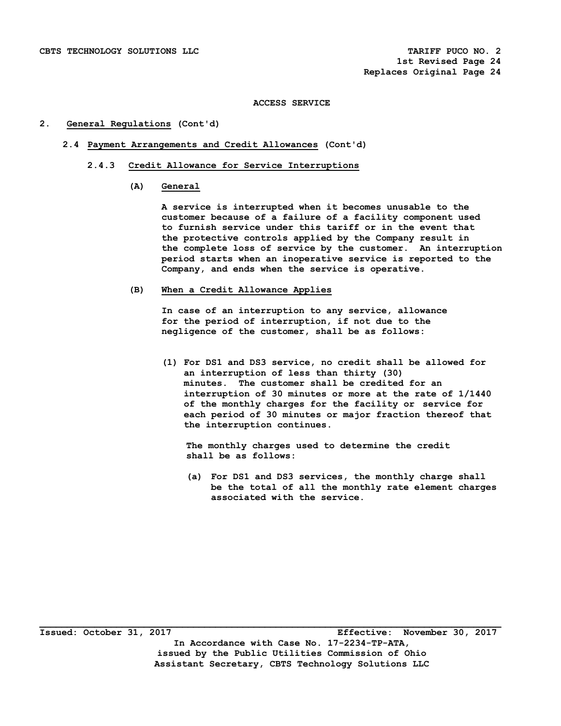## **2. General Regulations (Cont'd)**

- **2.4 Payment Arrangements and Credit Allowances (Cont'd)** 
	- **2.4.3 Credit Allowance for Service Interruptions** 
		- **(A) General**

 **A service is interrupted when it becomes unusable to the customer because of a failure of a facility component used to furnish service under this tariff or in the event that the protective controls applied by the Company result in the complete loss of service by the customer. An interruption period starts when an inoperative service is reported to the Company, and ends when the service is operative.** 

 **(B) When a Credit Allowance Applies** 

 **In case of an interruption to any service, allowance for the period of interruption, if not due to the negligence of the customer, shall be as follows:** 

 **(1) For DS1 and DS3 service, no credit shall be allowed for an interruption of less than thirty (30) minutes. The customer shall be credited for an interruption of 30 minutes or more at the rate of 1/1440 of the monthly charges for the facility or service for each period of 30 minutes or major fraction thereof that the interruption continues.** 

 **The monthly charges used to determine the credit shall be as follows:** 

 **(a) For DS1 and DS3 services, the monthly charge shall be the total of all the monthly rate element charges associated with the service.**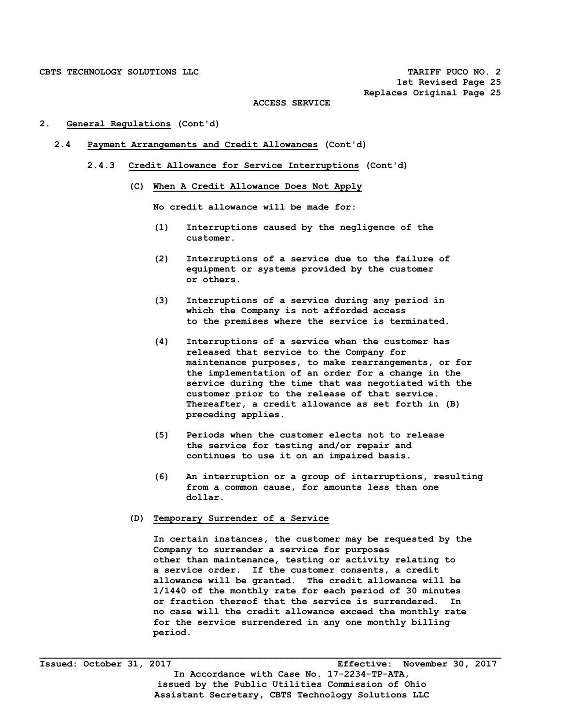**1st Revised Page 25 Replaces Original Page 25** 

#### **ACCESS SERVICE**

### **2. General Regulations (Cont'd)**

- **2.4 Payment Arrangements and Credit Allowances (Cont'd)** 
	- **2.4.3 Credit Allowance for Service Interruptions (Cont'd)** 
		- **(C) When A Credit Allowance Does Not Apply**

 **No credit allowance will be made for:** 

- **(1) Interruptions caused by the negligence of the customer.**
- **(2) Interruptions of a service due to the failure of equipment or systems provided by the customer or others.**
- **(3) Interruptions of a service during any period in which the Company is not afforded access to the premises where the service is terminated.**
- **(4) Interruptions of a service when the customer has released that service to the Company for maintenance purposes, to make rearrangements, or for the implementation of an order for a change in the service during the time that was negotiated with the customer prior to the release of that service. Thereafter, a credit allowance as set forth in (B) preceding applies.**
- **(5) Periods when the customer elects not to release the service for testing and/or repair and continues to use it on an impaired basis.**
- **(6) An interruption or a group of interruptions, resulting from a common cause, for amounts less than one dollar.**

# **(D) Temporary Surrender of a Service**

 **In certain instances, the customer may be requested by the Company to surrender a service for purposes other than maintenance, testing or activity relating to a service order. If the customer consents, a credit allowance will be granted. The credit allowance will be 1/1440 of the monthly rate for each period of 30 minutes or fraction thereof that the service is surrendered. In no case will the credit allowance exceed the monthly rate for the service surrendered in any one monthly billing period.**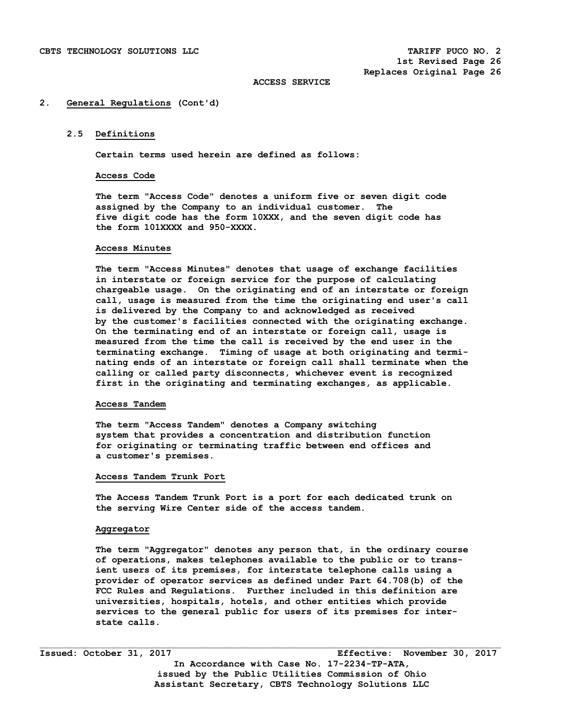### **2. General Regulations (Cont'd)**

## **2.5 Definitions**

**Certain terms used herein are defined as follows:** 

### **Access Code**

 **The term "Access Code" denotes a uniform five or seven digit code assigned by the Company to an individual customer. The five digit code has the form 10XXX, and the seven digit code has the form 101XXXX and 950-XXXX.** 

### **Access Minutes**

 **The term "Access Minutes" denotes that usage of exchange facilities in interstate or foreign service for the purpose of calculating chargeable usage. On the originating end of an interstate or foreign call, usage is measured from the time the originating end user's call is delivered by the Company to and acknowledged as received by the customer's facilities connected with the originating exchange. On the terminating end of an interstate or foreign call, usage is measured from the time the call is received by the end user in the terminating exchange. Timing of usage at both originating and termi nating ends of an interstate or foreign call shall terminate when the calling or called party disconnects, whichever event is recognized first in the originating and terminating exchanges, as applicable.** 

### **Access Tandem**

 **The term "Access Tandem" denotes a Company switching system that provides a concentration and distribution function for originating or terminating traffic between end offices and a customer's premises.** 

## **Access Tandem Trunk Port**

 **The Access Tandem Trunk Port is a port for each dedicated trunk on the serving Wire Center side of the access tandem.** 

## **Aggregator**

 **The term "Aggregator" denotes any person that, in the ordinary course of operations, makes telephones available to the public or to trans ient users of its premises, for interstate telephone calls using a provider of operator services as defined under Part 64.708(b) of the FCC Rules and Regulations. Further included in this definition are universities, hospitals, hotels, and other entities which provide services to the general public for users of its premises for inter state calls.** 

**Issued: October 31, 2017 Effective: November 30, 2017 In Accordance with Case No. 17-2234-TP-ATA, issued by the Public Utilities Commission of Ohio Assistant Secretary, CBTS Technology Solutions LLC**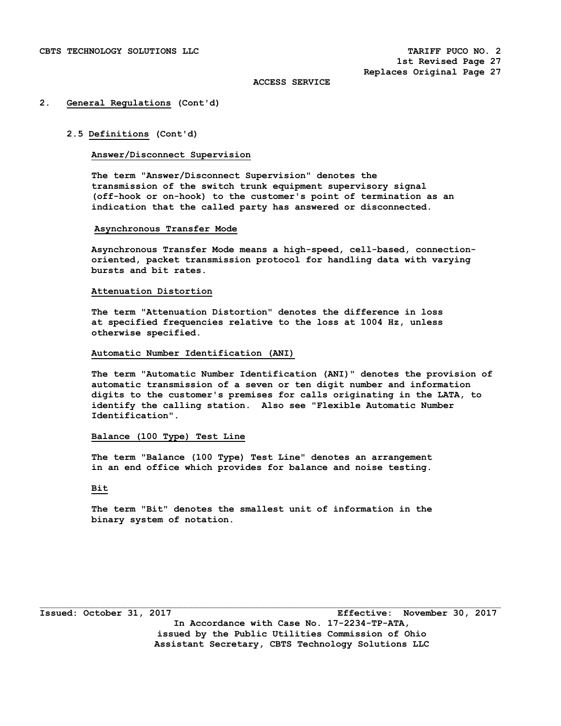### **2. General Regulations (Cont'd)**

## **2.5 Definitions (Cont'd)**

# **Answer/Disconnect Supervision**

 **The term "Answer/Disconnect Supervision" denotes the transmission of the switch trunk equipment supervisory signal (off-hook or on-hook) to the customer's point of termination as an indication that the called party has answered or disconnected.** 

#### **Asynchronous Transfer Mode**

**Asynchronous Transfer Mode means a high-speed, cell-based, connectionoriented, packet transmission protocol for handling data with varying bursts and bit rates.** 

# **Attenuation Distortion**

 **The term "Attenuation Distortion" denotes the difference in loss at specified frequencies relative to the loss at 1004 Hz, unless otherwise specified.** 

### **Automatic Number Identification (ANI)**

 **The term "Automatic Number Identification (ANI)" denotes the provision of automatic transmission of a seven or ten digit number and information digits to the customer's premises for calls originating in the LATA, to identify the calling station. Also see "Flexible Automatic Number Identification".** 

## **Balance (100 Type) Test Line**

 **The term "Balance (100 Type) Test Line" denotes an arrangement in an end office which provides for balance and noise testing.** 

# **Bit**

 **The term "Bit" denotes the smallest unit of information in the binary system of notation.** 

**Issued: October 31, 2017 Effective: November 30, 2017 In Accordance with Case No. 17-2234-TP-ATA, issued by the Public Utilities Commission of Ohio Assistant Secretary, CBTS Technology Solutions LLC**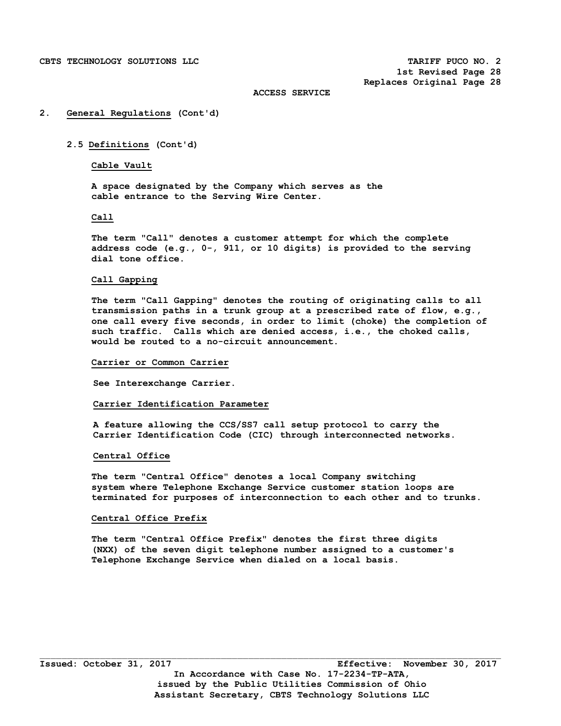### **2. General Regulations (Cont'd)**

## **2.5 Definitions (Cont'd)**

# **Cable Vault**

 **A space designated by the Company which serves as the cable entrance to the Serving Wire Center.** 

## **Call**

 **The term "Call" denotes a customer attempt for which the complete address code (e.g., 0-, 911, or 10 digits) is provided to the serving dial tone office.** 

#### **Call Gapping**

 **The term "Call Gapping" denotes the routing of originating calls to all transmission paths in a trunk group at a prescribed rate of flow, e.g., one call every five seconds, in order to limit (choke) the completion of such traffic. Calls which are denied access, i.e., the choked calls, would be routed to a no-circuit announcement.** 

### **Carrier or Common Carrier**

 **See Interexchange Carrier.** 

### **Carrier Identification Parameter**

 **A feature allowing the CCS/SS7 call setup protocol to carry the Carrier Identification Code (CIC) through interconnected networks.** 

### **Central Office**

 **The term "Central Office" denotes a local Company switching system where Telephone Exchange Service customer station loops are terminated for purposes of interconnection to each other and to trunks.** 

## **Central Office Prefix**

 **The term "Central Office Prefix" denotes the first three digits (NXX) of the seven digit telephone number assigned to a customer's Telephone Exchange Service when dialed on a local basis.**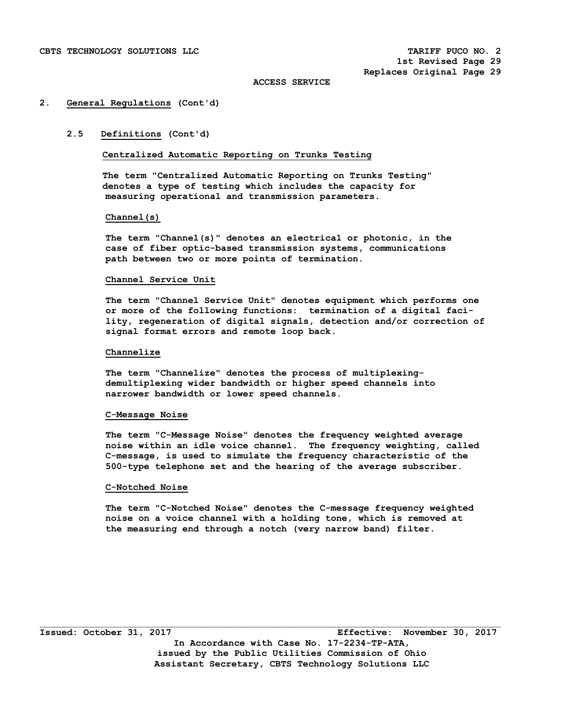### **2. General Regulations (Cont'd)**

# **2.5 Definitions (Cont'd)**

**Centralized Automatic Reporting on Trunks Testing** 

 **The term "Centralized Automatic Reporting on Trunks Testing" denotes a type of testing which includes the capacity for measuring operational and transmission parameters.** 

### **Channel(s)**

 **The term "Channel(s)" denotes an electrical or photonic, in the case of fiber optic-based transmission systems, communications path between two or more points of termination.** 

### **Channel Service Unit**

 **The term "Channel Service Unit" denotes equipment which performs one or more of the following functions: termination of a digital faci lity, regeneration of digital signals, detection and/or correction of signal format errors and remote loop back.** 

### **Channelize**

 **The term "Channelize" denotes the process of multiplexing demultiplexing wider bandwidth or higher speed channels into narrower bandwidth or lower speed channels.** 

## **C-Message Noise**

 **The term "C-Message Noise" denotes the frequency weighted average noise within an idle voice channel. The frequency weighting, called C-message, is used to simulate the frequency characteristic of the 500-type telephone set and the hearing of the average subscriber.** 

### **C-Notched Noise**

 **The term "C-Notched Noise" denotes the C-message frequency weighted noise on a voice channel with a holding tone, which is removed at the measuring end through a notch (very narrow band) filter.** 

 $\mathcal{L}_\text{max}$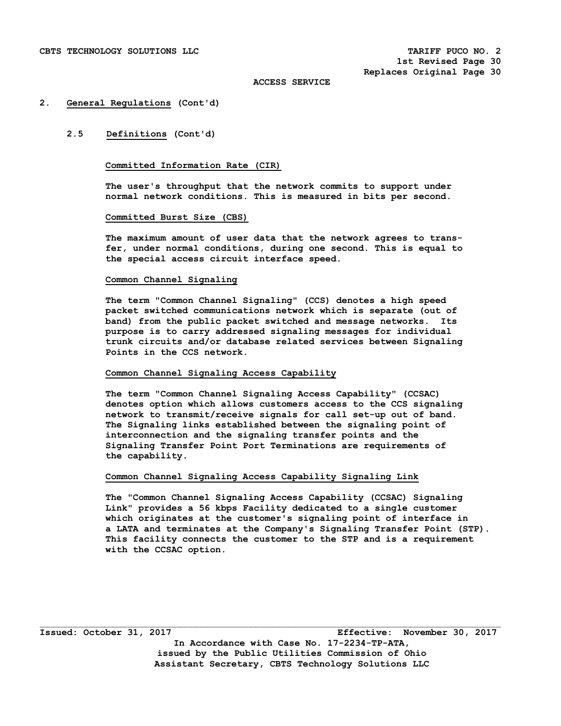### **2. General Regulations (Cont'd)**

## **2.5 Definitions (Cont'd)**

# **Committed Information Rate (CIR)**

 **The user's throughput that the network commits to support under normal network conditions. This is measured in bits per second.** 

### **Committed Burst Size (CBS)**

 **The maximum amount of user data that the network agrees to trans fer, under normal conditions, during one second. This is equal to the special access circuit interface speed.** 

### **Common Channel Signaling**

 **The term "Common Channel Signaling" (CCS) denotes a high speed packet switched communications network which is separate (out of band) from the public packet switched and message networks. Its purpose is to carry addressed signaling messages for individual trunk circuits and/or database related services between Signaling Points in the CCS network.** 

## **Common Channel Signaling Access Capability**

 **The term "Common Channel Signaling Access Capability" (CCSAC) denotes option which allows customers access to the CCS signaling network to transmit/receive signals for call set-up out of band. The Signaling links established between the signaling point of interconnection and the signaling transfer points and the Signaling Transfer Point Port Terminations are requirements of the capability.** 

## **Common Channel Signaling Access Capability Signaling Link**

 **The "Common Channel Signaling Access Capability (CCSAC) Signaling Link" provides a 56 kbps Facility dedicated to a single customer which originates at the customer's signaling point of interface in a LATA and terminates at the Company's Signaling Transfer Point (STP). This facility connects the customer to the STP and is a requirement with the CCSAC option.** 

 $\mathcal{L}_\text{max}$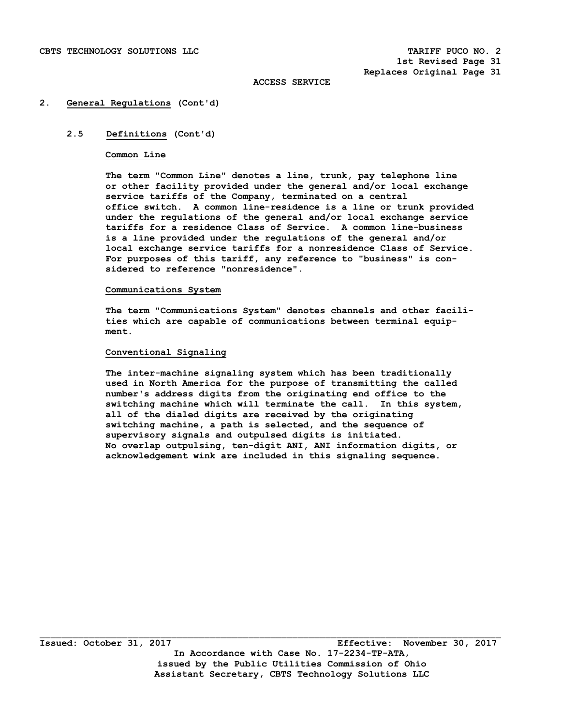### **2. General Regulations (Cont'd)**

## **2.5 Definitions (Cont'd)**

### **Common Line**

 **The term "Common Line" denotes a line, trunk, pay telephone line or other facility provided under the general and/or local exchange service tariffs of the Company, terminated on a central office switch. A common line-residence is a line or trunk provided under the regulations of the general and/or local exchange service tariffs for a residence Class of Service. A common line-business is a line provided under the regulations of the general and/or local exchange service tariffs for a nonresidence Class of Service. For purposes of this tariff, any reference to "business" is con sidered to reference "nonresidence".** 

### **Communications System**

**The term "Communications System" denotes channels and other facili ties which are capable of communications between terminal equip ment.** 

## **Conventional Signaling**

 **The inter-machine signaling system which has been traditionally used in North America for the purpose of transmitting the called number's address digits from the originating end office to the switching machine which will terminate the call. In this system, all of the dialed digits are received by the originating switching machine, a path is selected, and the sequence of supervisory signals and outpulsed digits is initiated. No overlap outpulsing, ten-digit ANI, ANI information digits, or acknowledgement wink are included in this signaling sequence.** 

 $\Box$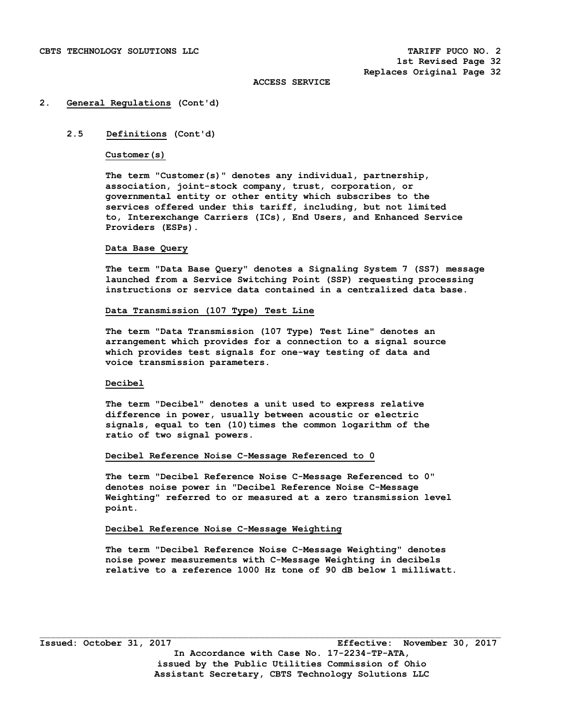### **2. General Regulations (Cont'd)**

# **2.5 Definitions (Cont'd)**

### **Customer(s)**

 **The term "Customer(s)" denotes any individual, partnership, association, joint-stock company, trust, corporation, or governmental entity or other entity which subscribes to the services offered under this tariff, including, but not limited to, Interexchange Carriers (ICs), End Users, and Enhanced Service Providers (ESPs).** 

#### **Data Base Query**

 **The term "Data Base Query" denotes a Signaling System 7 (SS7) message launched from a Service Switching Point (SSP) requesting processing instructions or service data contained in a centralized data base.** 

### **Data Transmission (107 Type) Test Line**

 **The term "Data Transmission (107 Type) Test Line" denotes an arrangement which provides for a connection to a signal source which provides test signals for one-way testing of data and voice transmission parameters.** 

## **Decibel**

 **The term "Decibel" denotes a unit used to express relative difference in power, usually between acoustic or electric**  signals, equal to ten (10) times the common logarithm of the **ratio of two signal powers.** 

### **Decibel Reference Noise C-Message Referenced to 0**

**The term "Decibel Reference Noise C-Message Referenced to 0" denotes noise power in "Decibel Reference Noise C-Message Weighting" referred to or measured at a zero transmission level point.** 

# **Decibel Reference Noise C-Message Weighting**

**The term "Decibel Reference Noise C-Message Weighting" denotes noise power measurements with C-Message Weighting in decibels relative to a reference 1000 Hz tone of 90 dB below 1 milliwatt.** 

 $\Box$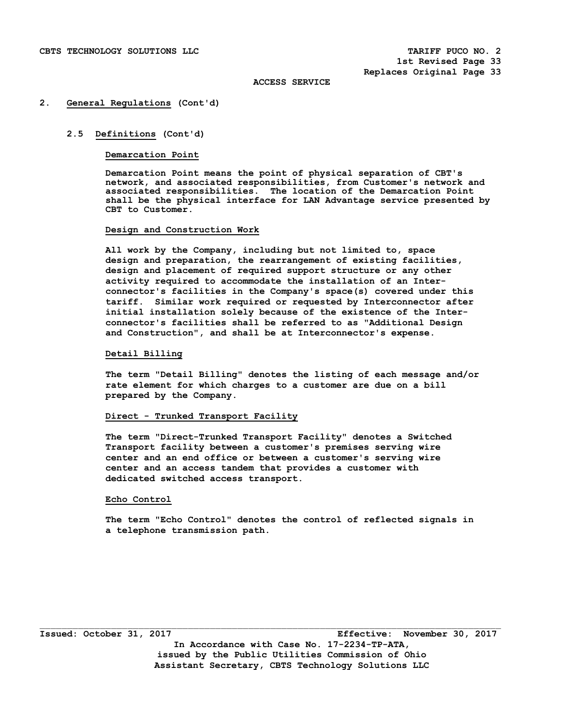### **2. General Regulations (Cont'd)**

## **2.5 Definitions (Cont'd)**

### **Demarcation Point**

 **Demarcation Point means the point of physical separation of CBT's network, and associated responsibilities, from Customer's network and associated responsibilities. The location of the Demarcation Point shall be the physical interface for LAN Advantage service presented by CBT to Customer.** 

### **Design and Construction Work**

 **All work by the Company, including but not limited to, space design and preparation, the rearrangement of existing facilities, design and placement of required support structure or any other activity required to accommodate the installation of an Interconnector's facilities in the Company's space(s) covered under this tariff. Similar work required or requested by Interconnector after initial installation solely because of the existence of the Interconnector's facilities shall be referred to as "Additional Design and Construction", and shall be at Interconnector's expense.** 

### **Detail Billing**

 **The term "Detail Billing" denotes the listing of each message and/or rate element for which charges to a customer are due on a bill prepared by the Company.** 

## **Direct - Trunked Transport Facility**

 **The term "Direct-Trunked Transport Facility" denotes a Switched Transport facility between a customer's premises serving wire center and an end office or between a customer's serving wire center and an access tandem that provides a customer with dedicated switched access transport.** 

## **Echo Control**

 **The term "Echo Control" denotes the control of reflected signals in a telephone transmission path.**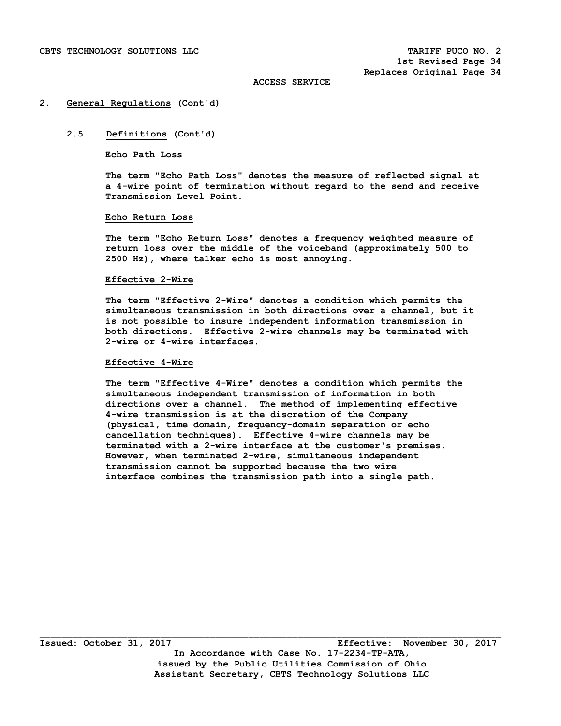### **2. General Regulations (Cont'd)**

## **2.5 Definitions (Cont'd)**

## **Echo Path Loss**

 **The term "Echo Path Loss" denotes the measure of reflected signal at a 4-wire point of termination without regard to the send and receive Transmission Level Point.** 

## **Echo Return Loss**

 **The term "Echo Return Loss" denotes a frequency weighted measure of return loss over the middle of the voiceband (approximately 500 to 2500 Hz), where talker echo is most annoying.** 

### **Effective 2-Wire**

 **The term "Effective 2-Wire" denotes a condition which permits the simultaneous transmission in both directions over a channel, but it is not possible to insure independent information transmission in both directions. Effective 2-wire channels may be terminated with 2-wire or 4-wire interfaces.** 

### **Effective 4-Wire**

 **The term "Effective 4-Wire" denotes a condition which permits the simultaneous independent transmission of information in both directions over a channel. The method of implementing effective 4-wire transmission is at the discretion of the Company (physical, time domain, frequency-domain separation or echo cancellation techniques). Effective 4-wire channels may be terminated with a 2-wire interface at the customer's premises. However, when terminated 2-wire, simultaneous independent transmission cannot be supported because the two wire interface combines the transmission path into a single path.** 

 $\Box$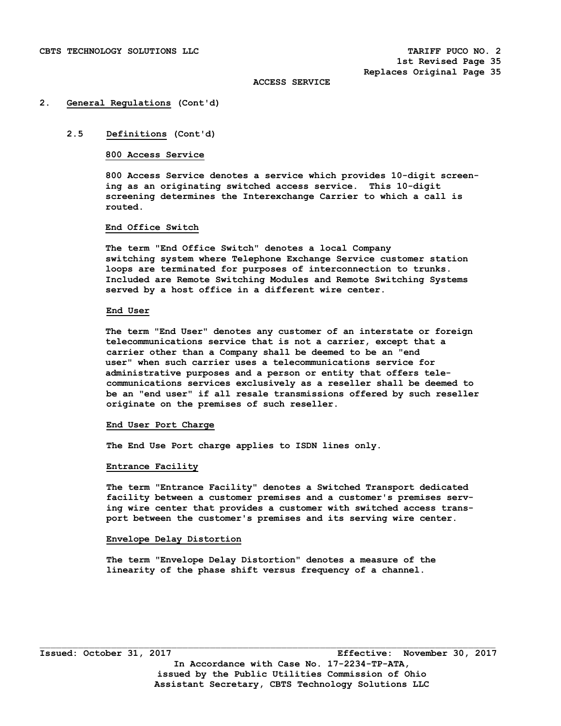### **2. General Regulations (Cont'd)**

## **2.5 Definitions (Cont'd)**

## **800 Access Service**

 **800 Access Service denotes a service which provides 10-digit screen ing as an originating switched access service. This 10-digit screening determines the Interexchange Carrier to which a call is routed.** 

# **End Office Switch**

 **The term "End Office Switch" denotes a local Company switching system where Telephone Exchange Service customer station loops are terminated for purposes of interconnection to trunks. Included are Remote Switching Modules and Remote Switching Systems served by a host office in a different wire center.** 

### **End User**

**The term "End User" denotes any customer of an interstate or foreign telecommunications service that is not a carrier, except that a carrier other than a Company shall be deemed to be an "end user" when such carrier uses a telecommunications service for administrative purposes and a person or entity that offers tele communications services exclusively as a reseller shall be deemed to be an "end user" if all resale transmissions offered by such reseller originate on the premises of such reseller.** 

#### **End User Port Charge**

 **The End Use Port charge applies to ISDN lines only.** 

#### **Entrance Facility**

 **The term "Entrance Facility" denotes a Switched Transport dedicated facility between a customer premises and a customer's premises serv ing wire center that provides a customer with switched access trans port between the customer's premises and its serving wire center.** 

### **Envelope Delay Distortion**

 **The term "Envelope Delay Distortion" denotes a measure of the linearity of the phase shift versus frequency of a channel.**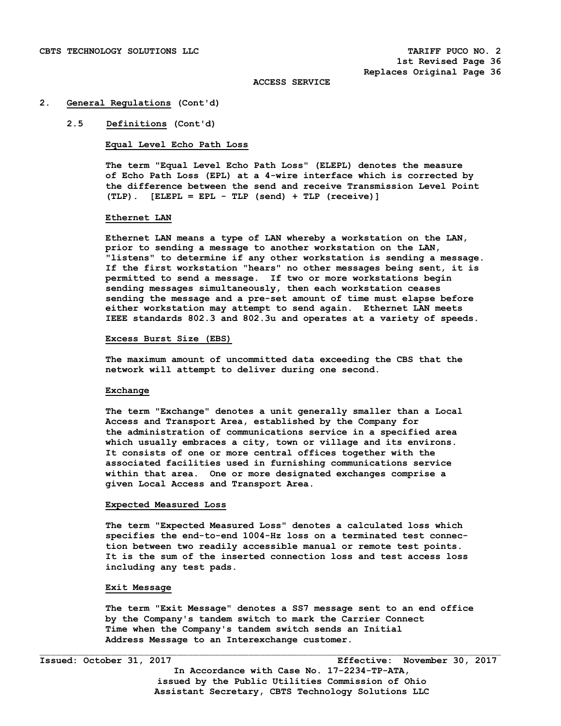### **2. General Regulations (Cont'd)**

## **2.5 Definitions (Cont'd)**

**Equal Level Echo Path Loss** 

 **The term "Equal Level Echo Path Loss" (ELEPL) denotes the measure of Echo Path Loss (EPL) at a 4-wire interface which is corrected by the difference between the send and receive Transmission Level Point (TLP). [ELEPL = EPL - TLP (send) + TLP (receive)]** 

### **Ethernet LAN**

**Ethernet LAN means a type of LAN whereby a workstation on the LAN, prior to sending a message to another workstation on the LAN, "listens" to determine if any other workstation is sending a message. If the first workstation "hears" no other messages being sent, it is permitted to send a message. If two or more workstations begin sending messages simultaneously, then each workstation ceases sending the message and a pre-set amount of time must elapse before either workstation may attempt to send again. Ethernet LAN meets IEEE standards 802.3 and 802.3u and operates at a variety of speeds.** 

### **Excess Burst Size (EBS)**

 **The maximum amount of uncommitted data exceeding the CBS that the network will attempt to deliver during one second.** 

#### **Exchange**

 **The term "Exchange" denotes a unit generally smaller than a Local Access and Transport Area, established by the Company for the administration of communications service in a specified area which usually embraces a city, town or village and its environs. It consists of one or more central offices together with the associated facilities used in furnishing communications service within that area. One or more designated exchanges comprise a given Local Access and Transport Area.** 

# **Expected Measured Loss**

 **The term "Expected Measured Loss" denotes a calculated loss which specifies the end-to-end 1004-Hz loss on a terminated test connec tion between two readily accessible manual or remote test points. It is the sum of the inserted connection loss and test access loss including any test pads.** 

## **Exit Message**

 **The term "Exit Message" denotes a SS7 message sent to an end office by the Company's tandem switch to mark the Carrier Connect Time when the Company's tandem switch sends an Initial Address Message to an Interexchange customer.**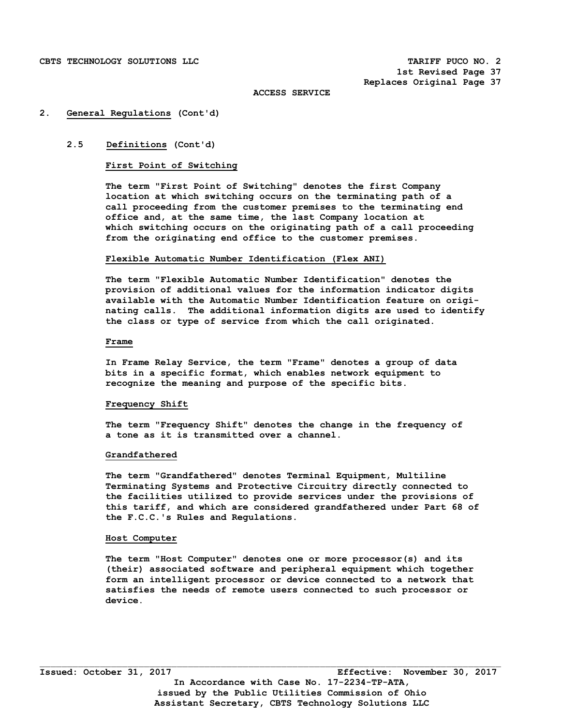## **2. General Regulations (Cont'd)**

# **2.5 Definitions (Cont'd)**

# **First Point of Switching**

 **The term "First Point of Switching" denotes the first Company location at which switching occurs on the terminating path of a call proceeding from the customer premises to the terminating end office and, at the same time, the last Company location at which switching occurs on the originating path of a call proceeding from the originating end office to the customer premises.** 

### **Flexible Automatic Number Identification (Flex ANI)**

**The term "Flexible Automatic Number Identification" denotes the provision of additional values for the information indicator digits available with the Automatic Number Identification feature on origi nating calls. The additional information digits are used to identify the class or type of service from which the call originated.** 

# **Frame**

 **In Frame Relay Service, the term "Frame" denotes a group of data bits in a specific format, which enables network equipment to recognize the meaning and purpose of the specific bits.** 

## **Frequency Shift**

 **The term "Frequency Shift" denotes the change in the frequency of a tone as it is transmitted over a channel.** 

## **Grandfathered**

 **The term "Grandfathered" denotes Terminal Equipment, Multiline Terminating Systems and Protective Circuitry directly connected to the facilities utilized to provide services under the provisions of this tariff, and which are considered grandfathered under Part 68 of the F.C.C.'s Rules and Regulations.** 

### **Host Computer**

 **The term "Host Computer" denotes one or more processor(s) and its (their) associated software and peripheral equipment which together form an intelligent processor or device connected to a network that satisfies the needs of remote users connected to such processor or device.**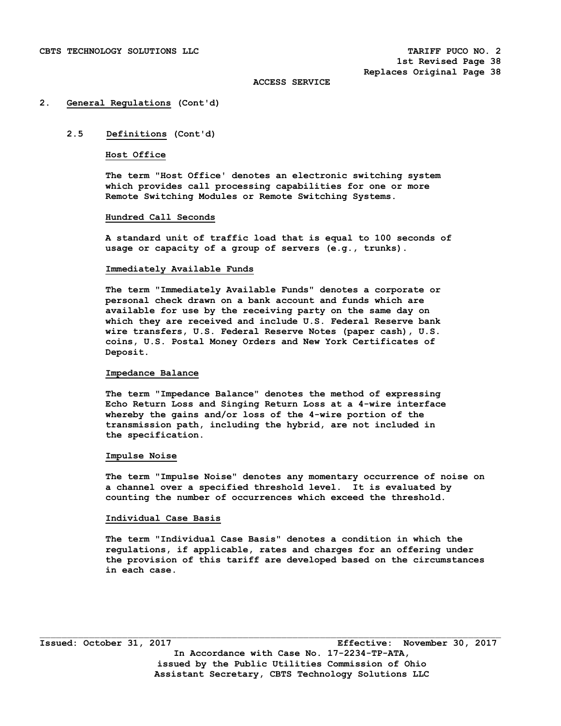### **2. General Regulations (Cont'd)**

# **2.5 Definitions (Cont'd)**

### **Host Office**

 **The term "Host Office' denotes an electronic switching system which provides call processing capabilities for one or more Remote Switching Modules or Remote Switching Systems.** 

## **Hundred Call Seconds**

 **A standard unit of traffic load that is equal to 100 seconds of usage or capacity of a group of servers (e.g., trunks).** 

## **Immediately Available Funds**

 **The term "Immediately Available Funds" denotes a corporate or personal check drawn on a bank account and funds which are available for use by the receiving party on the same day on which they are received and include U.S. Federal Reserve bank wire transfers, U.S. Federal Reserve Notes (paper cash), U.S. coins, U.S. Postal Money Orders and New York Certificates of Deposit.** 

# **Impedance Balance**

 **The term "Impedance Balance" denotes the method of expressing Echo Return Loss and Singing Return Loss at a 4-wire interface whereby the gains and/or loss of the 4-wire portion of the transmission path, including the hybrid, are not included in the specification.** 

### **Impulse Noise**

 **The term "Impulse Noise" denotes any momentary occurrence of noise on a channel over a specified threshold level. It is evaluated by counting the number of occurrences which exceed the threshold.** 

# **Individual Case Basis**

 **The term "Individual Case Basis" denotes a condition in which the regulations, if applicable, rates and charges for an offering under the provision of this tariff are developed based on the circumstances in each case.**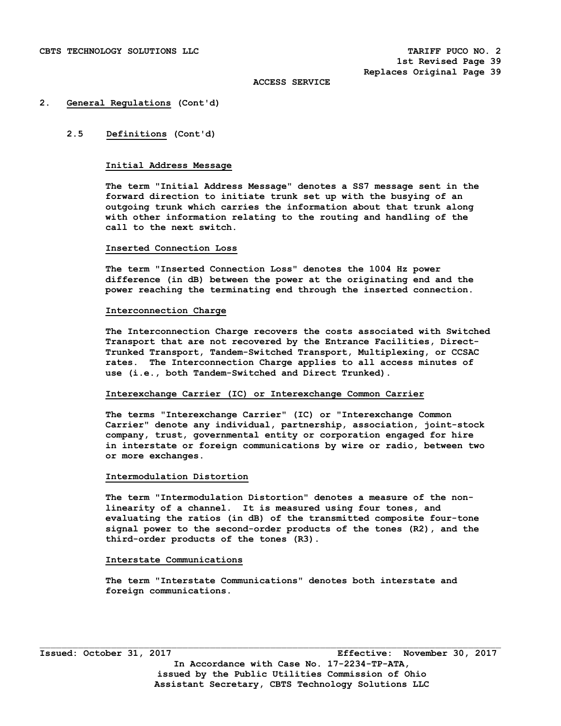### **2. General Regulations (Cont'd)**

# **2.5 Definitions (Cont'd)**

# **Initial Address Message**

 **The term "Initial Address Message" denotes a SS7 message sent in the forward direction to initiate trunk set up with the busying of an outgoing trunk which carries the information about that trunk along with other information relating to the routing and handling of the call to the next switch.** 

### **Inserted Connection Loss**

 **The term "Inserted Connection Loss" denotes the 1004 Hz power difference (in dB) between the power at the originating end and the power reaching the terminating end through the inserted connection.** 

### **Interconnection Charge**

 **The Interconnection Charge recovers the costs associated with Switched Transport that are not recovered by the Entrance Facilities, Direct- Trunked Transport, Tandem-Switched Transport, Multiplexing, or CCSAC rates. The Interconnection Charge applies to all access minutes of use (i.e., both Tandem-Switched and Direct Trunked).** 

## **Interexchange Carrier (IC) or Interexchange Common Carrier**

 **The terms "Interexchange Carrier" (IC) or "Interexchange Common Carrier" denote any individual, partnership, association, joint-stock company, trust, governmental entity or corporation engaged for hire in interstate or foreign communications by wire or radio, between two or more exchanges.** 

### **Intermodulation Distortion**

 **The term "Intermodulation Distortion" denotes a measure of the non linearity of a channel. It is measured using four tones, and evaluating the ratios (in dB) of the transmitted composite four-tone signal power to the second-order products of the tones (R2), and the third-order products of the tones (R3).** 

# **Interstate Communications**

 **The term "Interstate Communications" denotes both interstate and foreign communications.**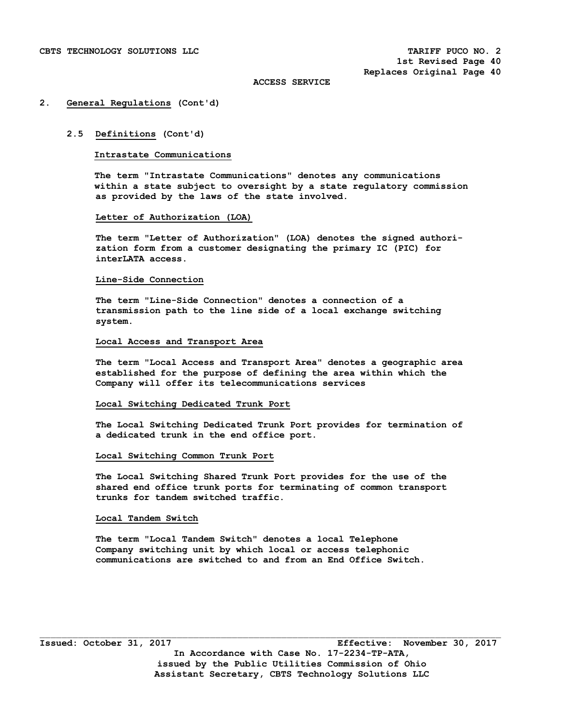### **2. General Regulations (Cont'd)**

### **2.5 Definitions (Cont'd)**

### **Intrastate Communications**

 **The term "Intrastate Communications" denotes any communications within a state subject to oversight by a state regulatory commission as provided by the laws of the state involved.** 

### **Letter of Authorization (LOA)**

 **The term "Letter of Authorization" (LOA) denotes the signed authori zation form from a customer designating the primary IC (PIC) for interLATA access.** 

### **Line-Side Connection**

 **The term "Line-Side Connection" denotes a connection of a transmission path to the line side of a local exchange switching system.** 

# **Local Access and Transport Area**

 **The term "Local Access and Transport Area" denotes a geographic area established for the purpose of defining the area within which the Company will offer its telecommunications services** 

### **Local Switching Dedicated Trunk Port**

 **The Local Switching Dedicated Trunk Port provides for termination of a dedicated trunk in the end office port.** 

### **Local Switching Common Trunk Port**

 **The Local Switching Shared Trunk Port provides for the use of the shared end office trunk ports for terminating of common transport trunks for tandem switched traffic.** 

# **Local Tandem Switch**

 **The term "Local Tandem Switch" denotes a local Telephone Company switching unit by which local or access telephonic communications are switched to and from an End Office Switch.**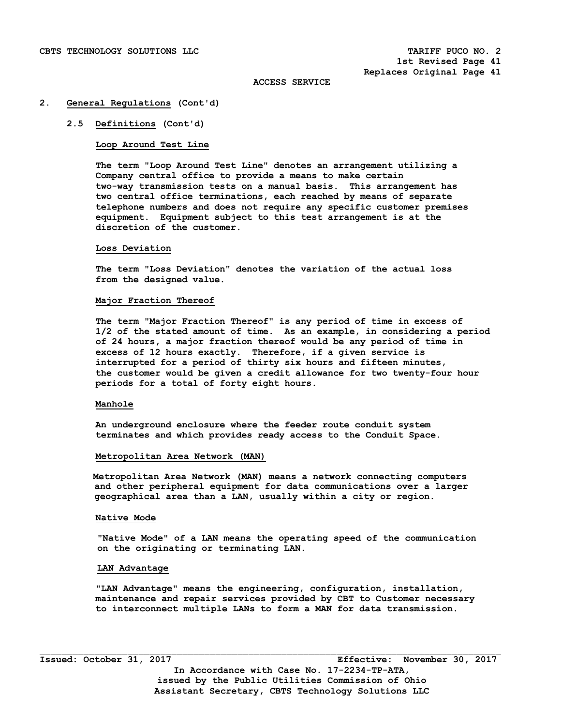### **2. General Regulations (Cont'd)**

# **2.5 Definitions (Cont'd)**

## **Loop Around Test Line**

 **The term "Loop Around Test Line" denotes an arrangement utilizing a Company central office to provide a means to make certain two-way transmission tests on a manual basis. This arrangement has two central office terminations, each reached by means of separate telephone numbers and does not require any specific customer premises equipment. Equipment subject to this test arrangement is at the discretion of the customer.** 

#### **Loss Deviation**

 **The term "Loss Deviation" denotes the variation of the actual loss from the designed value.** 

### **Major Fraction Thereof**

 **The term "Major Fraction Thereof" is any period of time in excess of 1/2 of the stated amount of time. As an example, in considering a period of 24 hours, a major fraction thereof would be any period of time in excess of 12 hours exactly. Therefore, if a given service is interrupted for a period of thirty six hours and fifteen minutes, the customer would be given a credit allowance for two twenty-four hour periods for a total of forty eight hours.** 

## **Manhole**

 **An underground enclosure where the feeder route conduit system terminates and which provides ready access to the Conduit Space.** 

#### **Metropolitan Area Network (MAN)**

 **Metropolitan Area Network (MAN) means a network connecting computers and other peripheral equipment for data communications over a larger geographical area than a LAN, usually within a city or region.** 

## **Native Mode**

 **"Native Mode" of a LAN means the operating speed of the communication on the originating or terminating LAN.** 

# **LAN Advantage**

 **"LAN Advantage" means the engineering, configuration, installation, maintenance and repair services provided by CBT to Customer necessary to interconnect multiple LANs to form a MAN for data transmission.**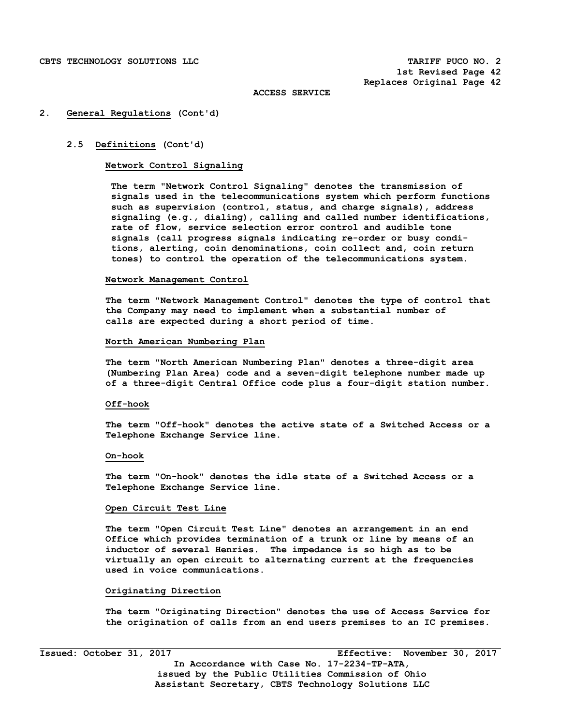## **2. General Regulations (Cont'd)**

# **2.5 Definitions (Cont'd)**

# **Network Control Signaling**

 **The term "Network Control Signaling" denotes the transmission of signals used in the telecommunications system which perform functions such as supervision (control, status, and charge signals), address signaling (e.g., dialing), calling and called number identifications, rate of flow, service selection error control and audible tone signals (call progress signals indicating re-order or busy condi tions, alerting, coin denominations, coin collect and, coin return tones) to control the operation of the telecommunications system.** 

#### **Network Management Control**

 **The term "Network Management Control" denotes the type of control that the Company may need to implement when a substantial number of calls are expected during a short period of time.** 

# **North American Numbering Plan**

 **The term "North American Numbering Plan" denotes a three-digit area (Numbering Plan Area) code and a seven-digit telephone number made up of a three-digit Central Office code plus a four-digit station number.** 

## **Off-hook**

 **The term "Off-hook" denotes the active state of a Switched Access or a Telephone Exchange Service line.** 

#### **On-hook**

 **The term "On-hook" denotes the idle state of a Switched Access or a Telephone Exchange Service line.** 

# **Open Circuit Test Line**

 **The term "Open Circuit Test Line" denotes an arrangement in an end Office which provides termination of a trunk or line by means of an inductor of several Henries. The impedance is so high as to be virtually an open circuit to alternating current at the frequencies used in voice communications.** 

### **Originating Direction**

 **The term "Originating Direction" denotes the use of Access Service for the origination of calls from an end users premises to an IC premises.** 

i<br>L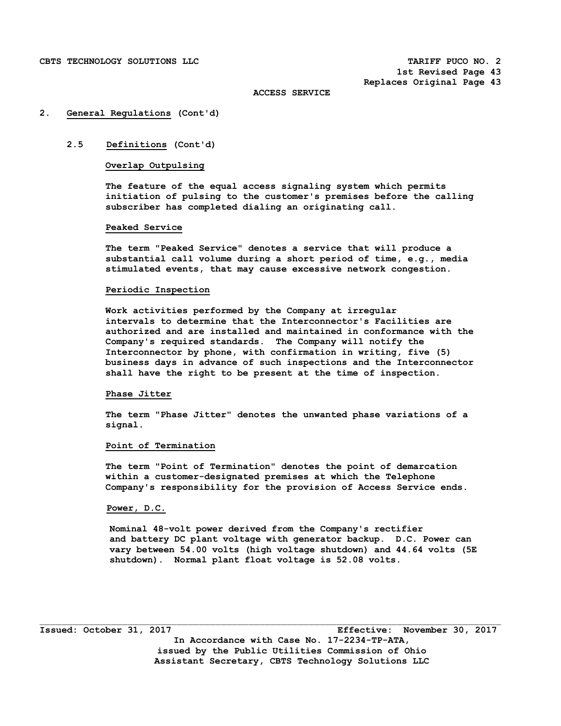## **2. General Regulations (Cont'd)**

# **2.5 Definitions (Cont'd)**

# **Overlap Outpulsing**

 **The feature of the equal access signaling system which permits initiation of pulsing to the customer's premises before the calling subscriber has completed dialing an originating call.** 

## **Peaked Service**

 **The term "Peaked Service" denotes a service that will produce a substantial call volume during a short period of time, e.g., media stimulated events, that may cause excessive network congestion.** 

## **Periodic Inspection**

 **Work activities performed by the Company at irregular intervals to determine that the Interconnector's Facilities are authorized and are installed and maintained in conformance with the Company's required standards. The Company will notify the Interconnector by phone, with confirmation in writing, five (5) business days in advance of such inspections and the Interconnector shall have the right to be present at the time of inspection.** 

## **Phase Jitter**

 **The term "Phase Jitter" denotes the unwanted phase variations of a signal.** 

# **Point of Termination**

 **The term "Point of Termination" denotes the point of demarcation within a customer-designated premises at which the Telephone Company's responsibility for the provision of Access Service ends.** 

# **Power, D.C.**

 **Nominal 48-volt power derived from the Company's rectifier and battery DC plant voltage with generator backup. D.C. Power can vary between 54.00 volts (high voltage shutdown) and 44.64 volts (5E shutdown). Normal plant float voltage is 52.08 volts.** 

**Issued: October 31, 2017 Effective: November 30, 2017 In Accordance with Case No. 17-2234-TP-ATA, issued by the Public Utilities Commission of Ohio Assistant Secretary, CBTS Technology Solutions LLC**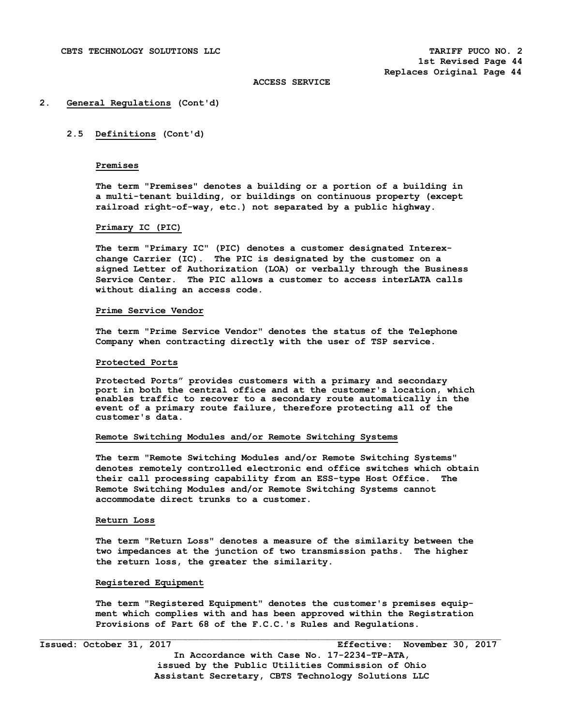#### **2. General Regulations (Cont'd)**

# **2.5 Definitions (Cont'd)**

# **Premises**

 **The term "Premises" denotes a building or a portion of a building in a multi-tenant building, or buildings on continuous property (except railroad right-of-way, etc.) not separated by a public highway.** 

# **Primary IC (PIC)**

 **The term "Primary IC" (PIC) denotes a customer designated Interex change Carrier (IC). The PIC is designated by the customer on a signed Letter of Authorization (LOA) or verbally through the Business Service Center. The PIC allows a customer to access interLATA calls without dialing an access code.** 

### **Prime Service Vendor**

 **The term "Prime Service Vendor" denotes the status of the Telephone Company when contracting directly with the user of TSP service.** 

### **Protected Ports**

**Protected Ports" provides customers with a primary and secondary port in both the central office and at the customer's location, which enables traffic to recover to a secondary route automatically in the event of a primary route failure, therefore protecting all of the customer's data.** 

### **Remote Switching Modules and/or Remote Switching Systems**

 **The term "Remote Switching Modules and/or Remote Switching Systems" denotes remotely controlled electronic end office switches which obtain their call processing capability from an ESS-type Host Office. The Remote Switching Modules and/or Remote Switching Systems cannot accommodate direct trunks to a customer.** 

### **Return Loss**

 **The term "Return Loss" denotes a measure of the similarity between the two impedances at the junction of two transmission paths. The higher the return loss, the greater the similarity.** 

#### **Registered Equipment**

 **The term "Registered Equipment" denotes the customer's premises equip ment which complies with and has been approved within the Registration Provisions of Part 68 of the F.C.C.'s Rules and Regulations.**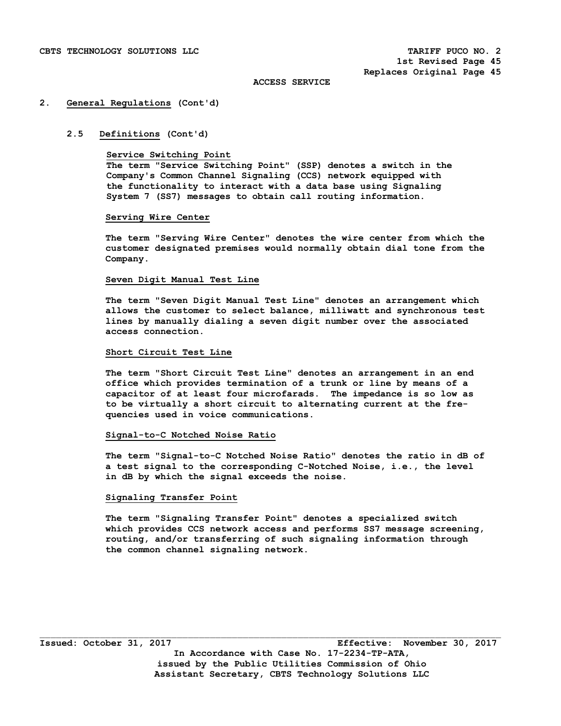### **2. General Regulations (Cont'd)**

## **2.5 Definitions (Cont'd)**

### **Service Switching Point**

 **The term "Service Switching Point" (SSP) denotes a switch in the Company's Common Channel Signaling (CCS) network equipped with the functionality to interact with a data base using Signaling System 7 (SS7) messages to obtain call routing information.** 

## **Serving Wire Center**

 **The term "Serving Wire Center" denotes the wire center from which the customer designated premises would normally obtain dial tone from the Company.** 

### **Seven Digit Manual Test Line**

 **The term "Seven Digit Manual Test Line" denotes an arrangement which allows the customer to select balance, milliwatt and synchronous test lines by manually dialing a seven digit number over the associated access connection.** 

## **Short Circuit Test Line**

 **The term "Short Circuit Test Line" denotes an arrangement in an end office which provides termination of a trunk or line by means of a capacitor of at least four microfarads. The impedance is so low as to be virtually a short circuit to alternating current at the fre quencies used in voice communications.** 

### **Signal-to-C Notched Noise Ratio**

 **The term "Signal-to-C Notched Noise Ratio" denotes the ratio in dB of a test signal to the corresponding C-Notched Noise, i.e., the level in dB by which the signal exceeds the noise.** 

## **Signaling Transfer Point**

 **The term "Signaling Transfer Point" denotes a specialized switch which provides CCS network access and performs SS7 message screening, routing, and/or transferring of such signaling information through the common channel signaling network.**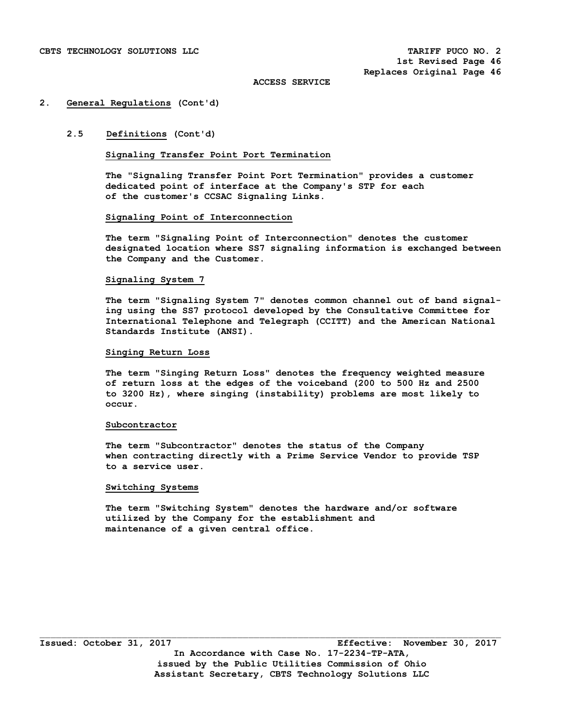### **2. General Regulations (Cont'd)**

# **2.5 Definitions (Cont'd)**

# **Signaling Transfer Point Port Termination**

 **The "Signaling Transfer Point Port Termination" provides a customer dedicated point of interface at the Company's STP for each of the customer's CCSAC Signaling Links.** 

## **Signaling Point of Interconnection**

 **The term "Signaling Point of Interconnection" denotes the customer designated location where SS7 signaling information is exchanged between the Company and the Customer.** 

### **Signaling System 7**

 **The term "Signaling System 7" denotes common channel out of band signal ing using the SS7 protocol developed by the Consultative Committee for International Telephone and Telegraph (CCITT) and the American National Standards Institute (ANSI).** 

# **Singing Return Loss**

 **The term "Singing Return Loss" denotes the frequency weighted measure of return loss at the edges of the voiceband (200 to 500 Hz and 2500 to 3200 Hz), where singing (instability) problems are most likely to occur.** 

#### **Subcontractor**

 **The term "Subcontractor" denotes the status of the Company when contracting directly with a Prime Service Vendor to provide TSP to a service user.** 

### **Switching Systems**

 **The term "Switching System" denotes the hardware and/or software utilized by the Company for the establishment and maintenance of a given central office.**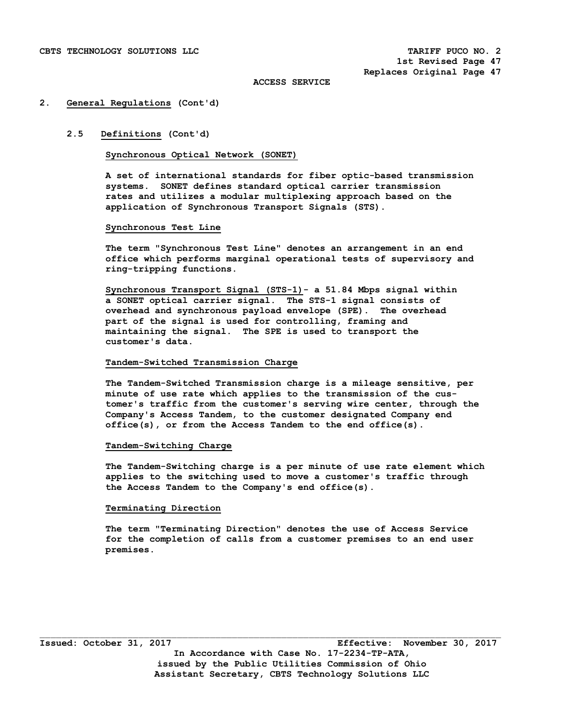### **2. General Regulations (Cont'd)**

# **2.5 Definitions (Cont'd)**

# **Synchronous Optical Network (SONET)**

**A set of international standards for fiber optic-based transmission systems. SONET defines standard optical carrier transmission rates and utilizes a modular multiplexing approach based on the application of Synchronous Transport Signals (STS).** 

## **Synchronous Test Line**

 **The term "Synchronous Test Line" denotes an arrangement in an end office which performs marginal operational tests of supervisory and ring-tripping functions.** 

 **Synchronous Transport Signal (STS-1)- a 51.84 Mbps signal within a SONET optical carrier signal. The STS-1 signal consists of overhead and synchronous payload envelope (SPE). The overhead part of the signal is used for controlling, framing and maintaining the signal. The SPE is used to transport the customer's data.** 

# **Tandem-Switched Transmission Charge**

 **The Tandem-Switched Transmission charge is a mileage sensitive, per minute of use rate which applies to the transmission of the cus tomer's traffic from the customer's serving wire center, through the Company's Access Tandem, to the customer designated Company end office(s), or from the Access Tandem to the end office(s).** 

### **Tandem-Switching Charge**

 **The Tandem-Switching charge is a per minute of use rate element which applies to the switching used to move a customer's traffic through the Access Tandem to the Company's end office(s).** 

# **Terminating Direction**

 **The term "Terminating Direction" denotes the use of Access Service for the completion of calls from a customer premises to an end user premises.**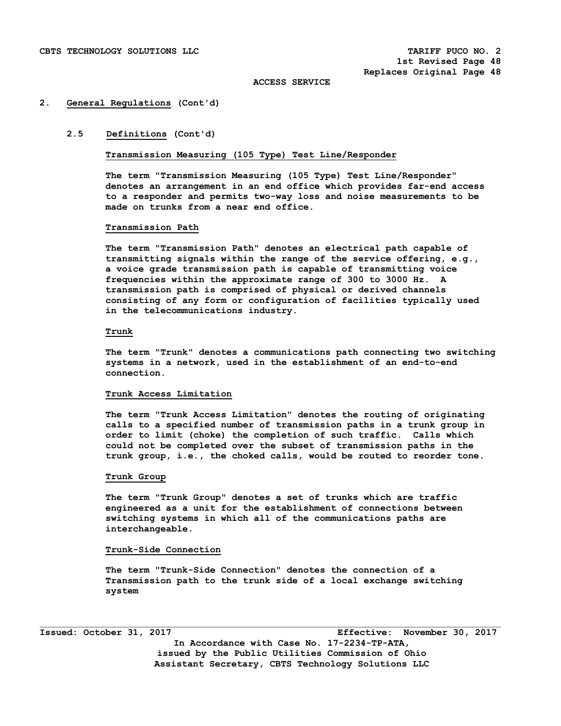### **2. General Regulations (Cont'd)**

# **2.5 Definitions (Cont'd)**

**Transmission Measuring (105 Type) Test Line/Responder** 

**The term "Transmission Measuring (105 Type) Test Line/Responder" denotes an arrangement in an end office which provides far-end access to a responder and permits two-way loss and noise measurements to be made on trunks from a near end office.** 

## **Transmission Path**

 **The term "Transmission Path" denotes an electrical path capable of transmitting signals within the range of the service offering, e.g., a voice grade transmission path is capable of transmitting voice frequencies within the approximate range of 300 to 3000 Hz. A transmission path is comprised of physical or derived channels consisting of any form or configuration of facilities typically used in the telecommunications industry.** 

## **Trunk**

 **The term "Trunk" denotes a communications path connecting two switching systems in a network, used in the establishment of an end-to-end connection.** 

### **Trunk Access Limitation**

 **The term "Trunk Access Limitation" denotes the routing of originating calls to a specified number of transmission paths in a trunk group in order to limit (choke) the completion of such traffic. Calls which could not be completed over the subset of transmission paths in the trunk group, i.e., the choked calls, would be routed to reorder tone.** 

# **Trunk Group**

 **The term "Trunk Group" denotes a set of trunks which are traffic engineered as a unit for the establishment of connections between switching systems in which all of the communications paths are interchangeable.** 

### **Trunk-Side Connection**

 **The term "Trunk-Side Connection" denotes the connection of a Transmission path to the trunk side of a local exchange switching system** 

**Issued: October 31, 2017 Effective: November 30, 2017 In Accordance with Case No. 17-2234-TP-ATA, issued by the Public Utilities Commission of Ohio Assistant Secretary, CBTS Technology Solutions LLC**

 $\mathcal{L}_\text{max}$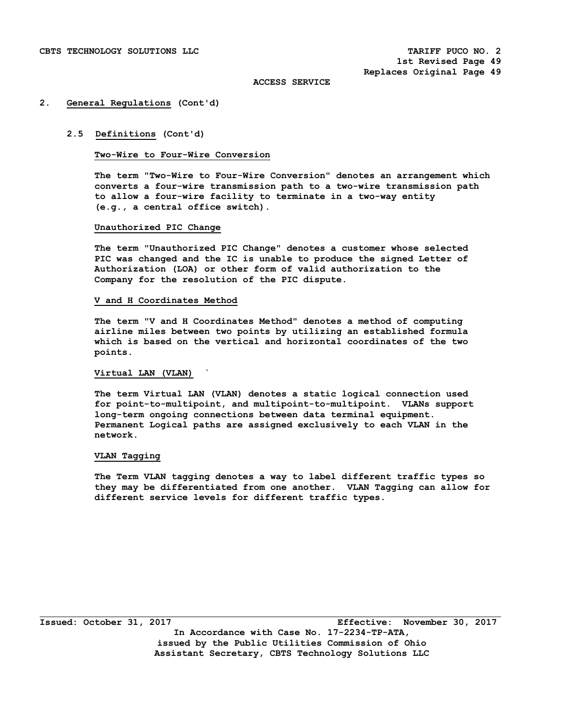### **2. General Regulations (Cont'd)**

# **2.5 Definitions (Cont'd)**

# **Two-Wire to Four-Wire Conversion**

 **The term "Two-Wire to Four-Wire Conversion" denotes an arrangement which converts a four-wire transmission path to a two-wire transmission path to allow a four-wire facility to terminate in a two-way entity (e.g., a central office switch).** 

## **Unauthorized PIC Change**

 **The term "Unauthorized PIC Change" denotes a customer whose selected PIC was changed and the IC is unable to produce the signed Letter of Authorization (LOA) or other form of valid authorization to the Company for the resolution of the PIC dispute.** 

### **V and H Coordinates Method**

 **The term "V and H Coordinates Method" denotes a method of computing airline miles between two points by utilizing an established formula which is based on the vertical and horizontal coordinates of the two points.** 

# **Virtual LAN (VLAN) `**

 **The term Virtual LAN (VLAN) denotes a static logical connection used for point-to-multipoint, and multipoint-to-multipoint. VLANs support long-term ongoing connections between data terminal equipment. Permanent Logical paths are assigned exclusively to each VLAN in the network.** 

## **VLAN Tagging**

 **The Term VLAN tagging denotes a way to label different traffic types so they may be differentiated from one another. VLAN Tagging can allow for different service levels for different traffic types.**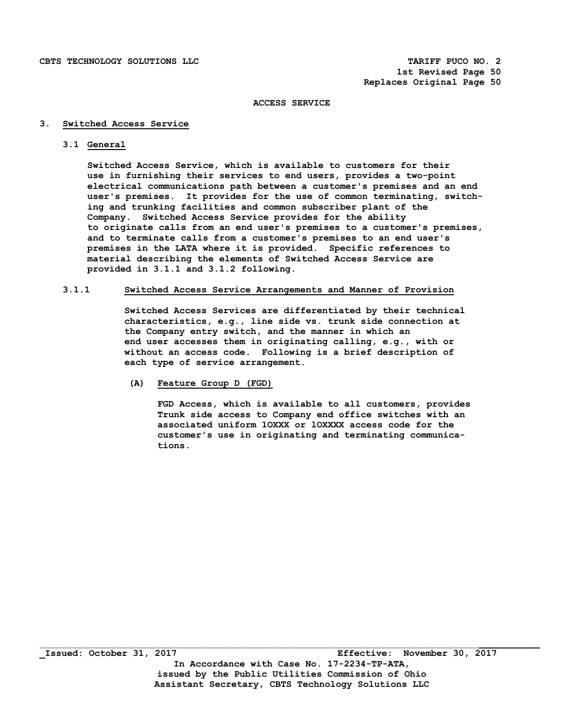# **3. Switched Access Service**

# **3.1 General**

 **Switched Access Service, which is available to customers for their use in furnishing their services to end users, provides a two-point electrical communications path between a customer's premises and an end user's premises. It provides for the use of common terminating, switch ing and trunking facilities and common subscriber plant of the Company. Switched Access Service provides for the ability to originate calls from an end user's premises to a customer's premises, and to terminate calls from a customer's premises to an end user's premises in the LATA where it is provided. Specific references to material describing the elements of Switched Access Service are provided in 3.1.1 and 3.1.2 following.** 

# **3.1.1 Switched Access Service Arrangements and Manner of Provision**

 **Switched Access Services are differentiated by their technical characteristics, e.g., line side vs. trunk side connection at the Company entry switch, and the manner in which an end user accesses them in originating calling, e.g., with or without an access code. Following is a brief description of each type of service arrangement.** 

 **(A) Feature Group D (FGD)** 

 **FGD Access, which is available to all customers, provides Trunk side access to Company end office switches with an associated uniform 1OXXX or lOXXXX access code for the customer's use in originating and terminating communica tions.** 

 $\mathcal{L}_\mathcal{L} = \{ \mathcal{L}_\mathcal{L} = \{ \mathcal{L}_\mathcal{L} = \{ \mathcal{L}_\mathcal{L} = \{ \mathcal{L}_\mathcal{L} = \{ \mathcal{L}_\mathcal{L} = \{ \mathcal{L}_\mathcal{L} = \{ \mathcal{L}_\mathcal{L} = \{ \mathcal{L}_\mathcal{L} = \{ \mathcal{L}_\mathcal{L} = \{ \mathcal{L}_\mathcal{L} = \{ \mathcal{L}_\mathcal{L} = \{ \mathcal{L}_\mathcal{L} = \{ \mathcal{L}_\mathcal{L} = \{ \mathcal{L}_\mathcal{$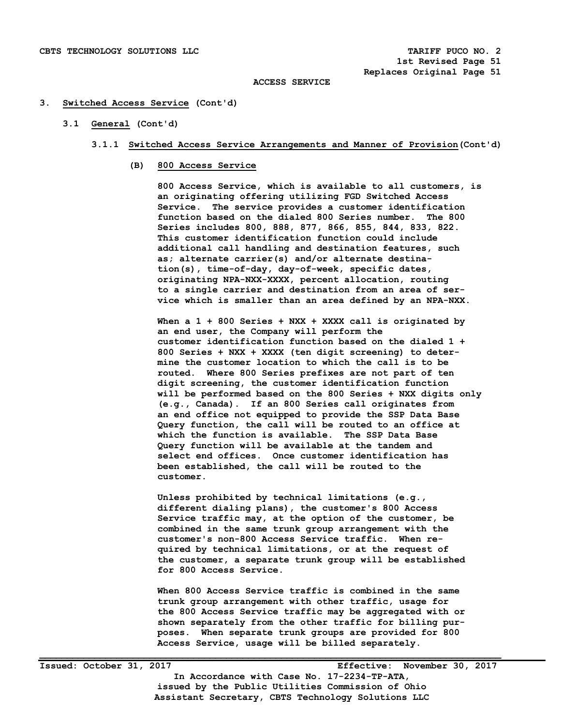## **3. Switched Access Service (Cont'd)**

# **3.1 General (Cont'd)**

- **3.1.1 Switched Access Service Arrangements and Manner of Provision(Cont'd)** 
	- **(B) 800 Access Service**

 **800 Access Service, which is available to all customers, is an originating offering utilizing FGD Switched Access Service. The service provides a customer identification function based on the dialed 800 Series number. The 800 Series includes 800, 888, 877, 866, 855, 844, 833, 822. This customer identification function could include additional call handling and destination features, such as; alternate carrier(s) and/or alternate destina tion(s), time-of-day, day-of-week, specific dates, originating NPA-NXX-XXXX, percent allocation, routing to a single carrier and destination from an area of ser vice which is smaller than an area defined by an NPA-NXX.** 

 **When a 1 + 800 Series + NXX + XXXX call is originated by an end user, the Company will perform the customer identification function based on the dialed 1 + 800 Series + NXX + XXXX (ten digit screening) to deter mine the customer location to which the call is to be routed. Where 800 Series prefixes are not part of ten digit screening, the customer identification function will be performed based on the 800 Series + NXX digits only (e.g., Canada). If an 800 Series call originates from an end office not equipped to provide the SSP Data Base Query function, the call will be routed to an office at which the function is available. The SSP Data Base Query function will be available at the tandem and select end offices. Once customer identification has been established, the call will be routed to the customer.** 

 **Unless prohibited by technical limitations (e.g., different dialing plans), the customer's 800 Access Service traffic may, at the option of the customer, be combined in the same trunk group arrangement with the customer's non-800 Access Service traffic. When re quired by technical limitations, or at the request of the customer, a separate trunk group will be established for 800 Access Service.** 

 **When 800 Access Service traffic is combined in the same trunk group arrangement with other traffic, usage for the 800 Access Service traffic may be aggregated with or shown separately from the other traffic for billing pur poses. When separate trunk groups are provided for 800 Access Service, usage will be billed separately.**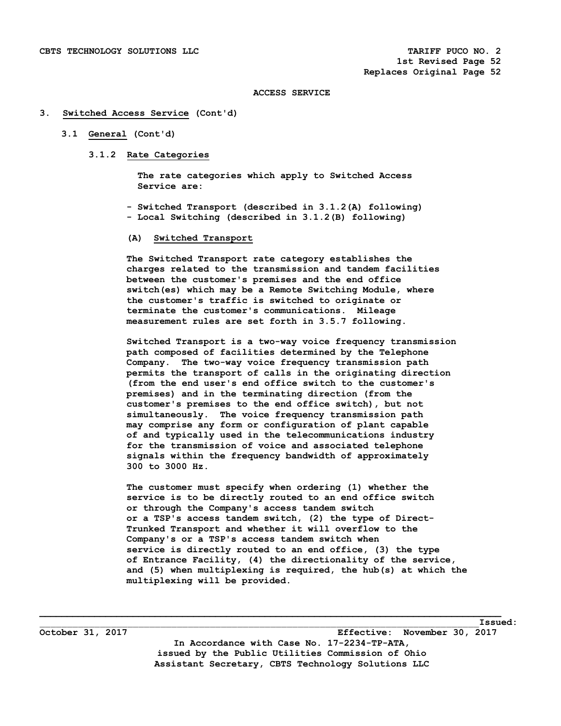### **3. Switched Access Service (Cont'd)**

# **3.1 General (Cont'd)**

 **3.1.2 Rate Categories** 

 **The rate categories which apply to Switched Access Service are:** 

 **- Switched Transport (described in 3.1.2(A) following) - Local Switching (described in 3.1.2(B) following)** 

# **(A) Switched Transport**

 **The Switched Transport rate category establishes the charges related to the transmission and tandem facilities between the customer's premises and the end office switch(es) which may be a Remote Switching Module, where the customer's traffic is switched to originate or terminate the customer's communications. Mileage measurement rules are set forth in 3.5.7 following.** 

 **Switched Transport is a two-way voice frequency transmission path composed of facilities determined by the Telephone Company. The two-way voice frequency transmission path permits the transport of calls in the originating direction (from the end user's end office switch to the customer's premises) and in the terminating direction (from the customer's premises to the end office switch), but not simultaneously. The voice frequency transmission path may comprise any form or configuration of plant capable of and typically used in the telecommunications industry for the transmission of voice and associated telephone signals within the frequency bandwidth of approximately 300 to 3000 Hz.** 

 **The customer must specify when ordering (1) whether the service is to be directly routed to an end office switch or through the Company's access tandem switch or a TSP's access tandem switch, (2) the type of Direct- Trunked Transport and whether it will overflow to the Company's or a TSP's access tandem switch when service is directly routed to an end office, (3) the type of Entrance Facility, (4) the directionality of the service, and (5) when multiplexing is required, the hub(s) at which the multiplexing will be provided.** 

**\_\_\_\_\_\_\_\_\_\_\_\_\_\_\_\_\_\_\_\_\_\_\_\_\_\_\_\_\_\_\_\_\_\_\_\_\_\_\_\_\_\_\_\_\_\_\_\_\_\_\_\_\_\_\_\_\_\_\_\_\_\_\_\_\_\_\_\_\_\_\_\_\_\_\_\_\_\_\_\_\_\_\_\_**   $\blacksquare$   $\blacksquare$   $\blacksquare$   $\blacksquare$   $\blacksquare$   $\blacksquare$   $\blacksquare$   $\blacksquare$   $\blacksquare$   $\blacksquare$   $\blacksquare$   $\blacksquare$   $\blacksquare$   $\blacksquare$   $\blacksquare$   $\blacksquare$   $\blacksquare$   $\blacksquare$   $\blacksquare$   $\blacksquare$   $\blacksquare$   $\blacksquare$   $\blacksquare$   $\blacksquare$   $\blacksquare$   $\blacksquare$   $\blacksquare$   $\blacksquare$   $\blacksquare$   $\blacksquare$   $\blacksquare$   $\blacks$ 

**October 31, 2017 Effective: November 30, 2017 In Accordance with Case No. 17-2234-TP-ATA, issued by the Public Utilities Commission of Ohio Assistant Secretary, CBTS Technology Solutions LLC**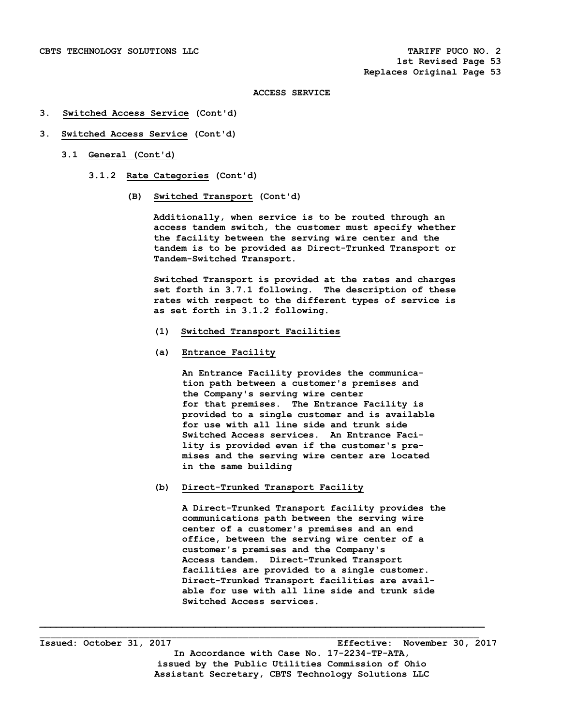# **3. Switched Access Service (Cont'd)**

# **3. Switched Access Service (Cont'd)**

- **3.1 General (Cont'd)** 
	- **3.1.2 Rate Categories (Cont'd)** 
		- **(B) Switched Transport (Cont'd)**

 **Additionally, when service is to be routed through an access tandem switch, the customer must specify whether the facility between the serving wire center and the tandem is to be provided as Direct-Trunked Transport or Tandem-Switched Transport.** 

 **Switched Transport is provided at the rates and charges set forth in 3.7.1 following. The description of these rates with respect to the different types of service is as set forth in 3.1.2 following.** 

- **(1) Switched Transport Facilities**
- **(a) Entrance Facility**

 **An Entrance Facility provides the communica tion path between a customer's premises and the Company's serving wire center for that premises. The Entrance Facility is provided to a single customer and is available for use with all line side and trunk side Switched Access services. An Entrance Faci lity is provided even if the customer's pre mises and the serving wire center are located in the same building** 

 **(b) Direct-Trunked Transport Facility** 

**\_\_\_\_\_\_\_\_\_\_\_\_\_\_\_\_\_\_\_\_\_\_\_\_\_\_\_\_\_\_\_\_\_\_\_\_\_\_\_\_\_\_\_\_\_\_\_\_\_\_\_\_\_\_\_\_\_\_\_\_\_\_\_\_\_\_\_\_\_\_\_\_\_\_\_\_\_\_\_\_\_**   $\Box$ 

 **A Direct-Trunked Transport facility provides the communications path between the serving wire center of a customer's premises and an end office, between the serving wire center of a customer's premises and the Company's Access tandem. Direct-Trunked Transport facilities are provided to a single customer. Direct-Trunked Transport facilities are avail able for use with all line side and trunk side Switched Access services.** 

**Issued: October 31, 2017 Effective: November 30, 2017 In Accordance with Case No. 17-2234-TP-ATA, issued by the Public Utilities Commission of Ohio Assistant Secretary, CBTS Technology Solutions LLC**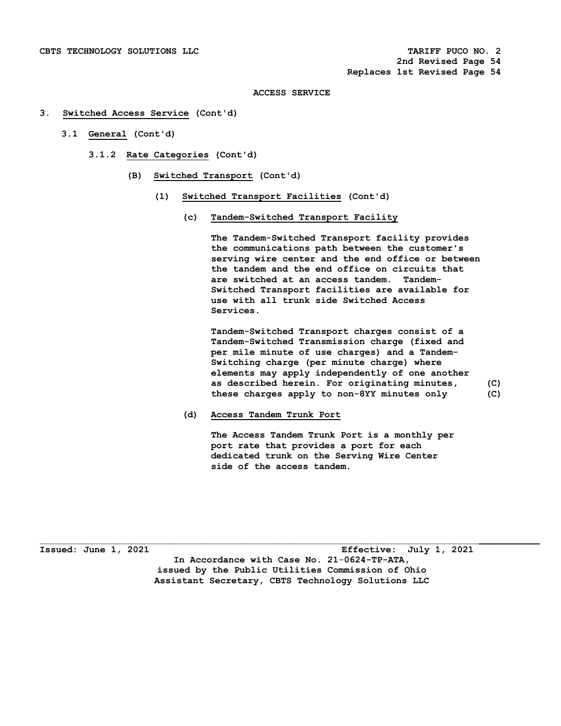### **3. Switched Access Service (Cont'd)**

- **3.1 General (Cont'd)** 
	- **3.1.2 Rate Categories (Cont'd)** 
		- **(B) Switched Transport (Cont'd)** 
			- **(1) Switched Transport Facilities (Cont'd)** 
				- **(c) Tandem-Switched Transport Facility**

 **The Tandem-Switched Transport facility provides the communications path between the customer's serving wire center and the end office or between the tandem and the end office on circuits that are switched at an access tandem. Tandem- Switched Transport facilities are available for use with all trunk side Switched Access Services.** 

 **Tandem-Switched Transport charges consist of a Tandem-Switched Transmission charge (fixed and per mile minute of use charges) and a Tandem- Switching charge (per minute charge) where elements may apply independently of one another as described herein. For originating minutes, (C) these charges apply to non-8YY minutes only (C)** 

 **(d) Access Tandem Trunk Port** 

 **The Access Tandem Trunk Port is a monthly per port rate that provides a port for each dedicated trunk on the Serving Wire Center side of the access tandem.** 

\_\_\_\_\_\_\_\_\_\_\_\_\_\_\_\_\_\_\_\_\_\_\_\_\_\_\_\_\_\_\_\_\_\_\_\_\_\_\_\_\_\_\_\_\_\_\_\_\_\_\_\_\_\_\_\_\_\_\_\_\_\_\_\_\_\_\_\_\_\_\_\_\_\_\_\_\_\_\_\_**\_\_\_\_\_\_\_\_\_\_\_ Issued: June 1, 2021 Effective: July 1, 2021 In Accordance with Case No. 21-0624-TP-ATA, issued by the Public Utilities Commission of Ohio Assistant Secretary, CBTS Technology Solutions LLC**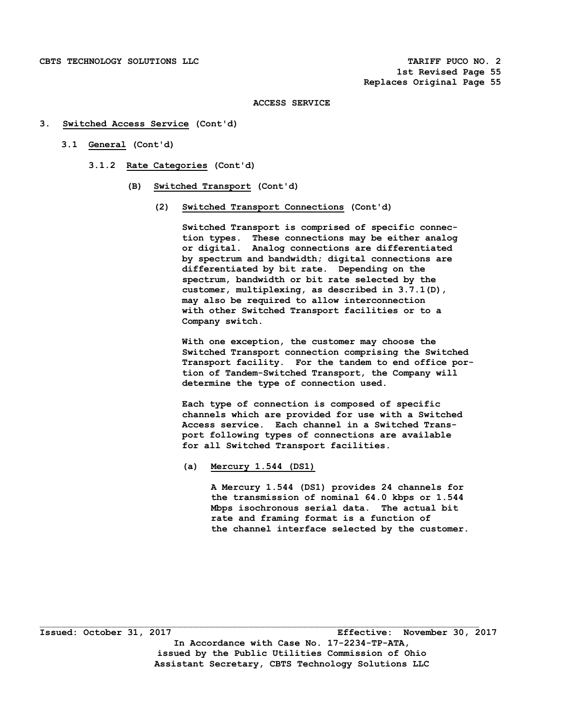- **3. Switched Access Service (Cont'd)** 
	- **3.1 General (Cont'd)** 
		- **3.1.2 Rate Categories (Cont'd)** 
			- **(B) Switched Transport (Cont'd)** 
				- **(2) Switched Transport Connections (Cont'd)**

 **Switched Transport is comprised of specific connec tion types. These connections may be either analog or digital. Analog connections are differentiated by spectrum and bandwidth; digital connections are differentiated by bit rate. Depending on the spectrum, bandwidth or bit rate selected by the customer, multiplexing, as described in 3.7.1(D), may also be required to allow interconnection with other Switched Transport facilities or to a Company switch.** 

 **With one exception, the customer may choose the Switched Transport connection comprising the Switched Transport facility. For the tandem to end office por tion of Tandem-Switched Transport, the Company will determine the type of connection used.** 

 **Each type of connection is composed of specific channels which are provided for use with a Switched Access service. Each channel in a Switched Trans port following types of connections are available for all Switched Transport facilities.** 

 **(a) Mercury 1.544 (DS1)** 

 **A Mercury 1.544 (DS1) provides 24 channels for the transmission of nominal 64.0 kbps or 1.544 Mbps isochronous serial data. The actual bit rate and framing format is a function of the channel interface selected by the customer.**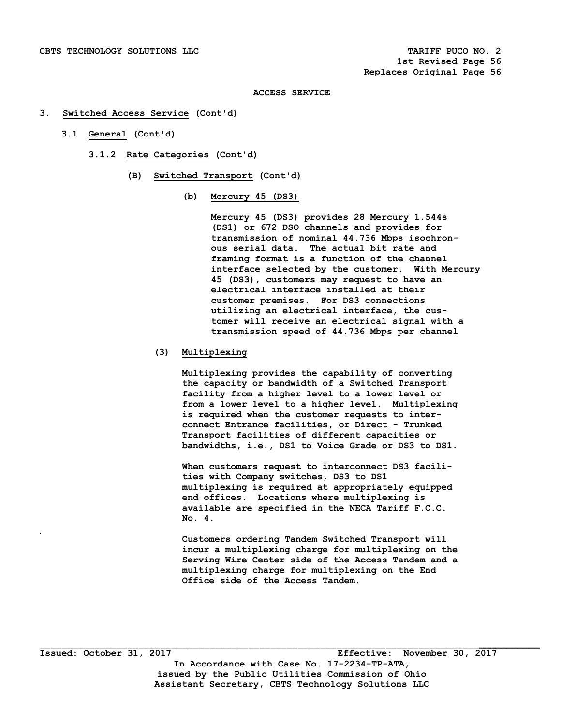### **3. Switched Access Service (Cont'd)**

- **3.1 General (Cont'd)** 
	- **3.1.2 Rate Categories (Cont'd)** 
		- **(B) Switched Transport (Cont'd)** 
			- **(b) Mercury 45 (DS3)**

 **Mercury 45 (DS3) provides 28 Mercury 1.544s (DS1) or 672 DSO channels and provides for transmission of nominal 44.736 Mbps isochron ous serial data. The actual bit rate and framing format is a function of the channel interface selected by the customer. With Mercury 45 (DS3), customers may request to have an electrical interface installed at their customer premises. For DS3 connections utilizing an electrical interface, the cus tomer will receive an electrical signal with a transmission speed of 44.736 Mbps per channel** 

# **(3) Multiplexing**

 **Multiplexing provides the capability of converting the capacity or bandwidth of a Switched Transport facility from a higher level to a lower level or from a lower level to a higher level. Multiplexing is required when the customer requests to inter connect Entrance facilities, or Direct - Trunked Transport facilities of different capacities or bandwidths, i.e., DS1 to Voice Grade or DS3 to DS1.** 

 **When customers request to interconnect DS3 facili ties with Company switches, DS3 to DS1 multiplexing is required at appropriately equipped end offices. Locations where multiplexing is available are specified in the NECA Tariff F.C.C. No. 4.** 

 **Customers ordering Tandem Switched Transport will incur a multiplexing charge for multiplexing on the Serving Wire Center side of the Access Tandem and a multiplexing charge for multiplexing on the End Office side of the Access Tandem.** 

 $\mathcal{L}_\mathcal{L} = \{ \mathcal{L}_\mathcal{L} = \{ \mathcal{L}_\mathcal{L} = \{ \mathcal{L}_\mathcal{L} = \{ \mathcal{L}_\mathcal{L} = \{ \mathcal{L}_\mathcal{L} = \{ \mathcal{L}_\mathcal{L} = \{ \mathcal{L}_\mathcal{L} = \{ \mathcal{L}_\mathcal{L} = \{ \mathcal{L}_\mathcal{L} = \{ \mathcal{L}_\mathcal{L} = \{ \mathcal{L}_\mathcal{L} = \{ \mathcal{L}_\mathcal{L} = \{ \mathcal{L}_\mathcal{L} = \{ \mathcal{L}_\mathcal{$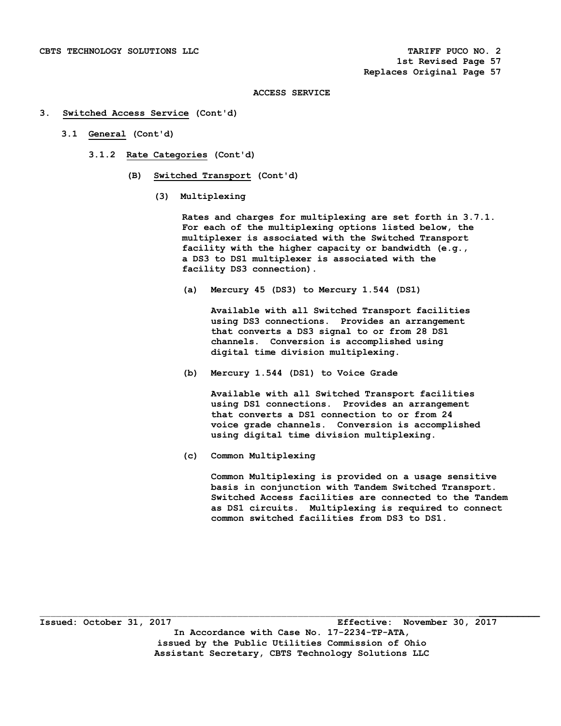### **3. Switched Access Service (Cont'd)**

- **3.1 General (Cont'd)** 
	- **3.1.2 Rate Categories (Cont'd)** 
		- **(B) Switched Transport (Cont'd)** 
			- **(3) Multiplexing**

 **Rates and charges for multiplexing are set forth in 3.7.1. For each of the multiplexing options listed below, the multiplexer is associated with the Switched Transport facility with the higher capacity or bandwidth (e.g., a DS3 to DS1 multiplexer is associated with the facility DS3 connection).** 

 **(a) Mercury 45 (DS3) to Mercury 1.544 (DS1)** 

 **Available with all Switched Transport facilities using DS3 connections. Provides an arrangement that converts a DS3 signal to or from 28 DS1 channels. Conversion is accomplished using digital time division multiplexing.** 

 **(b) Mercury 1.544 (DS1) to Voice Grade** 

 **Available with all Switched Transport facilities using DS1 connections. Provides an arrangement that converts a DS1 connection to or from 24 voice grade channels. Conversion is accomplished using digital time division multiplexing.** 

 **(c) Common Multiplexing** 

 **Common Multiplexing is provided on a usage sensitive basis in conjunction with Tandem Switched Transport. Switched Access facilities are connected to the Tandem as DS1 circuits. Multiplexing is required to connect common switched facilities from DS3 to DS1.**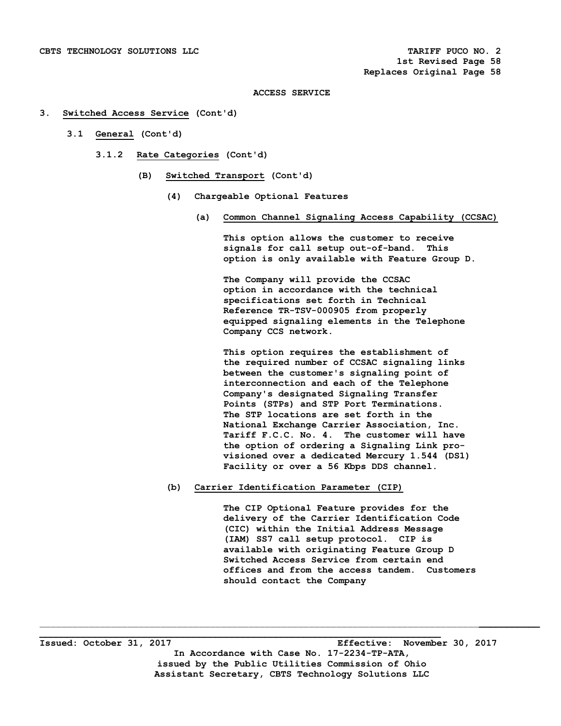### **3. Switched Access Service (Cont'd)**

- **3.1 General (Cont'd)** 
	- **3.1.2 Rate Categories (Cont'd)** 
		- **(B) Switched Transport (Cont'd)** 
			- **(4) Chargeable Optional Features** 
				- **(a) Common Channel Signaling Access Capability (CCSAC)**

 **This option allows the customer to receive signals for call setup out-of-band. This option is only available with Feature Group D.** 

 **The Company will provide the CCSAC option in accordance with the technical specifications set forth in Technical Reference TR-TSV-000905 from properly equipped signaling elements in the Telephone Company CCS network.** 

 **This option requires the establishment of the required number of CCSAC signaling links between the customer's signaling point of interconnection and each of the Telephone Company's designated Signaling Transfer Points (STPs) and STP Port Terminations. The STP locations are set forth in the National Exchange Carrier Association, Inc. Tariff F.C.C. No. 4. The customer will have the option of ordering a Signaling Link pro visioned over a dedicated Mercury 1.544 (DS1) Facility or over a 56 Kbps DDS channel.** 

 **(b) Carrier Identification Parameter (CIP)** 

 **The CIP Optional Feature provides for the delivery of the Carrier Identification Code (CIC) within the Initial Address Message (IAM) SS7 call setup protocol. CIP is available with originating Feature Group D Switched Access Service from certain end offices and from the access tandem. Customers should contact the Company** 

**\_\_\_\_\_\_\_\_\_\_\_\_\_\_\_\_\_\_\_\_\_\_\_\_\_\_\_\_\_\_\_\_\_\_\_\_\_\_\_\_\_\_\_\_\_\_\_\_\_\_\_\_\_\_\_\_\_\_\_\_\_\_\_\_\_\_\_\_\_\_\_\_\_ Issued: October 31, 2017 Effective: November 30, 2017 In Accordance with Case No. 17-2234-TP-ATA, issued by the Public Utilities Commission of Ohio Assistant Secretary, CBTS Technology Solutions LLC**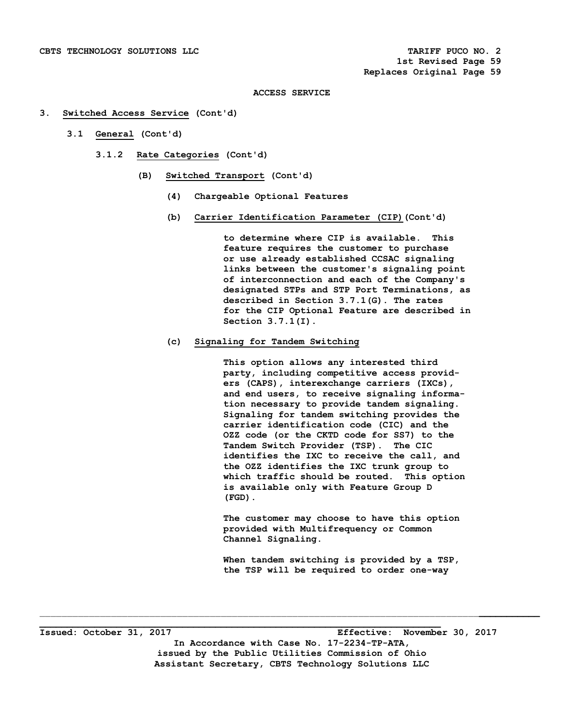### **3. Switched Access Service (Cont'd)**

- **3.1 General (Cont'd)** 
	- **3.1.2 Rate Categories (Cont'd)** 
		- **(B) Switched Transport (Cont'd)** 
			- **(4) Chargeable Optional Features**
			- **(b) Carrier Identification Parameter (CIP)(Cont'd)**

 **to determine where CIP is available. This feature requires the customer to purchase or use already established CCSAC signaling links between the customer's signaling point of interconnection and each of the Company's designated STPs and STP Port Terminations, as described in Section 3.7.1(G). The rates for the CIP Optional Feature are described in Section 3.7.1(I).** 

# **(c) Signaling for Tandem Switching**

 **This option allows any interested third party, including competitive access provid ers (CAPS), interexchange carriers (IXCs), and end users, to receive signaling informa tion necessary to provide tandem signaling. Signaling for tandem switching provides the carrier identification code (CIC) and the OZZ code (or the CKTD code for SS7) to the Tandem Switch Provider (TSP). The CIC identifies the IXC to receive the call, and the OZZ identifies the IXC trunk group to which traffic should be routed. This option is available only with Feature Group D (FGD).** 

 **The customer may choose to have this option provided with Multifrequency or Common Channel Signaling.** 

 **When tandem switching is provided by a TSP, the TSP will be required to order one-way** 

**Issued: October 31, 2017 Effective: November 30, 2017 In Accordance with Case No. 17-2234-TP-ATA, issued by the Public Utilities Commission of Ohio Assistant Secretary, CBTS Technology Solutions LLC** 

 $\mathcal{L}_\mathcal{L} = \{ \mathcal{L}_\mathcal{L} = \{ \mathcal{L}_\mathcal{L} = \{ \mathcal{L}_\mathcal{L} = \{ \mathcal{L}_\mathcal{L} = \{ \mathcal{L}_\mathcal{L} = \{ \mathcal{L}_\mathcal{L} = \{ \mathcal{L}_\mathcal{L} = \{ \mathcal{L}_\mathcal{L} = \{ \mathcal{L}_\mathcal{L} = \{ \mathcal{L}_\mathcal{L} = \{ \mathcal{L}_\mathcal{L} = \{ \mathcal{L}_\mathcal{L} = \{ \mathcal{L}_\mathcal{L} = \{ \mathcal{L}_\mathcal{$ 

**\_\_\_\_\_\_\_\_\_\_\_\_\_\_\_\_\_\_\_\_\_\_\_\_\_\_\_\_\_\_\_\_\_\_\_\_\_\_\_\_\_\_\_\_\_\_\_\_\_\_\_\_\_\_\_\_\_\_\_\_\_\_\_\_\_\_\_\_\_\_\_\_\_**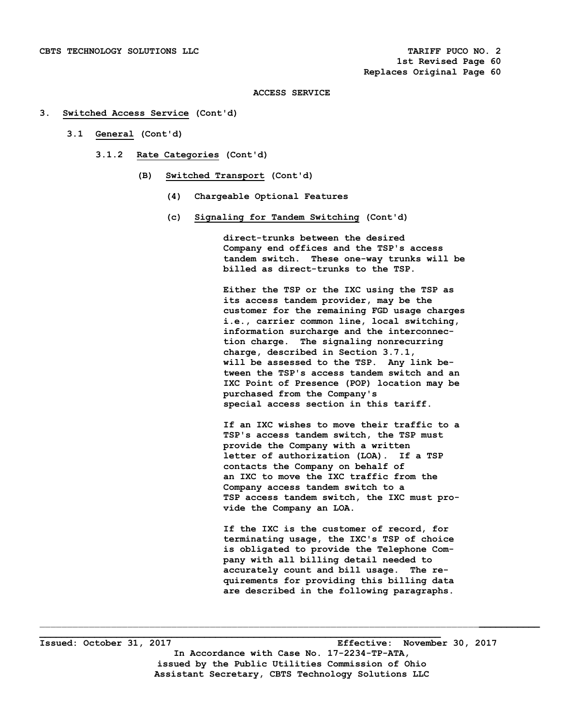### **3. Switched Access Service (Cont'd)**

- **3.1 General (Cont'd)** 
	- **3.1.2 Rate Categories (Cont'd)** 
		- **(B) Switched Transport (Cont'd)** 
			- **(4) Chargeable Optional Features**
			- **(c) Signaling for Tandem Switching (Cont'd)**

 **direct-trunks between the desired Company end offices and the TSP's access tandem switch. These one-way trunks will be billed as direct-trunks to the TSP.** 

 **Either the TSP or the IXC using the TSP as its access tandem provider, may be the customer for the remaining FGD usage charges i.e., carrier common line, local switching, information surcharge and the interconnec tion charge. The signaling nonrecurring charge, described in Section 3.7.1, will be assessed to the TSP. Any link be tween the TSP's access tandem switch and an IXC Point of Presence (POP) location may be purchased from the Company's special access section in this tariff.** 

 **If an IXC wishes to move their traffic to a TSP's access tandem switch, the TSP must provide the Company with a written letter of authorization (LOA). If a TSP contacts the Company on behalf of an IXC to move the IXC traffic from the Company access tandem switch to a TSP access tandem switch, the IXC must pro vide the Company an LOA.** 

 **If the IXC is the customer of record, for terminating usage, the IXC's TSP of choice is obligated to provide the Telephone Com pany with all billing detail needed to accurately count and bill usage. The re quirements for providing this billing data are described in the following paragraphs.** 

**Issued: October 31, 2017 Effective: November 30, 2017 In Accordance with Case No. 17-2234-TP-ATA, issued by the Public Utilities Commission of Ohio Assistant Secretary, CBTS Technology Solutions LLC** 

\_\_\_\_\_\_\_\_\_\_\_\_\_\_\_\_\_\_\_\_\_\_\_\_\_\_\_\_\_\_\_\_\_\_\_\_\_\_\_\_\_\_\_\_\_\_\_\_\_\_\_\_\_\_\_\_\_\_\_\_\_\_\_\_\_\_\_\_\_\_\_\_\_\_\_\_\_\_\_\_**\_\_\_\_\_\_\_\_\_\_\_**

**\_\_\_\_\_\_\_\_\_\_\_\_\_\_\_\_\_\_\_\_\_\_\_\_\_\_\_\_\_\_\_\_\_\_\_\_\_\_\_\_\_\_\_\_\_\_\_\_\_\_\_\_\_\_\_\_\_\_\_\_\_\_\_\_\_\_\_\_\_\_\_\_\_**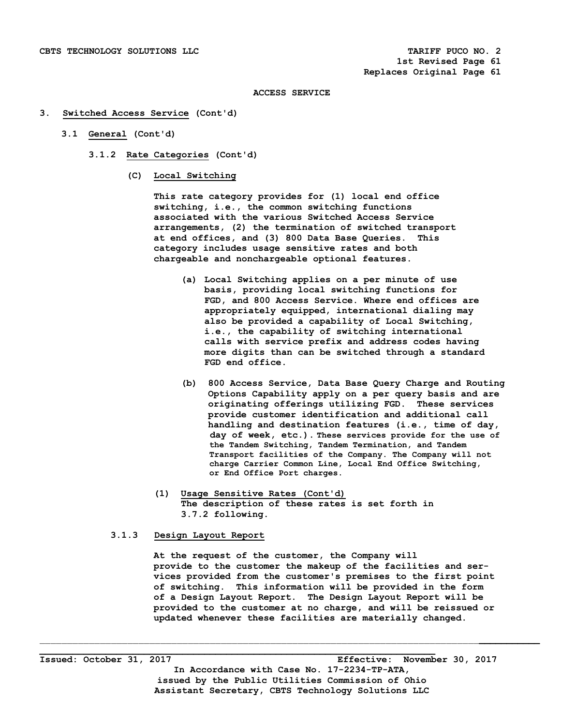### **3. Switched Access Service (Cont'd)**

- **3.1 General (Cont'd)** 
	- **3.1.2 Rate Categories (Cont'd)** 
		- **(C) Local Switching**

 **This rate category provides for (1) local end office switching, i.e., the common switching functions associated with the various Switched Access Service arrangements, (2) the termination of switched transport at end offices, and (3) 800 Data Base Queries. This category includes usage sensitive rates and both chargeable and nonchargeable optional features.** 

- **(a) Local Switching applies on a per minute of use basis, providing local switching functions for FGD, and 800 Access Service. Where end offices are appropriately equipped, international dialing may also be provided a capability of Local Switching, i.e., the capability of switching international calls with service prefix and address codes having more digits than can be switched through a standard FGD end office.**
- **(b) 800 Access Service, Data Base Query Charge and Routing Options Capability apply on a per query basis and are originating offerings utilizing FGD. These services provide customer identification and additional call handling and destination features (i.e., time of day, day of week, etc.). These services provide for the use of the Tandem Switching, Tandem Termination, and Tandem Transport facilities of the Company. The Company will not charge Carrier Common Line, Local End Office Switching, or End Office Port charges.**
- **(1) Usage Sensitive Rates (Cont'd) The description of these rates is set forth in 3.7.2 following.**

# **3.1.3 Design Layout Report**

 **At the request of the customer, the Company will provide to the customer the makeup of the facilities and ser vices provided from the customer's premises to the first point of switching. This information will be provided in the form of a Design Layout Report. The Design Layout Report will be provided to the customer at no charge, and will be reissued or updated whenever these facilities are materially changed.**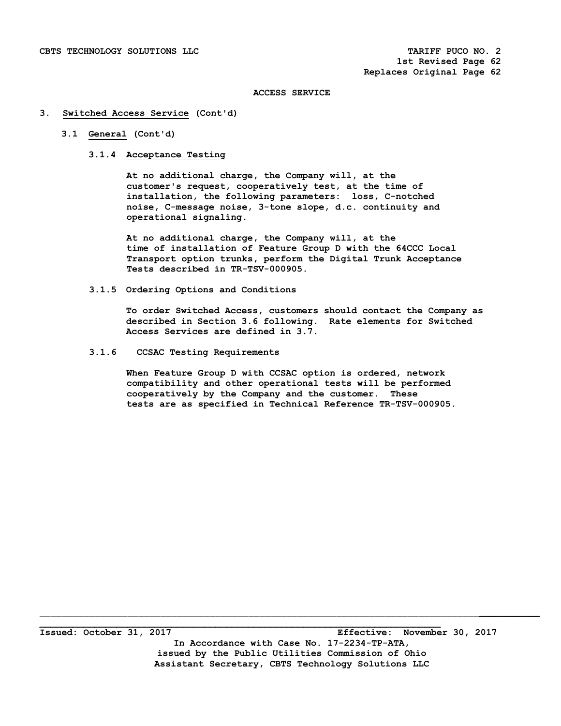### **3. Switched Access Service (Cont'd)**

# **3.1 General (Cont'd)**

# **3.1.4 Acceptance Testing**

 **At no additional charge, the Company will, at the customer's request, cooperatively test, at the time of installation, the following parameters: loss, C-notched noise, C-message noise, 3-tone slope, d.c. continuity and operational signaling.** 

 **At no additional charge, the Company will, at the time of installation of Feature Group D with the 64CCC Local Transport option trunks, perform the Digital Trunk Acceptance Tests described in TR-TSV-000905.** 

 **3.1.5 Ordering Options and Conditions** 

 **To order Switched Access, customers should contact the Company as described in Section 3.6 following. Rate elements for Switched Access Services are defined in 3.7.** 

 **3.1.6 CCSAC Testing Requirements** 

 **When Feature Group D with CCSAC option is ordered, network compatibility and other operational tests will be performed cooperatively by the Company and the customer. These tests are as specified in Technical Reference TR-TSV-000905.** 

**Issued: October 31, 2017 Effective: November 30, 2017 In Accordance with Case No. 17-2234-TP-ATA, issued by the Public Utilities Commission of Ohio Assistant Secretary, CBTS Technology Solutions LLC** 

 $\mathcal{L}_\mathcal{L} = \{ \mathcal{L}_\mathcal{L} = \{ \mathcal{L}_\mathcal{L} = \{ \mathcal{L}_\mathcal{L} = \{ \mathcal{L}_\mathcal{L} = \{ \mathcal{L}_\mathcal{L} = \{ \mathcal{L}_\mathcal{L} = \{ \mathcal{L}_\mathcal{L} = \{ \mathcal{L}_\mathcal{L} = \{ \mathcal{L}_\mathcal{L} = \{ \mathcal{L}_\mathcal{L} = \{ \mathcal{L}_\mathcal{L} = \{ \mathcal{L}_\mathcal{L} = \{ \mathcal{L}_\mathcal{L} = \{ \mathcal{L}_\mathcal{$ 

**\_\_\_\_\_\_\_\_\_\_\_\_\_\_\_\_\_\_\_\_\_\_\_\_\_\_\_\_\_\_\_\_\_\_\_\_\_\_\_\_\_\_\_\_\_\_\_\_\_\_\_\_\_\_\_\_\_\_\_\_\_\_\_\_\_\_\_\_\_\_\_\_\_**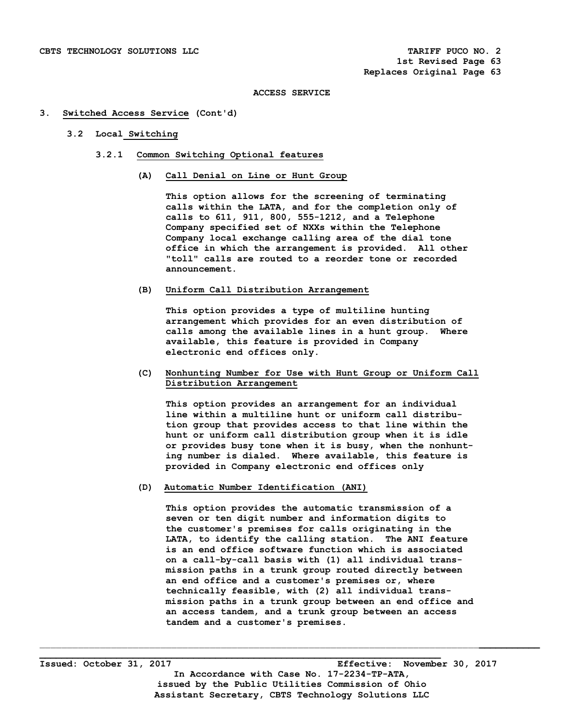### **3. Switched Access Service (Cont'd)**

# **3.2 Local Switching**

- **3.2.1 Common Switching Optional features** 
	- **(A) Call Denial on Line or Hunt Group**

 **This option allows for the screening of terminating calls within the LATA, and for the completion only of calls to 611, 911, 800, 555-1212, and a Telephone Company specified set of NXXs within the Telephone Company local exchange calling area of the dial tone office in which the arrangement is provided. All other "toll" calls are routed to a reorder tone or recorded announcement.** 

# **(B) Uniform Call Distribution Arrangement**

 **This option provides a type of multiline hunting arrangement which provides for an even distribution of calls among the available lines in a hunt group. Where available, this feature is provided in Company electronic end offices only.** 

# **(C) Nonhunting Number for Use with Hunt Group or Uniform Call Distribution Arrangement**

 **This option provides an arrangement for an individual line within a multiline hunt or uniform call distribu tion group that provides access to that line within the hunt or uniform call distribution group when it is idle or provides busy tone when it is busy, when the nonhunt ing number is dialed. Where available, this feature is provided in Company electronic end offices only** 

# **(D) Automatic Number Identification (ANI)**

 **This option provides the automatic transmission of a seven or ten digit number and information digits to the customer's premises for calls originating in the LATA, to identify the calling station. The ANI feature is an end office software function which is associated on a call-by-call basis with (1) all individual trans mission paths in a trunk group routed directly between an end office and a customer's premises or, where technically feasible, with (2) all individual trans mission paths in a trunk group between an end office and an access tandem, and a trunk group between an access tandem and a customer's premises.** 

**\_\_\_\_\_\_\_\_\_\_\_\_\_\_\_\_\_\_\_\_\_\_\_\_\_\_\_\_\_\_\_\_\_\_\_\_\_\_\_\_\_\_\_\_\_\_\_\_\_\_\_\_\_\_\_\_\_\_\_\_\_\_\_\_\_\_\_\_\_\_\_\_\_ Issued: October 31, 2017 Effective: November 30, 2017 In Accordance with Case No. 17-2234-TP-ATA, issued by the Public Utilities Commission of Ohio Assistant Secretary, CBTS Technology Solutions LLC** 

 $\mathcal{L}_\mathcal{L} = \{ \mathcal{L}_\mathcal{L} = \{ \mathcal{L}_\mathcal{L} = \{ \mathcal{L}_\mathcal{L} = \{ \mathcal{L}_\mathcal{L} = \{ \mathcal{L}_\mathcal{L} = \{ \mathcal{L}_\mathcal{L} = \{ \mathcal{L}_\mathcal{L} = \{ \mathcal{L}_\mathcal{L} = \{ \mathcal{L}_\mathcal{L} = \{ \mathcal{L}_\mathcal{L} = \{ \mathcal{L}_\mathcal{L} = \{ \mathcal{L}_\mathcal{L} = \{ \mathcal{L}_\mathcal{L} = \{ \mathcal{L}_\mathcal{$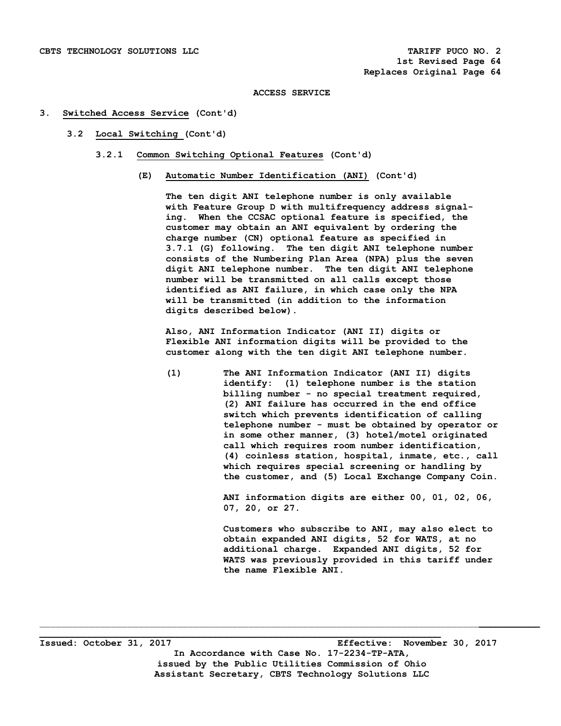## **3. Switched Access Service (Cont'd)**

- **3.2 Local Switching (Cont'd)** 
	- **3.2.1 Common Switching Optional Features (Cont'd)** 
		- **(E) Automatic Number Identification (ANI) (Cont'd)**

 **The ten digit ANI telephone number is only available with Feature Group D with multifrequency address signal ing. When the CCSAC optional feature is specified, the customer may obtain an ANI equivalent by ordering the charge number (CN) optional feature as specified in 3.7.1 (G) following. The ten digit ANI telephone number consists of the Numbering Plan Area (NPA) plus the seven digit ANI telephone number. The ten digit ANI telephone number will be transmitted on all calls except those identified as ANI failure, in which case only the NPA will be transmitted (in addition to the information digits described below).** 

 **Also, ANI Information Indicator (ANI II) digits or Flexible ANI information digits will be provided to the customer along with the ten digit ANI telephone number.** 

 **(1) The ANI Information Indicator (ANI II) digits identify: (1) telephone number is the station billing number - no special treatment required, (2) ANI failure has occurred in the end office switch which prevents identification of calling telephone number - must be obtained by operator or in some other manner, (3) hotel/motel originated call which requires room number identification, (4) coinless station, hospital, inmate, etc., call which requires special screening or handling by the customer, and (5) Local Exchange Company Coin.** 

> **ANI information digits are either 00, 01, 02, 06, 07, 20, or 27.**

> **Customers who subscribe to ANI, may also elect to obtain expanded ANI digits, 52 for WATS, at no additional charge. Expanded ANI digits, 52 for WATS was previously provided in this tariff under the name Flexible ANI.**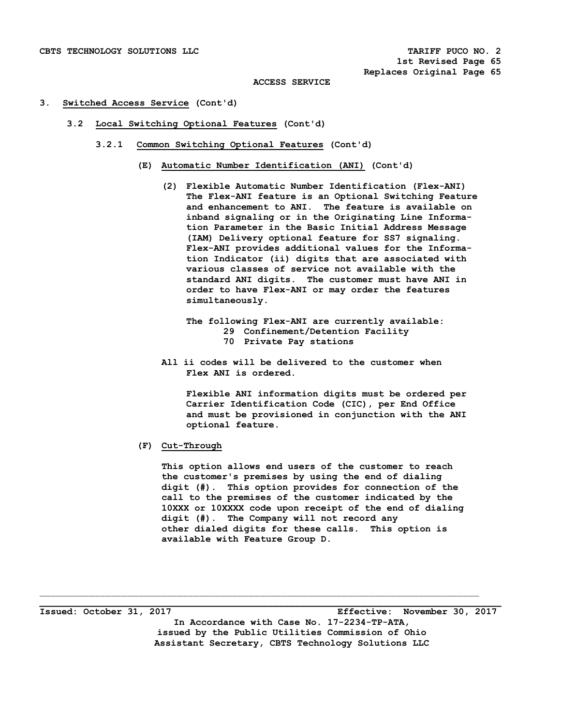# **3. Switched Access Service (Cont'd)**

- **3.2 Local Switching Optional Features (Cont'd)** 
	- **3.2.1 Common Switching Optional Features (Cont'd)** 
		- **(E) Automatic Number Identification (ANI) (Cont'd)** 
			- **(2) Flexible Automatic Number Identification (Flex-ANI) The Flex-ANI feature is an Optional Switching Feature and enhancement to ANI. The feature is available on inband signaling or in the Originating Line Informa tion Parameter in the Basic Initial Address Message (IAM) Delivery optional feature for SS7 signaling. Flex-ANI provides additional values for the Informa tion Indicator (ii) digits that are associated with various classes of service not available with the standard ANI digits. The customer must have ANI in order to have Flex-ANI or may order the features simultaneously.** 
				- **The following Flex-ANI are currently available: 29 Confinement/Detention Facility 70 Private Pay stations**
			- **All ii codes will be delivered to the customer when Flex ANI is ordered.**

 **Flexible ANI information digits must be ordered per Carrier Identification Code (CIC), per End Office and must be provisioned in conjunction with the ANI optional feature.** 

 **(F) Cut-Through** 

 **This option allows end users of the customer to reach the customer's premises by using the end of dialing digit (#). This option provides for connection of the call to the premises of the customer indicated by the 10XXX or 10XXXX code upon receipt of the end of dialing digit (#). The Company will not record any other dialed digits for these calls. This option is available with Feature Group D.** 

**Issued: October 31, 2017 Effective: November 30, 2017 In Accordance with Case No. 17-2234-TP-ATA, issued by the Public Utilities Commission of Ohio Assistant Secretary, CBTS Technology Solutions LLC** 

\_\_\_\_\_\_\_\_\_\_\_\_\_\_\_\_\_\_\_\_\_\_\_\_\_\_\_\_\_\_\_\_\_\_\_\_\_\_\_\_\_\_\_\_\_\_\_\_\_\_\_\_\_\_\_\_\_\_\_\_\_\_\_\_\_\_\_\_\_\_\_\_\_\_\_\_\_\_\_\_ **\_\_\_\_\_\_\_\_\_\_\_\_\_\_\_\_\_\_\_\_\_\_\_\_\_\_\_\_\_\_\_\_\_\_\_\_\_\_\_\_\_\_\_\_\_\_\_\_\_\_\_\_\_\_\_\_\_\_\_\_\_\_\_\_\_\_\_\_\_\_\_\_\_\_\_\_\_\_\_\_\_\_\_\_**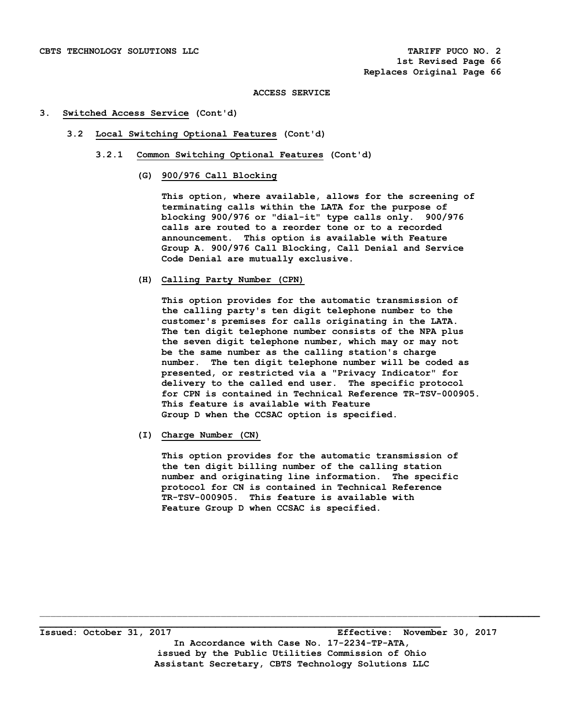## **3. Switched Access Service (Cont'd)**

- **3.2 Local Switching Optional Features (Cont'd)** 
	- **3.2.1 Common Switching Optional Features (Cont'd)** 
		- **(G) 900/976 Call Blocking**

 **This option, where available, allows for the screening of terminating calls within the LATA for the purpose of blocking 900/976 or "dial-it" type calls only. 900/976 calls are routed to a reorder tone or to a recorded announcement. This option is available with Feature Group A. 900/976 Call Blocking, Call Denial and Service Code Denial are mutually exclusive.** 

 **(H) Calling Party Number (CPN)** 

 **This option provides for the automatic transmission of the calling party's ten digit telephone number to the customer's premises for calls originating in the LATA. The ten digit telephone number consists of the NPA plus the seven digit telephone number, which may or may not be the same number as the calling station's charge number. The ten digit telephone number will be coded as presented, or restricted via a "Privacy Indicator" for delivery to the called end user. The specific protocol for CPN is contained in Technical Reference TR-TSV-000905. This feature is available with Feature Group D when the CCSAC option is specified.** 

 **(I) Charge Number (CN)** 

 **This option provides for the automatic transmission of the ten digit billing number of the calling station number and originating line information. The specific protocol for CN is contained in Technical Reference TR-TSV-000905. This feature is available with Feature Group D when CCSAC is specified.** 

**\_\_\_\_\_\_\_\_\_\_\_\_\_\_\_\_\_\_\_\_\_\_\_\_\_\_\_\_\_\_\_\_\_\_\_\_\_\_\_\_\_\_\_\_\_\_\_\_\_\_\_\_\_\_\_\_\_\_\_\_\_\_\_\_\_\_\_\_\_\_\_\_\_ Issued: October 31, 2017 Effective: November 30, 2017 In Accordance with Case No. 17-2234-TP-ATA, issued by the Public Utilities Commission of Ohio Assistant Secretary, CBTS Technology Solutions LLC** 

 $\mathcal{L}_\mathcal{L} = \{ \mathcal{L}_\mathcal{L} = \{ \mathcal{L}_\mathcal{L} = \{ \mathcal{L}_\mathcal{L} = \{ \mathcal{L}_\mathcal{L} = \{ \mathcal{L}_\mathcal{L} = \{ \mathcal{L}_\mathcal{L} = \{ \mathcal{L}_\mathcal{L} = \{ \mathcal{L}_\mathcal{L} = \{ \mathcal{L}_\mathcal{L} = \{ \mathcal{L}_\mathcal{L} = \{ \mathcal{L}_\mathcal{L} = \{ \mathcal{L}_\mathcal{L} = \{ \mathcal{L}_\mathcal{L} = \{ \mathcal{L}_\mathcal{$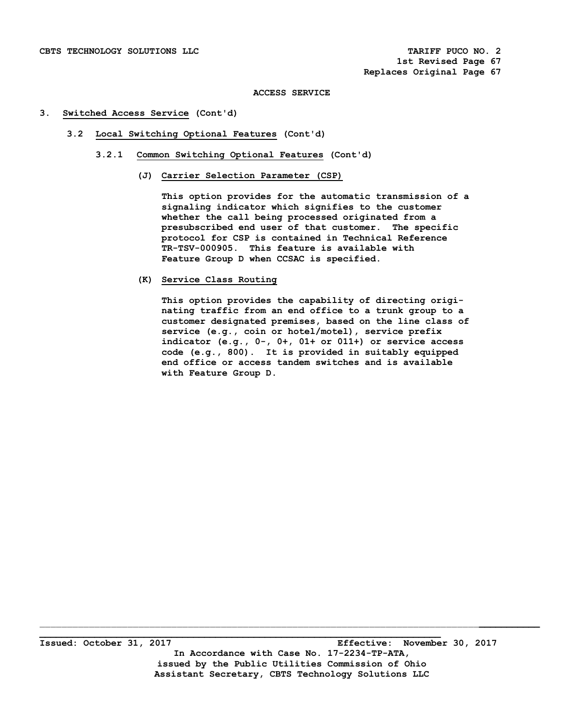# **3. Switched Access Service (Cont'd)**

- **3.2 Local Switching Optional Features (Cont'd)** 
	- **3.2.1 Common Switching Optional Features (Cont'd)** 
		- **(J) Carrier Selection Parameter (CSP)**

 **This option provides for the automatic transmission of a signaling indicator which signifies to the customer whether the call being processed originated from a presubscribed end user of that customer. The specific protocol for CSP is contained in Technical Reference TR-TSV-000905. This feature is available with Feature Group D when CCSAC is specified.** 

 **(K) Service Class Routing** 

 **This option provides the capability of directing origi nating traffic from an end office to a trunk group to a customer designated premises, based on the line class of service (e.g., coin or hotel/motel), service prefix indicator (e.g., 0-, 0+, 01+ or 011+) or service access code (e.g., 800). It is provided in suitably equipped end office or access tandem switches and is available with Feature Group D.**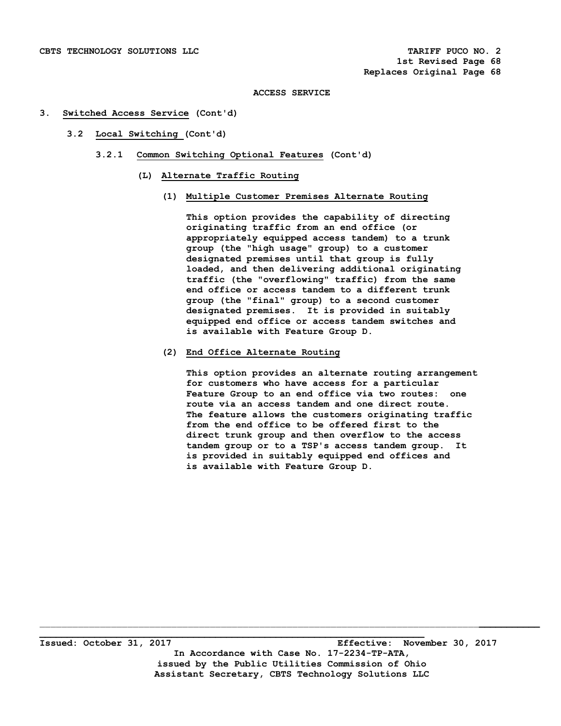# **3. Switched Access Service (Cont'd)**

- **3.2 Local Switching (Cont'd)** 
	- **3.2.1 Common Switching Optional Features (Cont'd)** 
		- **(L) Alternate Traffic Routing** 
			- **(1) Multiple Customer Premises Alternate Routing**

 **This option provides the capability of directing originating traffic from an end office (or appropriately equipped access tandem) to a trunk group (the "high usage" group) to a customer designated premises until that group is fully loaded, and then delivering additional originating traffic (the "overflowing" traffic) from the same end office or access tandem to a different trunk group (the "final" group) to a second customer designated premises. It is provided in suitably equipped end office or access tandem switches and is available with Feature Group D.** 

 **(2) End Office Alternate Routing** 

 **This option provides an alternate routing arrangement for customers who have access for a particular Feature Group to an end office via two routes: one route via an access tandem and one direct route. The feature allows the customers originating traffic from the end office to be offered first to the direct trunk group and then overflow to the access tandem group or to a TSP's access tandem group. It is provided in suitably equipped end offices and is available with Feature Group D.**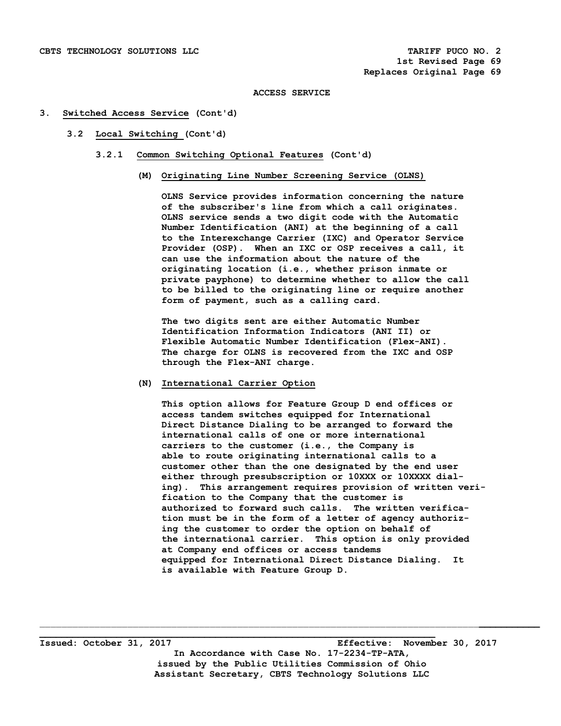## **3. Switched Access Service (Cont'd)**

- **3.2 Local Switching (Cont'd)** 
	- **3.2.1 Common Switching Optional Features (Cont'd)** 
		- **(M) Originating Line Number Screening Service (OLNS)**

 **OLNS Service provides information concerning the nature of the subscriber's line from which a call originates. OLNS service sends a two digit code with the Automatic Number Identification (ANI) at the beginning of a call to the Interexchange Carrier (IXC) and Operator Service Provider (OSP). When an IXC or OSP receives a call, it can use the information about the nature of the originating location (i.e., whether prison inmate or private payphone) to determine whether to allow the call to be billed to the originating line or require another form of payment, such as a calling card.** 

 **The two digits sent are either Automatic Number Identification Information Indicators (ANI II) or Flexible Automatic Number Identification (Flex-ANI). The charge for OLNS is recovered from the IXC and OSP through the Flex-ANI charge.** 

# **(N) International Carrier Option**

 **This option allows for Feature Group D end offices or access tandem switches equipped for International Direct Distance Dialing to be arranged to forward the international calls of one or more international carriers to the customer (i.e., the Company is able to route originating international calls to a customer other than the one designated by the end user either through presubscription or 10XXX or 10XXXX dial ing). This arrangement requires provision of written veri fication to the Company that the customer is authorized to forward such calls. The written verifica tion must be in the form of a letter of agency authoriz ing the customer to order the option on behalf of the international carrier. This option is only provided at Company end offices or access tandems equipped for International Direct Distance Dialing. It is available with Feature Group D.** 

**\_\_\_\_\_\_\_\_\_\_\_\_\_\_\_\_\_\_\_\_\_\_\_\_\_\_\_\_\_\_\_\_\_\_\_\_\_\_\_\_\_\_\_\_\_\_\_\_\_\_\_\_\_\_\_\_\_\_\_\_\_\_\_\_\_\_\_\_\_\_\_\_ Issued: October 31, 2017 Effective: November 30, 2017 In Accordance with Case No. 17-2234-TP-ATA, issued by the Public Utilities Commission of Ohio Assistant Secretary, CBTS Technology Solutions LLC**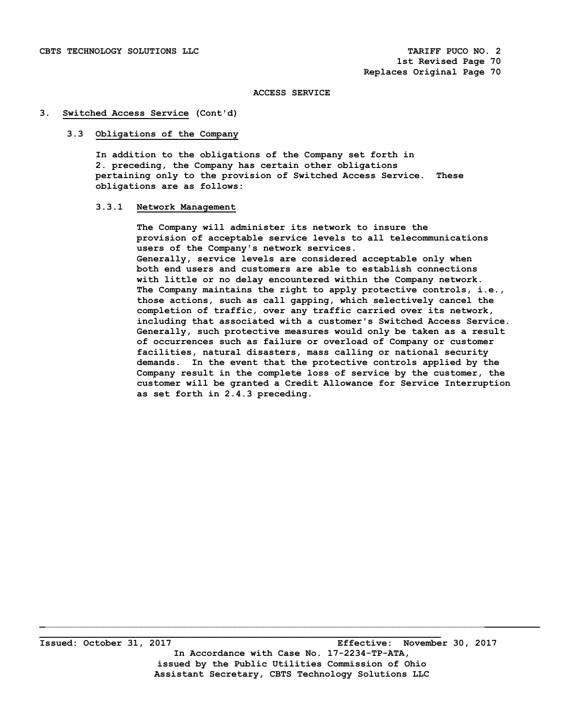## **3. Switched Access Service (Cont'd)**

# **3.3 Obligations of the Company**

 **In addition to the obligations of the Company set forth in 2. preceding, the Company has certain other obligations pertaining only to the provision of Switched Access Service. These obligations are as follows:** 

# **3.3.1 Network Management**

 **The Company will administer its network to insure the provision of acceptable service levels to all telecommunications users of the Company's network services. Generally, service levels are considered acceptable only when both end users and customers are able to establish connections with little or no delay encountered within the Company network. The Company maintains the right to apply protective controls, i.e., those actions, such as call gapping, which selectively cancel the completion of traffic, over any traffic carried over its network, including that associated with a customer's Switched Access Service. Generally, such protective measures would only be taken as a result of occurrences such as failure or overload of Company or customer facilities, natural disasters, mass calling or national security demands. In the event that the protective controls applied by the Company result in the complete loss of service by the customer, the customer will be granted a Credit Allowance for Service Interruption as set forth in 2.4.3 preceding.**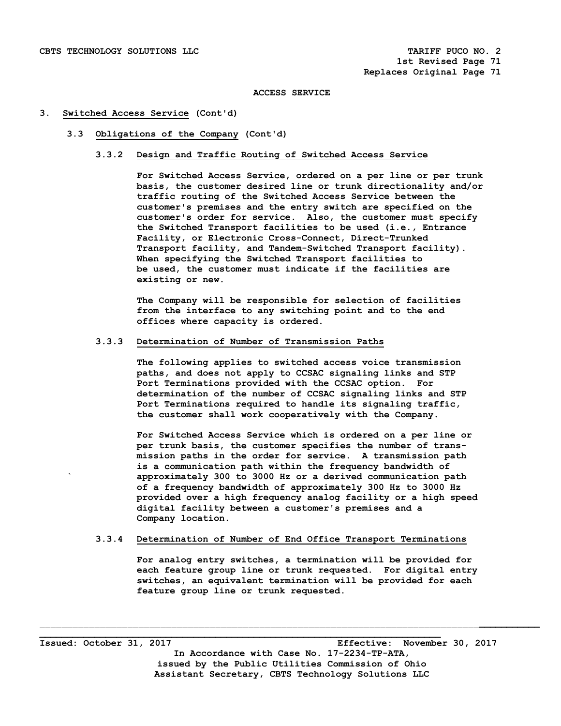## **3. Switched Access Service (Cont'd)**

# **3.3 Obligations of the Company (Cont'd)**

# **3.3.2 Design and Traffic Routing of Switched Access Service**

 **For Switched Access Service, ordered on a per line or per trunk basis, the customer desired line or trunk directionality and/or traffic routing of the Switched Access Service between the customer's premises and the entry switch are specified on the customer's order for service. Also, the customer must specify the Switched Transport facilities to be used (i.e., Entrance Facility, or Electronic Cross-Connect, Direct-Trunked Transport facility, and Tandem-Switched Transport facility). When specifying the Switched Transport facilities to be used, the customer must indicate if the facilities are existing or new.** 

 **The Company will be responsible for selection of facilities from the interface to any switching point and to the end offices where capacity is ordered.** 

# **3.3.3 Determination of Number of Transmission Paths**

 **The following applies to switched access voice transmission paths, and does not apply to CCSAC signaling links and STP Port Terminations provided with the CCSAC option. For determination of the number of CCSAC signaling links and STP Port Terminations required to handle its signaling traffic, the customer shall work cooperatively with the Company.** 

 **For Switched Access Service which is ordered on a per line or per trunk basis, the customer specifies the number of trans mission paths in the order for service. A transmission path is a communication path within the frequency bandwidth of ` approximately 300 to 3000 Hz or a derived communication path of a frequency bandwidth of approximately 300 Hz to 3000 Hz provided over a high frequency analog facility or a high speed digital facility between a customer's premises and a Company location.** 

# **3.3.4 Determination of Number of End Office Transport Terminations**

\_\_\_\_\_\_\_\_\_\_\_\_\_\_\_\_\_\_\_\_\_\_\_\_\_\_\_\_\_\_\_\_\_\_\_\_\_\_\_\_\_\_\_\_\_\_\_\_\_\_\_\_\_\_\_\_\_\_\_\_\_\_\_\_\_\_\_\_\_\_\_\_\_\_\_\_\_\_\_\_**\_\_\_\_\_\_\_\_\_\_\_**

 **For analog entry switches, a termination will be provided for each feature group line or trunk requested. For digital entry switches, an equivalent termination will be provided for each feature group line or trunk requested.** 

**Issued: October 31, 2017 Effective: November 30, 2017 In Accordance with Case No. 17-2234-TP-ATA, issued by the Public Utilities Commission of Ohio Assistant Secretary, CBTS Technology Solutions LLC** 

**\_\_\_\_\_\_\_\_\_\_\_\_\_\_\_\_\_\_\_\_\_\_\_\_\_\_\_\_\_\_\_\_\_\_\_\_\_\_\_\_\_\_\_\_\_\_\_\_\_\_\_\_\_\_\_\_\_\_\_\_\_\_\_\_\_\_\_\_\_\_\_\_\_**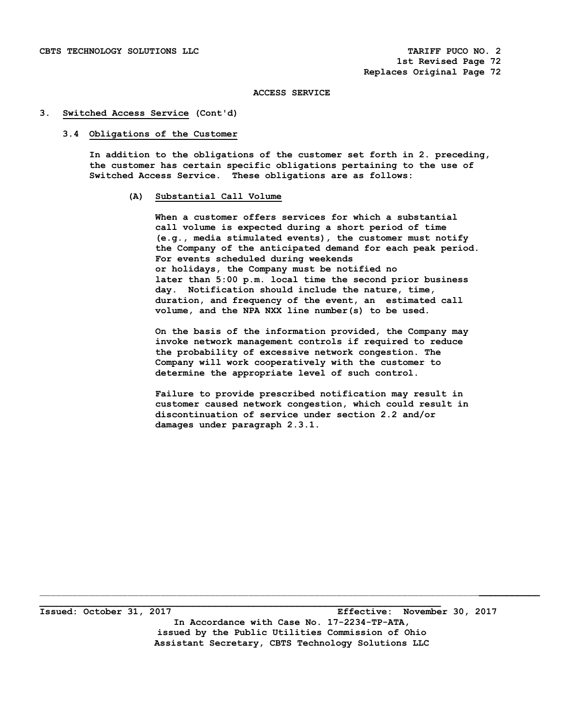#### **3. Switched Access Service (Cont'd)**

#### **3.4 Obligations of the Customer**

 **In addition to the obligations of the customer set forth in 2. preceding, the customer has certain specific obligations pertaining to the use of Switched Access Service. These obligations are as follows:** 

# **(A) Substantial Call Volume**

 **When a customer offers services for which a substantial call volume is expected during a short period of time (e.g., media stimulated events), the customer must notify the Company of the anticipated demand for each peak period. For events scheduled during weekends or holidays, the Company must be notified no later than 5:00 p.m. local time the second prior business day. Notification should include the nature, time, duration, and frequency of the event, an estimated call volume, and the NPA NXX line number(s) to be used.** 

 **On the basis of the information provided, the Company may invoke network management controls if required to reduce the probability of excessive network congestion. The Company will work cooperatively with the customer to determine the appropriate level of such control.** 

 **Failure to provide prescribed notification may result in customer caused network congestion, which could result in discontinuation of service under section 2.2 and/or damages under paragraph 2.3.1.** 

**\_\_\_\_\_\_\_\_\_\_\_\_\_\_\_\_\_\_\_\_\_\_\_\_\_\_\_\_\_\_\_\_\_\_\_\_\_\_\_\_\_\_\_\_\_\_\_\_\_\_\_\_\_\_\_\_\_\_\_\_\_\_\_\_\_\_\_\_\_\_\_\_\_ Issued: October 31, 2017 Effective: November 30, 2017 In Accordance with Case No. 17-2234-TP-ATA, issued by the Public Utilities Commission of Ohio Assistant Secretary, CBTS Technology Solutions LLC**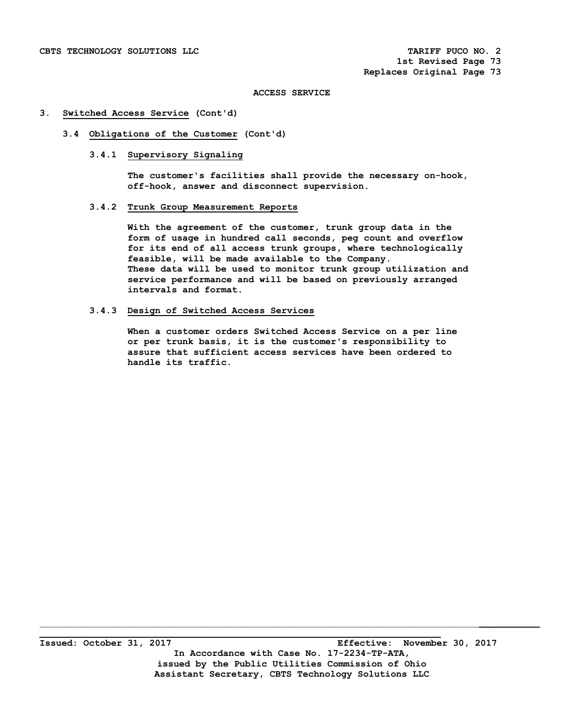## **3. Switched Access Service (Cont'd)**

# **3.4 Obligations of the Customer (Cont'd)**

## **3.4.1 Supervisory Signaling**

 **The customer's facilities shall provide the necessary on-hook, off-hook, answer and disconnect supervision.** 

# **3.4.2 Trunk Group Measurement Reports**

 **With the agreement of the customer, trunk group data in the form of usage in hundred call seconds, peg count and overflow for its end of all access trunk groups, where technologically feasible, will be made available to the Company. These data will be used to monitor trunk group utilization and service performance and will be based on previously arranged intervals and format.** 

#### **3.4.3 Design of Switched Access Services**

 **When a customer orders Switched Access Service on a per line or per trunk basis, it is the customer's responsibility to assure that sufficient access services have been ordered to handle its traffic.**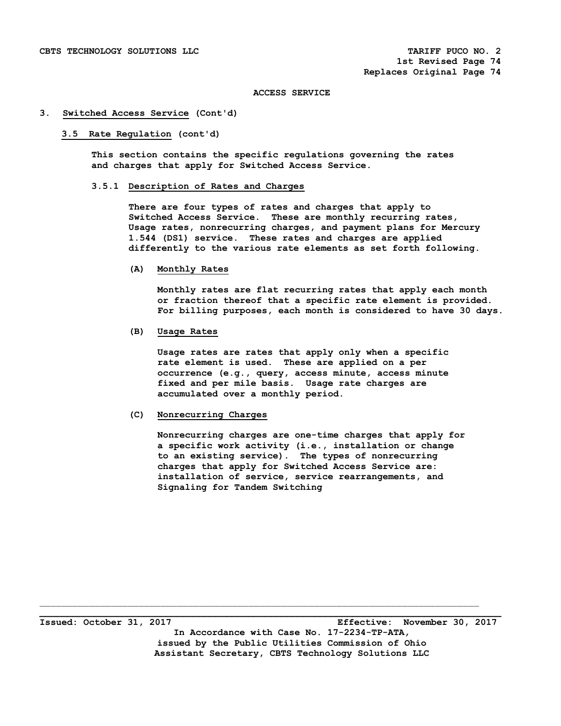#### **3. Switched Access Service (Cont'd)**

#### **3.5 Rate Regulation (cont'd)**

 **This section contains the specific regulations governing the rates and charges that apply for Switched Access Service.** 

# **3.5.1 Description of Rates and Charges**

 **There are four types of rates and charges that apply to Switched Access Service. These are monthly recurring rates, Usage rates, nonrecurring charges, and payment plans for Mercury 1.544 (DS1) service. These rates and charges are applied differently to the various rate elements as set forth following.** 

#### **(A) Monthly Rates**

 **Monthly rates are flat recurring rates that apply each month or fraction thereof that a specific rate element is provided. For billing purposes, each month is considered to have 30 days.** 

# **(B) Usage Rates**

 **Usage rates are rates that apply only when a specific rate element is used. These are applied on a per occurrence (e.g., query, access minute, access minute fixed and per mile basis. Usage rate charges are accumulated over a monthly period.** 

## **(C) Nonrecurring Charges**

 **Nonrecurring charges are one-time charges that apply for a specific work activity (i.e., installation or change to an existing service). The types of nonrecurring charges that apply for Switched Access Service are: installation of service, service rearrangements, and Signaling for Tandem Switching** 

**\_\_\_\_\_\_\_\_\_\_\_\_\_\_\_\_\_\_\_\_\_\_\_\_\_\_\_\_\_\_\_\_\_\_\_\_\_\_\_\_\_\_\_\_\_\_\_\_\_\_\_\_\_\_\_\_\_\_\_\_\_\_\_\_\_\_\_\_\_\_\_\_\_\_\_\_\_\_\_\_\_\_\_\_ Issued: October 31, 2017 Effective: November 30, 2017 In Accordance with Case No. 17-2234-TP-ATA, issued by the Public Utilities Commission of Ohio Assistant Secretary, CBTS Technology Solutions LLC**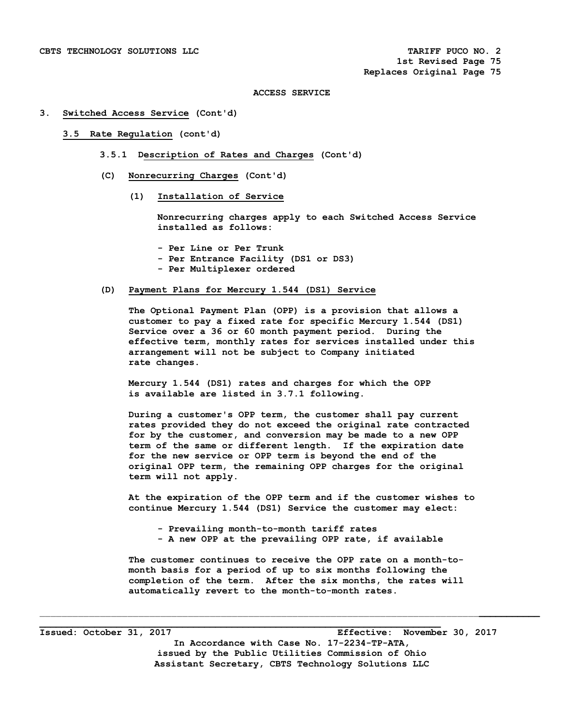#### **3. Switched Access Service (Cont'd)**

#### **3.5 Rate Regulation (cont'd)**

- **3.5.1 Description of Rates and Charges (Cont'd)**
- **(C) Nonrecurring Charges (Cont'd)** 
	- **(1) Installation of Service**

 **Nonrecurring charges apply to each Switched Access Service installed as follows:** 

- **Per Line or Per Trunk**
- **Per Entrance Facility (DS1 or DS3)**
- **Per Multiplexer ordered**

## **(D) Payment Plans for Mercury 1.544 (DS1) Service**

 **The Optional Payment Plan (OPP) is a provision that allows a customer to pay a fixed rate for specific Mercury 1.544 (DS1) Service over a 36 or 60 month payment period. During the effective term, monthly rates for services installed under this arrangement will not be subject to Company initiated rate changes.** 

 **Mercury 1.544 (DS1) rates and charges for which the OPP is available are listed in 3.7.1 following.** 

 **During a customer's OPP term, the customer shall pay current rates provided they do not exceed the original rate contracted for by the customer, and conversion may be made to a new OPP term of the same or different length. If the expiration date for the new service or OPP term is beyond the end of the original OPP term, the remaining OPP charges for the original term will not apply.** 

 **At the expiration of the OPP term and if the customer wishes to continue Mercury 1.544 (DS1) Service the customer may elect:** 

- **Prevailing month-to-month tariff rates**
- **A new OPP at the prevailing OPP rate, if available**

 **The customer continues to receive the OPP rate on a month-to month basis for a period of up to six months following the completion of the term. After the six months, the rates will automatically revert to the month-to-month rates.** 

 $\mathcal{L}_\mathcal{L} = \{ \mathcal{L}_\mathcal{L} = \{ \mathcal{L}_\mathcal{L} = \{ \mathcal{L}_\mathcal{L} = \{ \mathcal{L}_\mathcal{L} = \{ \mathcal{L}_\mathcal{L} = \{ \mathcal{L}_\mathcal{L} = \{ \mathcal{L}_\mathcal{L} = \{ \mathcal{L}_\mathcal{L} = \{ \mathcal{L}_\mathcal{L} = \{ \mathcal{L}_\mathcal{L} = \{ \mathcal{L}_\mathcal{L} = \{ \mathcal{L}_\mathcal{L} = \{ \mathcal{L}_\mathcal{L} = \{ \mathcal{L}_\mathcal{$ 

**Issued: October 31, 2017 Effective: November 30, 2017 In Accordance with Case No. 17-2234-TP-ATA, issued by the Public Utilities Commission of Ohio Assistant Secretary, CBTS Technology Solutions LLC** 

**\_\_\_\_\_\_\_\_\_\_\_\_\_\_\_\_\_\_\_\_\_\_\_\_\_\_\_\_\_\_\_\_\_\_\_\_\_\_\_\_\_\_\_\_\_\_\_\_\_\_\_\_\_\_\_\_\_\_\_\_\_\_\_\_\_\_\_\_\_\_\_\_\_**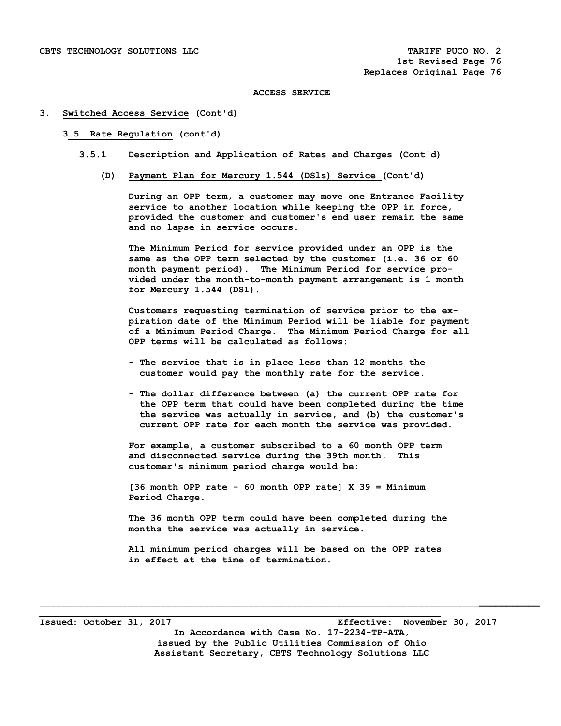#### **3. Switched Access Service (Cont'd)**

#### **3.5 Rate Regulation (cont'd)**

- **3.5.1 Description and Application of Rates and Charges (Cont'd)** 
	- **(D) Payment Plan for Mercury 1.544 (DSls) Service (Cont'd)**

 **During an OPP term, a customer may move one Entrance Facility service to another location while keeping the OPP in force, provided the customer and customer's end user remain the same and no lapse in service occurs.** 

 **The Minimum Period for service provided under an OPP is the same as the OPP term selected by the customer (i.e. 36 or 60 month payment period). The Minimum Period for service pro vided under the month-to-month payment arrangement is 1 month for Mercury 1.544 (DS1).** 

 **Customers requesting termination of service prior to the ex piration date of the Minimum Period will be liable for payment of a Minimum Period Charge. The Minimum Period Charge for all OPP terms will be calculated as follows:** 

- **The service that is in place less than 12 months the customer would pay the monthly rate for the service.**
- **The dollar difference between (a) the current OPP rate for the OPP term that could have been completed during the time the service was actually in service, and (b) the customer's current OPP rate for each month the service was provided.**

 **For example, a customer subscribed to a 60 month OPP term and disconnected service during the 39th month. This customer's minimum period charge would be:** 

 **[36 month OPP rate - 60 month OPP rate] X 39 = Minimum Period Charge.** 

 **The 36 month OPP term could have been completed during the months the service was actually in service.** 

 **All minimum period charges will be based on the OPP rates in effect at the time of termination.** 

 $\mathcal{L}_\mathcal{L} = \{ \mathcal{L}_\mathcal{L} = \{ \mathcal{L}_\mathcal{L} = \{ \mathcal{L}_\mathcal{L} = \{ \mathcal{L}_\mathcal{L} = \{ \mathcal{L}_\mathcal{L} = \{ \mathcal{L}_\mathcal{L} = \{ \mathcal{L}_\mathcal{L} = \{ \mathcal{L}_\mathcal{L} = \{ \mathcal{L}_\mathcal{L} = \{ \mathcal{L}_\mathcal{L} = \{ \mathcal{L}_\mathcal{L} = \{ \mathcal{L}_\mathcal{L} = \{ \mathcal{L}_\mathcal{L} = \{ \mathcal{L}_\mathcal{$ 

**Issued: October 31, 2017 Effective: November 30, 2017 In Accordance with Case No. 17-2234-TP-ATA, issued by the Public Utilities Commission of Ohio Assistant Secretary, CBTS Technology Solutions LLC** 

**\_\_\_\_\_\_\_\_\_\_\_\_\_\_\_\_\_\_\_\_\_\_\_\_\_\_\_\_\_\_\_\_\_\_\_\_\_\_\_\_\_\_\_\_\_\_\_\_\_\_\_\_\_\_\_\_\_\_\_\_\_\_\_\_\_\_\_\_\_\_\_\_\_**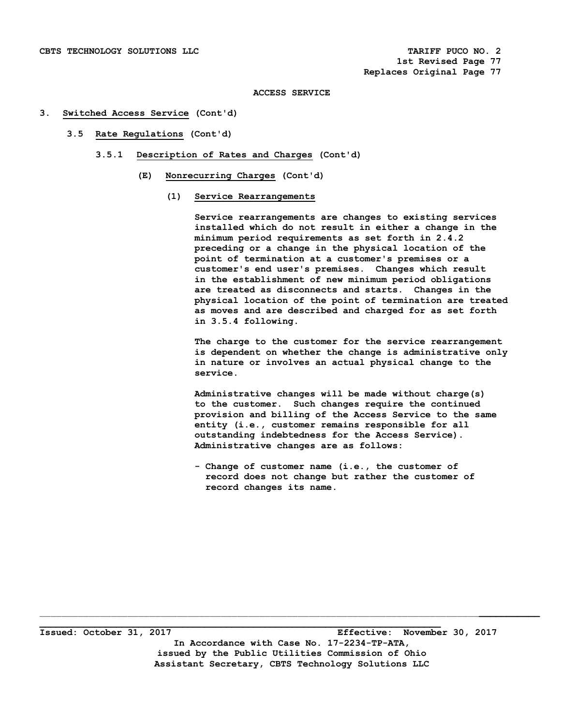#### **3. Switched Access Service (Cont'd)**

- **3.5 Rate Regulations (Cont'd)** 
	- **3.5.1 Description of Rates and Charges (Cont'd)** 
		- **(E) Nonrecurring Charges (Cont'd)** 
			- **(1) Service Rearrangements**

 **Service rearrangements are changes to existing services installed which do not result in either a change in the minimum period requirements as set forth in 2.4.2 preceding or a change in the physical location of the point of termination at a customer's premises or a customer's end user's premises. Changes which result in the establishment of new minimum period obligations are treated as disconnects and starts. Changes in the physical location of the point of termination are treated as moves and are described and charged for as set forth in 3.5.4 following.** 

 **The charge to the customer for the service rearrangement is dependent on whether the change is administrative only in nature or involves an actual physical change to the service.** 

 **Administrative changes will be made without charge(s) to the customer. Such changes require the continued provision and billing of the Access Service to the same entity (i.e., customer remains responsible for all outstanding indebtedness for the Access Service). Administrative changes are as follows:** 

 **- Change of customer name (i.e., the customer of record does not change but rather the customer of record changes its name.** 

**\_\_\_\_\_\_\_\_\_\_\_\_\_\_\_\_\_\_\_\_\_\_\_\_\_\_\_\_\_\_\_\_\_\_\_\_\_\_\_\_\_\_\_\_\_\_\_\_\_\_\_\_\_\_\_\_\_\_\_\_\_\_\_\_\_\_\_\_\_\_\_\_\_ Issued: October 31, 2017 Effective: November 30, 2017 In Accordance with Case No. 17-2234-TP-ATA, issued by the Public Utilities Commission of Ohio Assistant Secretary, CBTS Technology Solutions LLC**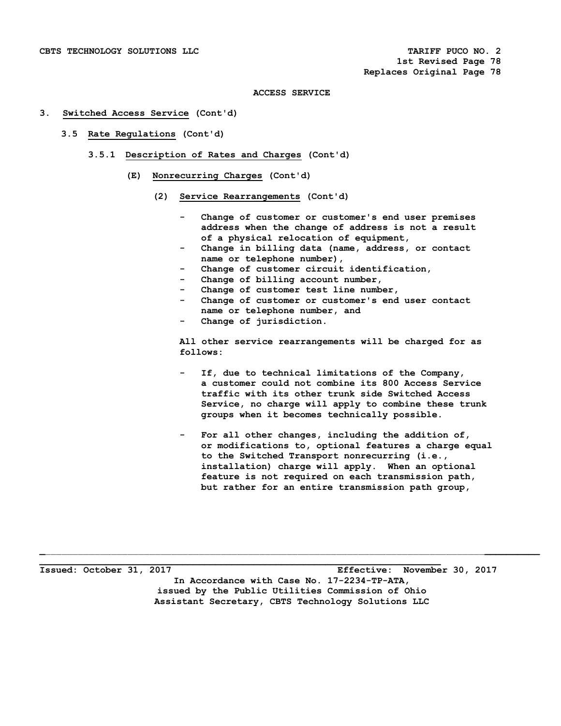#### **3. Switched Access Service (Cont'd)**

- **3.5 Rate Regulations (Cont'd)** 
	- **3.5.1 Description of Rates and Charges (Cont'd)** 
		- **(E) Nonrecurring Charges (Cont'd)** 
			- **(2) Service Rearrangements (Cont'd)** 
				- Change of customer or customer's end user premises  **address when the change of address is not a result of a physical relocation of equipment,**
				- Change in billing data (name, address, or contact  **name or telephone number),**
				- Change of customer circuit identification,
				- Change of billing account number,
				- Change of customer test line number,
				- Change of customer or customer's end user contact  **name or telephone number, and**
				- Change of jurisdiction.

 **All other service rearrangements will be charged for as follows:** 

- If, due to technical limitations of the Company,  **a customer could not combine its 800 Access Service traffic with its other trunk side Switched Access Service, no charge will apply to combine these trunk groups when it becomes technically possible.**
- For all other changes, including the addition of,  **or modifications to, optional features a charge equal to the Switched Transport nonrecurring (i.e., installation) charge will apply. When an optional feature is not required on each transmission path, but rather for an entire transmission path group,**

**Issued: October 31, 2017 Effective: November 30, 2017 In Accordance with Case No. 17-2234-TP-ATA, issued by the Public Utilities Commission of Ohio Assistant Secretary, CBTS Technology Solutions LLC** 

**\_\_\_\_\_\_\_\_\_\_\_\_\_\_\_\_\_\_\_\_\_\_\_\_\_\_\_\_\_\_\_\_\_\_\_\_\_\_\_\_\_\_\_\_\_\_\_\_\_\_\_\_\_\_\_\_\_\_\_\_\_\_\_\_\_\_\_\_\_\_\_\_\_**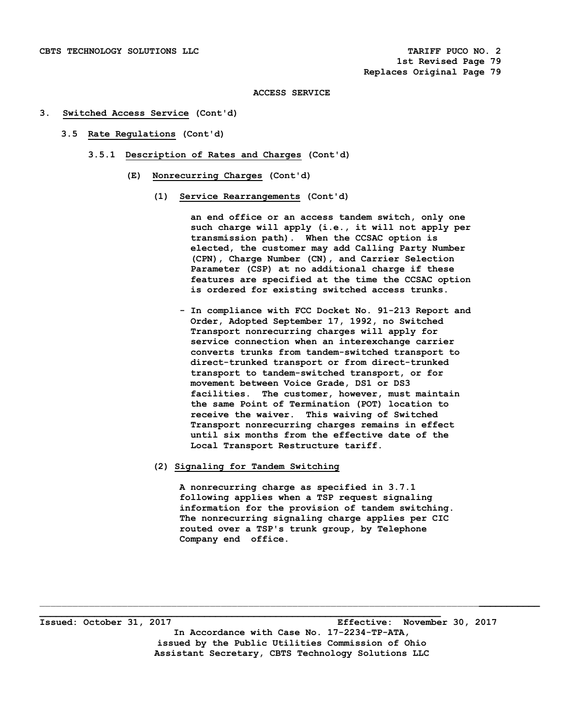#### **3. Switched Access Service (Cont'd)**

- **3.5 Rate Regulations (Cont'd)** 
	- **3.5.1 Description of Rates and Charges (Cont'd)** 
		- **(E) Nonrecurring Charges (Cont'd)** 
			- **(1) Service Rearrangements (Cont'd)**

 **an end office or an access tandem switch, only one such charge will apply (i.e., it will not apply per transmission path). When the CCSAC option is elected, the customer may add Calling Party Number (CPN), Charge Number (CN), and Carrier Selection Parameter (CSP) at no additional charge if these features are specified at the time the CCSAC option is ordered for existing switched access trunks.** 

- **In compliance with FCC Docket No. 91-213 Report and Order, Adopted September 17, 1992, no Switched Transport nonrecurring charges will apply for service connection when an interexchange carrier converts trunks from tandem-switched transport to direct-trunked transport or from direct-trunked transport to tandem-switched transport, or for movement between Voice Grade, DS1 or DS3 facilities. The customer, however, must maintain the same Point of Termination (POT) location to receive the waiver. This waiving of Switched Transport nonrecurring charges remains in effect until six months from the effective date of the Local Transport Restructure tariff.**
- **(2) Signaling for Tandem Switching**

 **A nonrecurring charge as specified in 3.7.1 following applies when a TSP request signaling information for the provision of tandem switching. The nonrecurring signaling charge applies per CIC routed over a TSP's trunk group, by Telephone Company end office.** 

**\_\_\_\_\_\_\_\_\_\_\_\_\_\_\_\_\_\_\_\_\_\_\_\_\_\_\_\_\_\_\_\_\_\_\_\_\_\_\_\_\_\_\_\_\_\_\_\_\_\_\_\_\_\_\_\_\_\_\_\_\_\_\_\_\_\_\_\_\_\_\_\_\_ Issued: October 31, 2017 Effective: November 30, 2017 In Accordance with Case No. 17-2234-TP-ATA, issued by the Public Utilities Commission of Ohio Assistant Secretary, CBTS Technology Solutions LLC**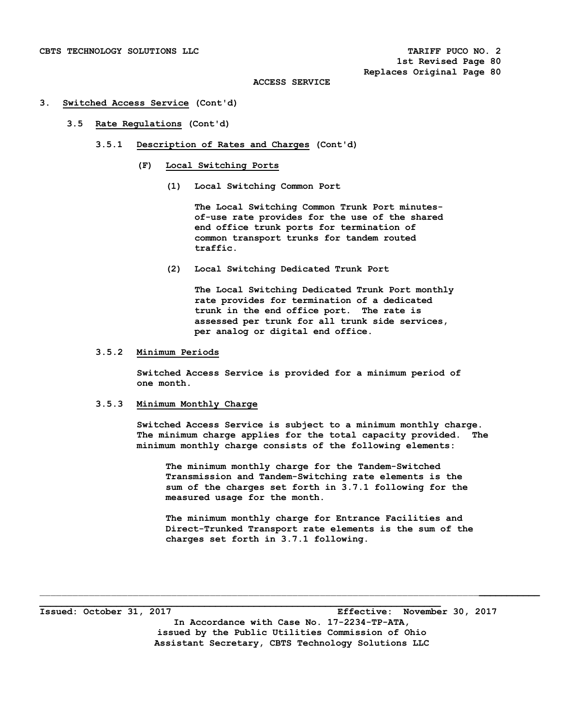#### **3. Switched Access Service (Cont'd)**

#### **3.5 Rate Regulations (Cont'd)**

- **3.5.1 Description of Rates and Charges (Cont'd)** 
	- **(F) Local Switching Ports** 
		- **(1) Local Switching Common Port**

 **The Local Switching Common Trunk Port minutes of-use rate provides for the use of the shared end office trunk ports for termination of common transport trunks for tandem routed traffic.** 

 **(2) Local Switching Dedicated Trunk Port** 

 **The Local Switching Dedicated Trunk Port monthly rate provides for termination of a dedicated trunk in the end office port. The rate is assessed per trunk for all trunk side services, per analog or digital end office.** 

## **3.5.2 Minimum Periods**

 **Switched Access Service is provided for a minimum period of one month.** 

# **3.5.3 Minimum Monthly Charge**

 **Switched Access Service is subject to a minimum monthly charge. The minimum charge applies for the total capacity provided. The minimum monthly charge consists of the following elements:** 

 **The minimum monthly charge for the Tandem-Switched Transmission and Tandem-Switching rate elements is the sum of the charges set forth in 3.7.1 following for the measured usage for the month.** 

 **The minimum monthly charge for Entrance Facilities and Direct-Trunked Transport rate elements is the sum of the charges set forth in 3.7.1 following.** 

**Issued: October 31, 2017 Effective: November 30, 2017 In Accordance with Case No. 17-2234-TP-ATA, issued by the Public Utilities Commission of Ohio Assistant Secretary, CBTS Technology Solutions LLC** 

**\_\_\_\_\_\_\_\_\_\_\_\_\_\_\_\_\_\_\_\_\_\_\_\_\_\_\_\_\_\_\_\_\_\_\_\_\_\_\_\_\_\_\_\_\_\_\_\_\_\_\_\_\_\_\_\_\_\_\_\_\_\_\_\_\_\_\_\_\_\_\_\_\_**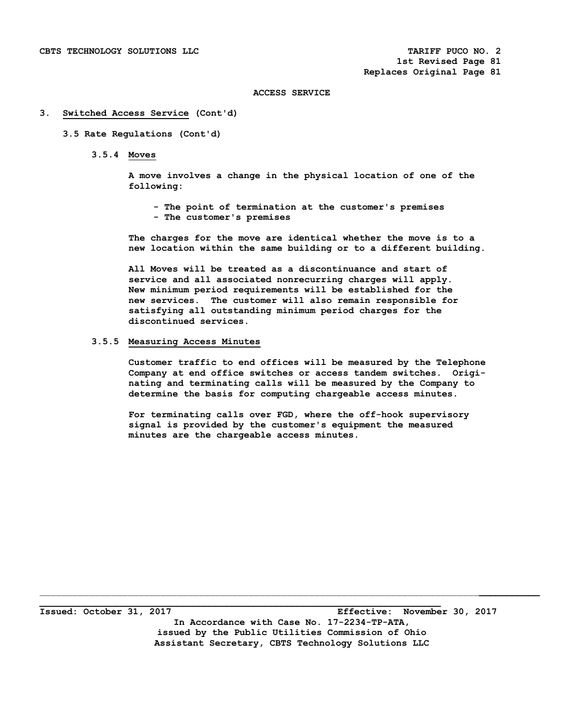#### **3. Switched Access Service (Cont'd)**

## **3.5 Rate Regulations (Cont'd)**

 **3.5.4 Moves** 

 **A move involves a change in the physical location of one of the following:** 

 **- The point of termination at the customer's premises - The customer's premises** 

 **The charges for the move are identical whether the move is to a new location within the same building or to a different building.** 

 **All Moves will be treated as a discontinuance and start of service and all associated nonrecurring charges will apply. New minimum period requirements will be established for the new services. The customer will also remain responsible for satisfying all outstanding minimum period charges for the discontinued services.** 

## **3.5.5 Measuring Access Minutes**

 **Customer traffic to end offices will be measured by the Telephone Company at end office switches or access tandem switches. Origi nating and terminating calls will be measured by the Company to determine the basis for computing chargeable access minutes.** 

 **For terminating calls over FGD, where the off-hook supervisory signal is provided by the customer's equipment the measured minutes are the chargeable access minutes.** 

\_\_\_\_\_\_\_\_\_\_\_\_\_\_\_\_\_\_\_\_\_\_\_\_\_\_\_\_\_\_\_\_\_\_\_\_\_\_\_\_\_\_\_\_\_\_\_\_\_\_\_\_\_\_\_\_\_\_\_\_\_\_\_\_\_\_\_\_\_\_\_\_\_\_\_\_\_\_\_\_**\_\_\_\_\_\_\_\_\_\_\_**

**\_\_\_\_\_\_\_\_\_\_\_\_\_\_\_\_\_\_\_\_\_\_\_\_\_\_\_\_\_\_\_\_\_\_\_\_\_\_\_\_\_\_\_\_\_\_\_\_\_\_\_\_\_\_\_\_\_\_\_\_\_\_\_\_\_\_\_\_\_\_\_\_\_** 

**Issued: October 31, 2017 Effective: November 30, 2017 In Accordance with Case No. 17-2234-TP-ATA, issued by the Public Utilities Commission of Ohio Assistant Secretary, CBTS Technology Solutions LLC**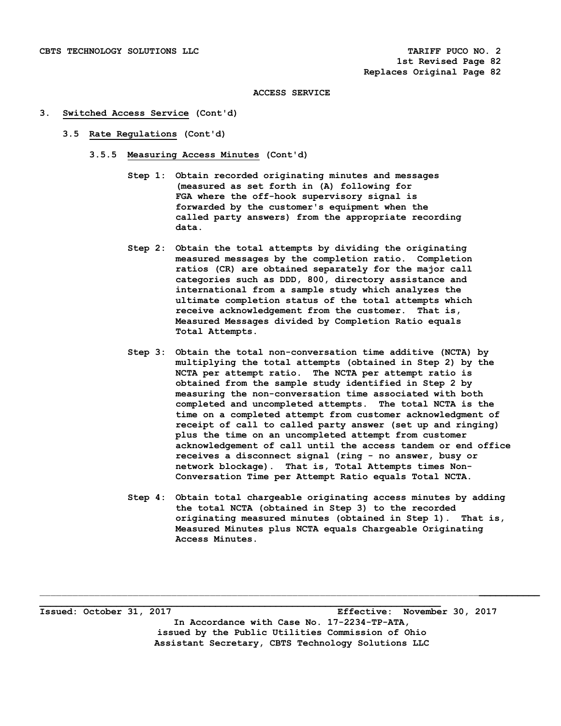#### **3. Switched Access Service (Cont'd)**

- **3.5 Rate Regulations (Cont'd)** 
	- **3.5.5 Measuring Access Minutes (Cont'd)** 
		- **Step 1: Obtain recorded originating minutes and messages (measured as set forth in (A) following for FGA where the off-hook supervisory signal is forwarded by the customer's equipment when the called party answers) from the appropriate recording data.**
		- **Step 2: Obtain the total attempts by dividing the originating measured messages by the completion ratio. Completion ratios (CR) are obtained separately for the major call categories such as DDD, 800, directory assistance and international from a sample study which analyzes the ultimate completion status of the total attempts which receive acknowledgement from the customer. That is, Measured Messages divided by Completion Ratio equals Total Attempts.**
		- **Step 3: Obtain the total non-conversation time additive (NCTA) by multiplying the total attempts (obtained in Step 2) by the NCTA per attempt ratio. The NCTA per attempt ratio is obtained from the sample study identified in Step 2 by measuring the non-conversation time associated with both completed and uncompleted attempts. The total NCTA is the time on a completed attempt from customer acknowledgment of receipt of call to called party answer (set up and ringing) plus the time on an uncompleted attempt from customer acknowledgement of call until the access tandem or end office receives a disconnect signal (ring - no answer, busy or network blockage). That is, Total Attempts times Non- Conversation Time per Attempt Ratio equals Total NCTA.**
		- **Step 4: Obtain total chargeable originating access minutes by adding the total NCTA (obtained in Step 3) to the recorded originating measured minutes (obtained in Step 1). That is, Measured Minutes plus NCTA equals Chargeable Originating Access Minutes.**

**Issued: October 31, 2017 Effective: November 30, 2017 In Accordance with Case No. 17-2234-TP-ATA, issued by the Public Utilities Commission of Ohio Assistant Secretary, CBTS Technology Solutions LLC** 

**\_\_\_\_\_\_\_\_\_\_\_\_\_\_\_\_\_\_\_\_\_\_\_\_\_\_\_\_\_\_\_\_\_\_\_\_\_\_\_\_\_\_\_\_\_\_\_\_\_\_\_\_\_\_\_\_\_\_\_\_\_\_\_\_\_\_\_\_\_\_\_\_\_**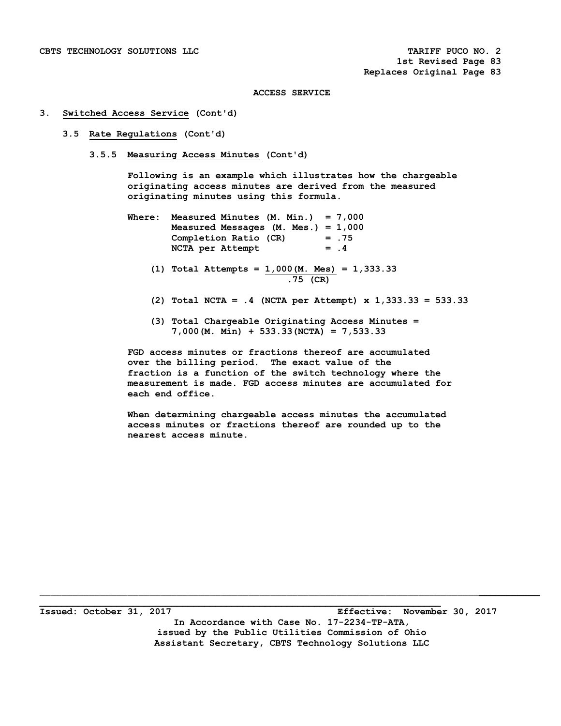#### **3. Switched Access Service (Cont'd)**

#### **3.5 Rate Regulations (Cont'd)**

 **3.5.5 Measuring Access Minutes (Cont'd)** 

 **Following is an example which illustrates how the chargeable originating access minutes are derived from the measured originating minutes using this formula.** 

- **Where: Measured Minutes (M. Min.) = 7,000 Measured Messages (M. Mes.) = 1,000 Completion Ratio (CR) = .75**  NCTA per Attempt = .4
	- **(1) Total Attempts = 1,000(M. Mes) = 1,333.33 .75 (CR)**
	- **(2) Total NCTA = .4 (NCTA per Attempt) x 1,333.33 = 533.33**
	- **(3) Total Chargeable Originating Access Minutes = 7,000(M. Min) + 533.33(NCTA) = 7,533.33**

 **FGD access minutes or fractions thereof are accumulated over the billing period. The exact value of the fraction is a function of the switch technology where the measurement is made. FGD access minutes are accumulated for each end office.** 

 **When determining chargeable access minutes the accumulated access minutes or fractions thereof are rounded up to the nearest access minute.** 

**Issued: October 31, 2017 Effective: November 30, 2017 In Accordance with Case No. 17-2234-TP-ATA, issued by the Public Utilities Commission of Ohio Assistant Secretary, CBTS Technology Solutions LLC** 

**\_\_\_\_\_\_\_\_\_\_\_\_\_\_\_\_\_\_\_\_\_\_\_\_\_\_\_\_\_\_\_\_\_\_\_\_\_\_\_\_\_\_\_\_\_\_\_\_\_\_\_\_\_\_\_\_\_\_\_\_\_\_\_\_\_\_\_\_\_\_\_\_\_**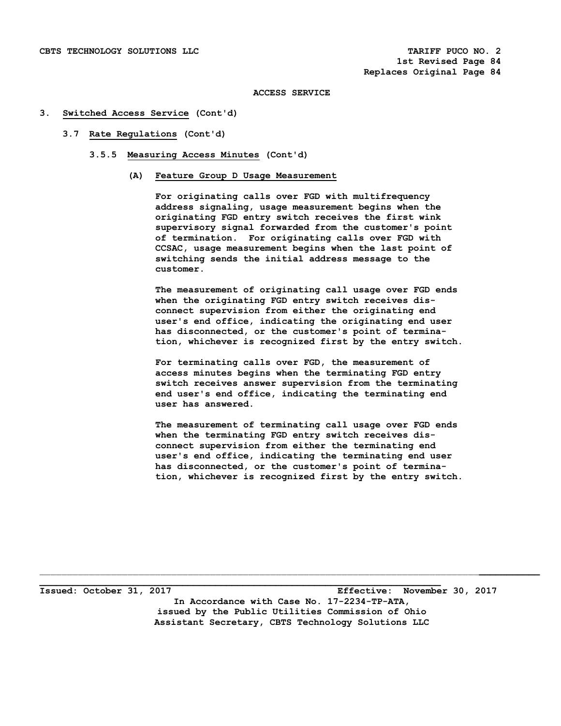#### **3. Switched Access Service (Cont'd)**

#### **3.7 Rate Regulations (Cont'd)**

- **3.5.5 Measuring Access Minutes (Cont'd)** 
	- **(A) Feature Group D Usage Measurement**

 **For originating calls over FGD with multifrequency address signaling, usage measurement begins when the originating FGD entry switch receives the first wink supervisory signal forwarded from the customer's point of termination. For originating calls over FGD with CCSAC, usage measurement begins when the last point of switching sends the initial address message to the customer.** 

 **The measurement of originating call usage over FGD ends when the originating FGD entry switch receives dis connect supervision from either the originating end user's end office, indicating the originating end user has disconnected, or the customer's point of termina tion, whichever is recognized first by the entry switch.** 

 **For terminating calls over FGD, the measurement of access minutes begins when the terminating FGD entry switch receives answer supervision from the terminating end user's end office, indicating the terminating end user has answered.** 

 **The measurement of terminating call usage over FGD ends when the terminating FGD entry switch receives dis connect supervision from either the terminating end user's end office, indicating the terminating end user has disconnected, or the customer's point of termina tion, whichever is recognized first by the entry switch.** 

**Issued: October 31, 2017 Effective: November 30, 2017 In Accordance with Case No. 17-2234-TP-ATA, issued by the Public Utilities Commission of Ohio Assistant Secretary, CBTS Technology Solutions LLC** 

**\_\_\_\_\_\_\_\_\_\_\_\_\_\_\_\_\_\_\_\_\_\_\_\_\_\_\_\_\_\_\_\_\_\_\_\_\_\_\_\_\_\_\_\_\_\_\_\_\_\_\_\_\_\_\_\_\_\_\_\_\_\_\_\_\_\_\_\_\_\_\_\_\_**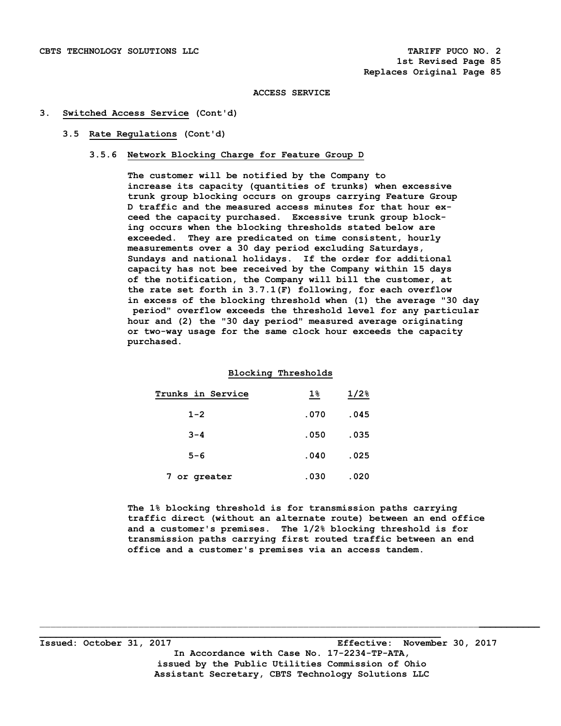#### **3. Switched Access Service (Cont'd)**

## **3.5 Rate Regulations (Cont'd)**

# **3.5.6 Network Blocking Charge for Feature Group D**

 **The customer will be notified by the Company to increase its capacity (quantities of trunks) when excessive trunk group blocking occurs on groups carrying Feature Group D traffic and the measured access minutes for that hour ex ceed the capacity purchased. Excessive trunk group block ing occurs when the blocking thresholds stated below are exceeded. They are predicated on time consistent, hourly measurements over a 30 day period excluding Saturdays, Sundays and national holidays. If the order for additional capacity has not bee received by the Company within 15 days of the notification, the Company will bill the customer, at the rate set forth in 3.7.1(F) following, for each overflow in excess of the blocking threshold when (1) the average "30 day period" overflow exceeds the threshold level for any particular hour and (2) the "30 day period" measured average originating or two-way usage for the same clock hour exceeds the capacity purchased.** 

# **Blocking Thresholds**

| Trunks in Service | $1\%$ | $1/2$ <sup>8</sup> |
|-------------------|-------|--------------------|
| $1 - 2$           | .070  | .045               |
| $3 - 4$           | .050  | .035               |
| $5 - 6$           | .040  | .025               |
| 7 or greater      | .030  | .020               |

 **The 1% blocking threshold is for transmission paths carrying traffic direct (without an alternate route) between an end office and a customer's premises. The 1/2% blocking threshold is for transmission paths carrying first routed traffic between an end office and a customer's premises via an access tandem.** 

**\_\_\_\_\_\_\_\_\_\_\_\_\_\_\_\_\_\_\_\_\_\_\_\_\_\_\_\_\_\_\_\_\_\_\_\_\_\_\_\_\_\_\_\_\_\_\_\_\_\_\_\_\_\_\_\_\_\_\_\_\_\_\_\_\_\_\_\_\_\_\_\_\_ Issued: October 31, 2017 Effective: November 30, 2017 In Accordance with Case No. 17-2234-TP-ATA, issued by the Public Utilities Commission of Ohio Assistant Secretary, CBTS Technology Solutions LLC**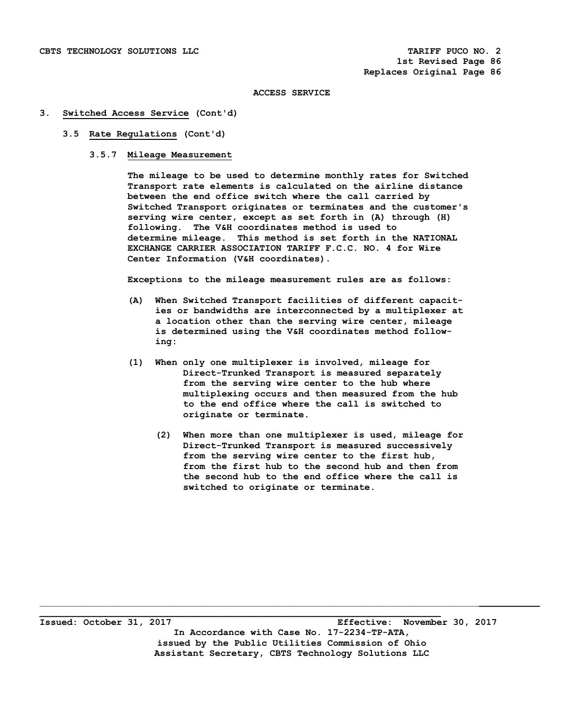#### **3. Switched Access Service (Cont'd)**

#### **3.5 Rate Regulations (Cont'd)**

### **3.5.7 Mileage Measurement**

 **The mileage to be used to determine monthly rates for Switched Transport rate elements is calculated on the airline distance between the end office switch where the call carried by Switched Transport originates or terminates and the customer's serving wire center, except as set forth in (A) through (H) following. The V&H coordinates method is used to determine mileage. This method is set forth in the NATIONAL EXCHANGE CARRIER ASSOCIATION TARIFF F.C.C. NO. 4 for Wire Center Information (V&H coordinates).** 

 **Exceptions to the mileage measurement rules are as follows:** 

- **(A) When Switched Transport facilities of different capacit ies or bandwidths are interconnected by a multiplexer at a location other than the serving wire center, mileage is determined using the V&H coordinates method follow ing:**
- **(1) When only one multiplexer is involved, mileage for Direct-Trunked Transport is measured separately from the serving wire center to the hub where multiplexing occurs and then measured from the hub to the end office where the call is switched to originate or terminate.** 
	- **(2) When more than one multiplexer is used, mileage for Direct-Trunked Transport is measured successively from the serving wire center to the first hub, from the first hub to the second hub and then from the second hub to the end office where the call is switched to originate or terminate.**

**\_\_\_\_\_\_\_\_\_\_\_\_\_\_\_\_\_\_\_\_\_\_\_\_\_\_\_\_\_\_\_\_\_\_\_\_\_\_\_\_\_\_\_\_\_\_\_\_\_\_\_\_\_\_\_\_\_\_\_\_\_\_\_\_\_\_\_\_\_\_\_\_\_ Issued: October 31, 2017 Effective: November 30, 2017 In Accordance with Case No. 17-2234-TP-ATA, issued by the Public Utilities Commission of Ohio Assistant Secretary, CBTS Technology Solutions LLC**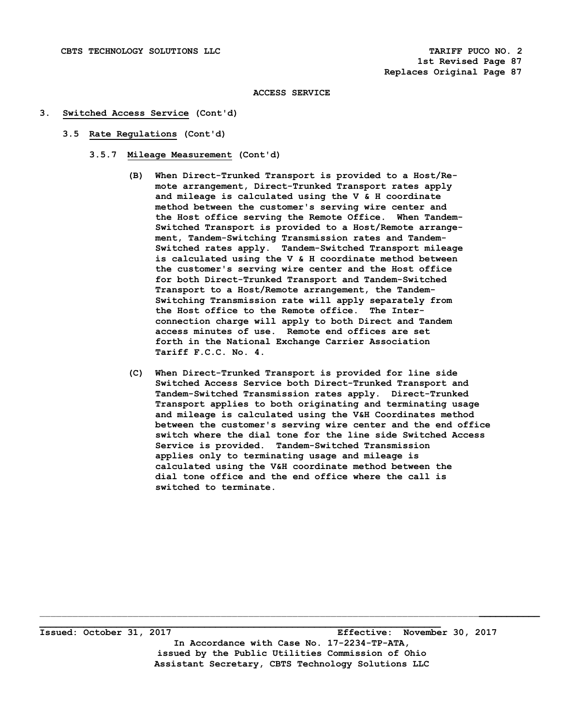#### **3. Switched Access Service (Cont'd)**

- **3.5 Rate Regulations (Cont'd)** 
	- **3.5.7 Mileage Measurement (Cont'd)** 
		- **(B) When Direct-Trunked Transport is provided to a Host/Re mote arrangement, Direct-Trunked Transport rates apply and mileage is calculated using the V & H coordinate method between the customer's serving wire center and the Host office serving the Remote Office. When Tandem- Switched Transport is provided to a Host/Remote arrange ment, Tandem-Switching Transmission rates and Tandem- Switched rates apply. Tandem-Switched Transport mileage is calculated using the V & H coordinate method between the customer's serving wire center and the Host office for both Direct-Trunked Transport and Tandem-Switched Transport to a Host/Remote arrangement, the Tandem- Switching Transmission rate will apply separately from the Host office to the Remote office. The Inter connection charge will apply to both Direct and Tandem access minutes of use. Remote end offices are set forth in the National Exchange Carrier Association Tariff F.C.C. No. 4.**
		- **(C) When Direct-Trunked Transport is provided for line side Switched Access Service both Direct-Trunked Transport and Tandem-Switched Transmission rates apply. Direct-Trunked Transport applies to both originating and terminating usage and mileage is calculated using the V&H Coordinates method between the customer's serving wire center and the end office switch where the dial tone for the line side Switched Access Service is provided. Tandem-Switched Transmission applies only to terminating usage and mileage is calculated using the V&H coordinate method between the dial tone office and the end office where the call is switched to terminate.**

**Issued: October 31, 2017 Effective: November 30, 2017 In Accordance with Case No. 17-2234-TP-ATA, issued by the Public Utilities Commission of Ohio Assistant Secretary, CBTS Technology Solutions LLC** 

 $\mathcal{L}_\mathcal{L} = \{ \mathcal{L}_\mathcal{L} = \{ \mathcal{L}_\mathcal{L} = \{ \mathcal{L}_\mathcal{L} = \{ \mathcal{L}_\mathcal{L} = \{ \mathcal{L}_\mathcal{L} = \{ \mathcal{L}_\mathcal{L} = \{ \mathcal{L}_\mathcal{L} = \{ \mathcal{L}_\mathcal{L} = \{ \mathcal{L}_\mathcal{L} = \{ \mathcal{L}_\mathcal{L} = \{ \mathcal{L}_\mathcal{L} = \{ \mathcal{L}_\mathcal{L} = \{ \mathcal{L}_\mathcal{L} = \{ \mathcal{L}_\mathcal{$ 

**\_\_\_\_\_\_\_\_\_\_\_\_\_\_\_\_\_\_\_\_\_\_\_\_\_\_\_\_\_\_\_\_\_\_\_\_\_\_\_\_\_\_\_\_\_\_\_\_\_\_\_\_\_\_\_\_\_\_\_\_\_\_\_\_\_\_\_\_\_\_\_\_\_**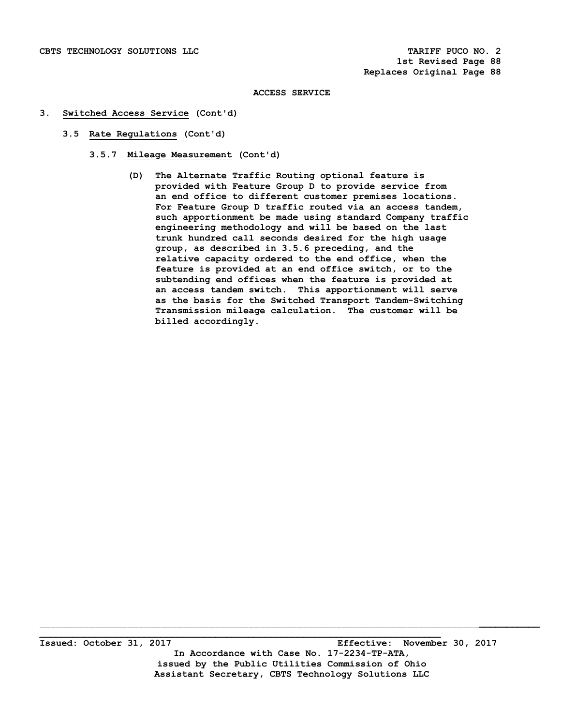## **3. Switched Access Service (Cont'd)**

- **3.5 Rate Regulations (Cont'd)** 
	- **3.5.7 Mileage Measurement (Cont'd)** 
		- **(D) The Alternate Traffic Routing optional feature is provided with Feature Group D to provide service from an end office to different customer premises locations. For Feature Group D traffic routed via an access tandem, such apportionment be made using standard Company traffic engineering methodology and will be based on the last trunk hundred call seconds desired for the high usage group, as described in 3.5.6 preceding, and the relative capacity ordered to the end office, when the feature is provided at an end office switch, or to the subtending end offices when the feature is provided at an access tandem switch. This apportionment will serve as the basis for the Switched Transport Tandem-Switching Transmission mileage calculation. The customer will be billed accordingly.**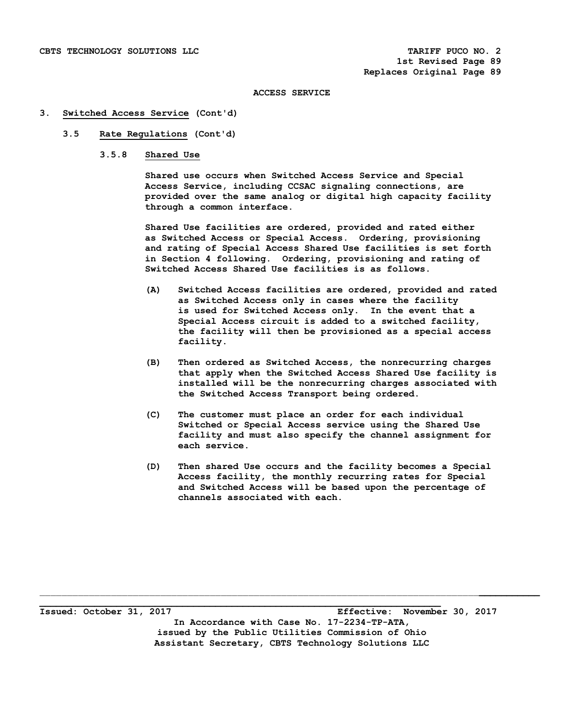#### **3. Switched Access Service (Cont'd)**

# **3.5 Rate Regulations (Cont'd)**

 **3.5.8 Shared Use** 

 **Shared use occurs when Switched Access Service and Special Access Service, including CCSAC signaling connections, are provided over the same analog or digital high capacity facility through a common interface.** 

 **Shared Use facilities are ordered, provided and rated either as Switched Access or Special Access. Ordering, provisioning and rating of Special Access Shared Use facilities is set forth in Section 4 following. Ordering, provisioning and rating of Switched Access Shared Use facilities is as follows.** 

- **(A) Switched Access facilities are ordered, provided and rated as Switched Access only in cases where the facility is used for Switched Access only. In the event that a Special Access circuit is added to a switched facility, the facility will then be provisioned as a special access facility.**
- **(B) Then ordered as Switched Access, the nonrecurring charges that apply when the Switched Access Shared Use facility is installed will be the nonrecurring charges associated with the Switched Access Transport being ordered.**
- **(C) The customer must place an order for each individual Switched or Special Access service using the Shared Use facility and must also specify the channel assignment for each service.**
- **(D) Then shared Use occurs and the facility becomes a Special Access facility, the monthly recurring rates for Special and Switched Access will be based upon the percentage of channels associated with each.**

**\_\_\_\_\_\_\_\_\_\_\_\_\_\_\_\_\_\_\_\_\_\_\_\_\_\_\_\_\_\_\_\_\_\_\_\_\_\_\_\_\_\_\_\_\_\_\_\_\_\_\_\_\_\_\_\_\_\_\_\_\_\_\_\_\_\_\_\_\_\_\_\_\_ Issued: October 31, 2017 Effective: November 30, 2017 In Accordance with Case No. 17-2234-TP-ATA, issued by the Public Utilities Commission of Ohio Assistant Secretary, CBTS Technology Solutions LLC**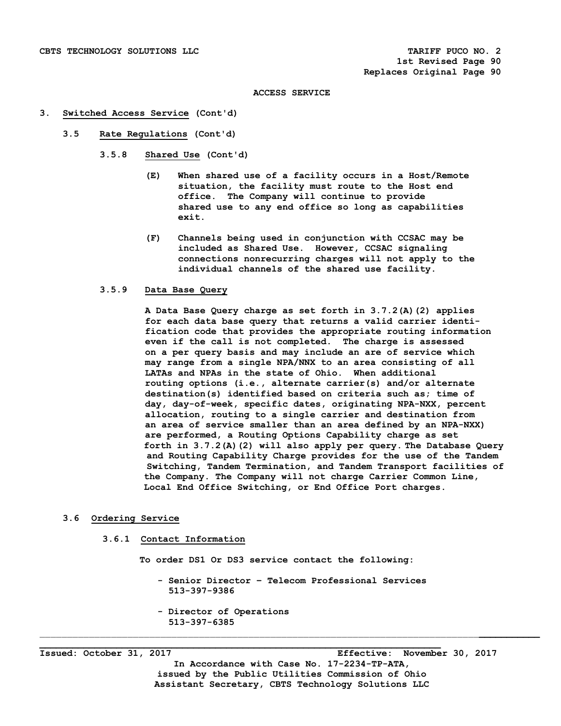#### **3. Switched Access Service (Cont'd)**

- **3.5 Rate Regulations (Cont'd)** 
	- **3.5.8 Shared Use (Cont'd)** 
		- **(E) When shared use of a facility occurs in a Host/Remote situation, the facility must route to the Host end office. The Company will continue to provide shared use to any end office so long as capabilities exit.**
		- **(F) Channels being used in conjunction with CCSAC may be included as Shared Use. However, CCSAC signaling connections nonrecurring charges will not apply to the individual channels of the shared use facility.**

#### **3.5.9 Data Base Query**

 **A Data Base Query charge as set forth in 3.7.2(A)(2) applies for each data base query that returns a valid carrier identi fication code that provides the appropriate routing information even if the call is not completed. The charge is assessed on a per query basis and may include an are of service which may range from a single NPA/NNX to an area consisting of all LATAs and NPAs in the state of Ohio. When additional routing options (i.e., alternate carrier(s) and/or alternate destination(s) identified based on criteria such as; time of day, day-of-week, specific dates, originating NPA-NXX, percent allocation, routing to a single carrier and destination from an area of service smaller than an area defined by an NPA-NXX) are performed, a Routing Options Capability charge as set forth in 3.7.2(A)(2) will also apply per query. The Database Query and Routing Capability Charge provides for the use of the Tandem Switching, Tandem Termination, and Tandem Transport facilities of the Company. The Company will not charge Carrier Common Line, Local End Office Switching, or End Office Port charges.** 

# **3.6 Ordering Service**

#### **3.6.1 Contact Information**

 **To order DS1 Or DS3 service contact the following:** 

 **- Senior Director – Telecom Professional Services 513-397-9386** 

\_\_\_\_\_\_\_\_\_\_\_\_\_\_\_\_\_\_\_\_\_\_\_\_\_\_\_\_\_\_\_\_\_\_\_\_\_\_\_\_\_\_\_\_\_\_\_\_\_\_\_\_\_\_\_\_\_\_\_\_\_\_\_\_\_\_\_\_\_\_\_\_\_\_\_\_\_\_\_\_**\_\_\_\_\_\_\_\_\_\_\_**

 **- Director of Operations 513-397-6385** 

**\_\_\_\_\_\_\_\_\_\_\_\_\_\_\_\_\_\_\_\_\_\_\_\_\_\_\_\_\_\_\_\_\_\_\_\_\_\_\_\_\_\_\_\_\_\_\_\_\_\_\_\_\_\_\_\_\_\_\_\_\_\_\_\_\_\_\_\_\_\_\_\_\_** 

**Issued: October 31, 2017 Effective: November 30, 2017** 

**In Accordance with Case No. 17-2234-TP-ATA, issued by the Public Utilities Commission of Ohio Assistant Secretary, CBTS Technology Solutions LLC**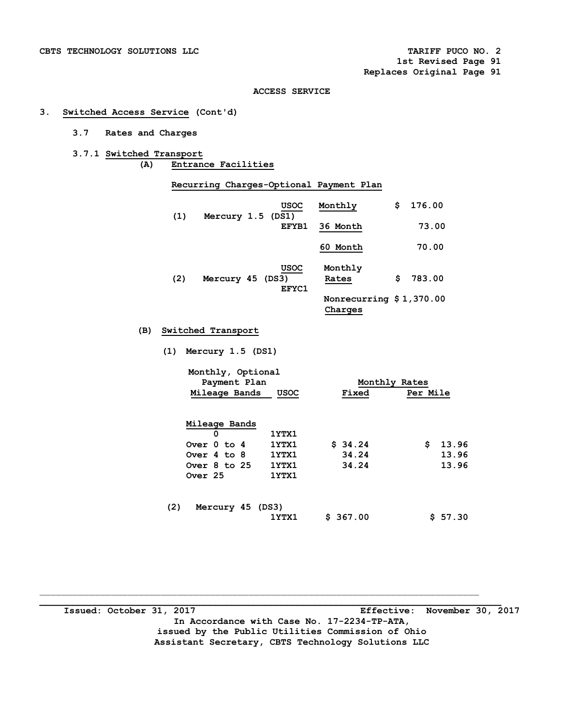# **3. Switched Access Service (Cont'd)**

# **3.7 Rates and Charges**

**3.7.1 Switched Transport (A) Entrance Facilities** 

 **Recurring Charges-Optional Payment Plan** 

| (1) | Mercury 1.5 (DS1) | <b>USOC</b>          | Monthly                             | \$  | 176.00 |
|-----|-------------------|----------------------|-------------------------------------|-----|--------|
|     |                   | EFYB1                | 36 Month                            |     | 73.00  |
|     |                   |                      | 60 Month                            |     | 70.00  |
| (2) | Mercury 45 (DS3)  | <b>USOC</b><br>EFYC1 | Monthly<br>Rates                    | \$. | 783.00 |
|     |                   |                      | Nonrecurring $$1,370.00$<br>Charges |     |        |

#### **(B) Switched Transport**

|  | $(1)$ Mercury 1.5 $(DS1)$ |  |  |
|--|---------------------------|--|--|
|--|---------------------------|--|--|

|     | Monthly, Optional<br>Payment Plan<br>Mileage Bands<br>USOC           |                                  | Monthly Rates<br>Per Mile<br>Fixed |                               |  |
|-----|----------------------------------------------------------------------|----------------------------------|------------------------------------|-------------------------------|--|
|     | Mileage Bands<br>0<br>Over 0 to 4<br>Over $4$ to $8$<br>Over 8 to 25 | 1YTX1<br>1YTX1<br>1YTX1<br>1YTX1 | \$34.24<br>34.24<br>34.24          | \$<br>13.96<br>13.96<br>13.96 |  |
|     | Over 25                                                              | 1YTX1                            |                                    |                               |  |
| (2) | Mercury 45 (DS3)                                                     | 1YTX1                            | \$367.00                           | \$57.30                       |  |

**\_\_\_\_\_\_\_\_\_\_\_\_\_\_\_\_\_\_\_\_\_\_\_\_\_\_\_\_\_\_\_\_\_\_\_\_\_\_\_\_\_\_\_\_\_\_\_\_\_\_\_\_\_\_\_\_\_\_\_\_\_\_\_\_\_\_\_\_\_\_\_\_\_\_\_\_\_\_\_\_\_\_\_\_ Issued: October 31, 2017 Effective: November 30, 2017 In Accordance with Case No. 17-2234-TP-ATA, issued by the Public Utilities Commission of Ohio Assistant Secretary, CBTS Technology Solutions LLC**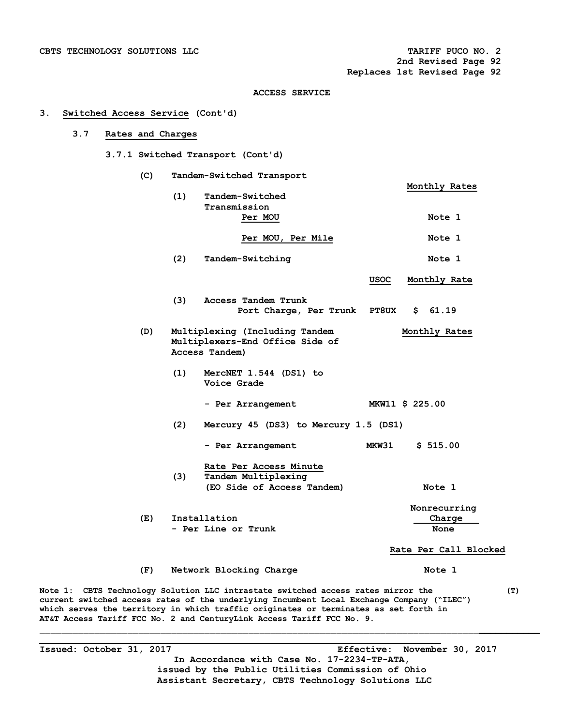#### **3. Switched Access Service (Cont'd)**

# **3.7 Rates and Charges**

#### **3.7.1 Switched Transport (Cont'd)**

 **(C) Tandem-Switched Transport Monthly Rates (1) Tandem-Switched Transmission PER MOU AND READER IN STATE AND READER I** Per MOU, Per Mile **Note** 1 (2) Tandem-Switching Note 1  **USOC Monthly Rate (3) Access Tandem Trunk Port Charge, Per Trunk PT8UX \$ 61.19 (D) Multiplexing (Including Tandem Monthly Rates Multiplexers-End Office Side of Access Tandem) (1) MercNET 1.544 (DS1) to Voice Grade - Per Arrangement MKW11 \$ 225.00 (2) Mercury 45 (DS3) to Mercury 1.5 (DS1) - Per Arrangement MKW31 \$ 515.00 Rate Per Access Minute (3) Tandem Multiplexing (EO Side of Access Tandem) Note 1 Nonrecurring**  (E) Installation **Charge Charge Charge Charge** Charge Charge Charge Charge Charge Charge Charge Charge Charge Charge Charge Charge Charge Charge Charge Charge Charge Charge Charge Charge Charge Charge Charge Charge Charge - Per Line or Trunk  **Rate Per Call Blocked (F) Network Blocking Charge Note 1** 

**Note 1: CBTS Technology Solution LLC intrastate switched access rates mirror the (T) current switched access rates of the underlying Incumbent Local Exchange Company ("ILEC") which serves the territory in which traffic originates or terminates as set forth in AT&T Access Tariff FCC No. 2 and CenturyLink Access Tariff FCC No. 9.**

**\_\_\_\_\_\_\_\_\_\_\_\_\_\_\_\_\_\_\_\_\_\_\_\_\_\_\_\_\_\_\_\_\_\_\_\_\_\_\_\_\_\_\_\_\_\_\_\_\_\_\_\_\_\_\_\_\_\_\_\_\_\_\_\_\_\_\_\_\_\_\_\_\_** 

**Issued: October 31, 2017 Effective: November 30, 2017 In Accordance with Case No. 17-2234-TP-ATA, issued by the Public Utilities Commission of Ohio Assistant Secretary, CBTS Technology Solutions LLC**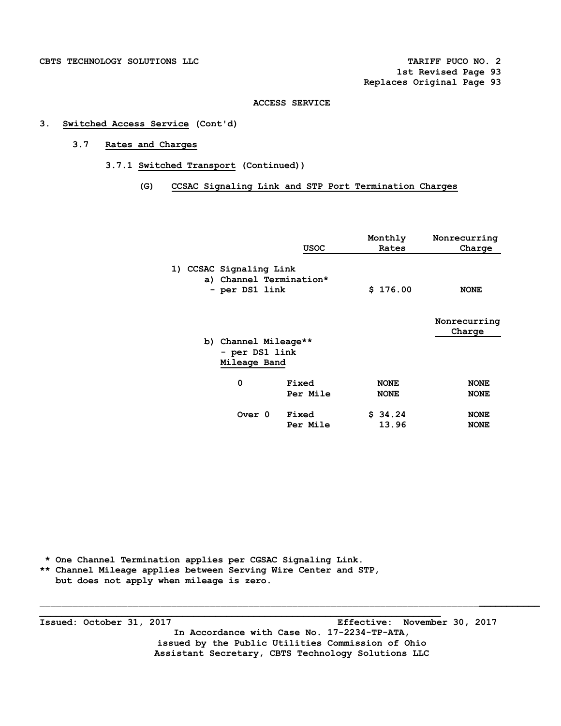# **3. Switched Access Service (Cont'd)**

# **3.7 Rates and Charges**

- **3.7.1 Switched Transport (Continued))** 
	- **(G) CCSAC Signaling Link and STP Port Termination Charges**

|                                                                      | USOC     | Monthly<br>Rates | Nonrecurring<br>Charge |
|----------------------------------------------------------------------|----------|------------------|------------------------|
| 1) CCSAC Signaling Link<br>a) Channel Termination*<br>- per DS1 link |          | \$176.00         | <b>NONE</b>            |
|                                                                      |          |                  | Nonrecurring<br>Charge |
| b) Channel Mileage**                                                 |          |                  |                        |
| - per DS1 link                                                       |          |                  |                        |
| Mileage Band                                                         |          |                  |                        |
| 0                                                                    | Fixed    | <b>NONE</b>      | <b>NONE</b>            |
|                                                                      | Per Mile | <b>NONE</b>      | <b>NONE</b>            |
|                                                                      |          |                  |                        |
| Over 0                                                               | Fixed    | \$34.24          | <b>NONE</b>            |
|                                                                      | Per Mile | 13.96            | <b>NONE</b>            |

 **\* One Channel Termination applies per CGSAC Signaling Link. \*\* Channel Mileage applies between Serving Wire Center and STP, but does not apply when mileage is zero.** 

**\_\_\_\_\_\_\_\_\_\_\_\_\_\_\_\_\_\_\_\_\_\_\_\_\_\_\_\_\_\_\_\_\_\_\_\_\_\_\_\_\_\_\_\_\_\_\_\_\_\_\_\_\_\_\_\_\_\_\_\_\_\_\_\_\_\_\_\_\_\_\_\_\_ Issued: October 31, 2017 Effective: November 30, 2017 In Accordance with Case No. 17-2234-TP-ATA, issued by the Public Utilities Commission of Ohio Assistant Secretary, CBTS Technology Solutions LLC**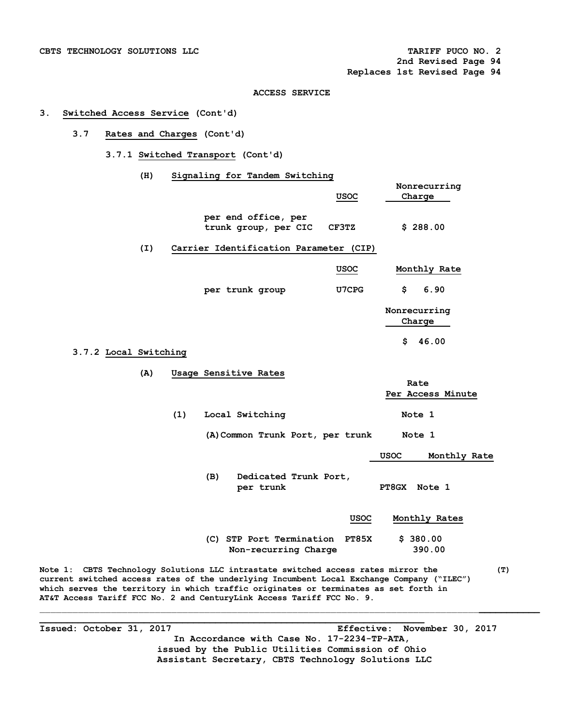# **3. Switched Access Service (Cont'd)**

# **3.7 Rates and Charges (Cont'd)**

 **3.7.1 Switched Transport (Cont'd)** 

 **(H) Signaling for Tandem Switching** 

|                                                                                                                                                                                                                                                                                                                                                 |                                                  |       | Nonrecurring           |     |
|-------------------------------------------------------------------------------------------------------------------------------------------------------------------------------------------------------------------------------------------------------------------------------------------------------------------------------------------------|--------------------------------------------------|-------|------------------------|-----|
|                                                                                                                                                                                                                                                                                                                                                 |                                                  | usoc  | Charge                 |     |
|                                                                                                                                                                                                                                                                                                                                                 | per end office, per<br>trunk group, per CIC      | CF3TZ | \$288.00               |     |
| (I)                                                                                                                                                                                                                                                                                                                                             | Carrier Identification Parameter (CIP)           |       |                        |     |
|                                                                                                                                                                                                                                                                                                                                                 |                                                  | USOC  | Monthly Rate           |     |
|                                                                                                                                                                                                                                                                                                                                                 | per trunk group                                  | U7CPG | \$<br>6.90             |     |
|                                                                                                                                                                                                                                                                                                                                                 |                                                  |       | Nonrecurring<br>Charge |     |
| 3.7.2 Local Switching                                                                                                                                                                                                                                                                                                                           |                                                  |       | 46.00<br>\$.           |     |
| (A)                                                                                                                                                                                                                                                                                                                                             | Usage Sensitive Rates                            |       | Rate                   |     |
|                                                                                                                                                                                                                                                                                                                                                 |                                                  |       | Per Access Minute      |     |
| (1)                                                                                                                                                                                                                                                                                                                                             | Local Switching                                  |       | Note 1                 |     |
|                                                                                                                                                                                                                                                                                                                                                 | (A) Common Trunk Port, per trunk                 |       | Note 1                 |     |
|                                                                                                                                                                                                                                                                                                                                                 |                                                  |       | USOC<br>Monthly Rate   |     |
|                                                                                                                                                                                                                                                                                                                                                 | (B)<br>Dedicated Trunk Port,<br>per trunk        |       | PT8GX Note 1           |     |
|                                                                                                                                                                                                                                                                                                                                                 |                                                  | USOC  | Monthly Rates          |     |
|                                                                                                                                                                                                                                                                                                                                                 | (C) STP Port Termination<br>Non-recurring Charge | PT85X | \$380.00<br>390.00     |     |
| Note 1: CBTS Technology Solutions LLC intrastate switched access rates mirror the<br>current switched access rates of the underlying Incumbent Local Exchange Company ("ILEC")<br>which serves the territory in which traffic originates or terminates as set forth in<br>AT&T Access Tariff FCC No. 2 and CenturyLink Access Tariff FCC No. 9. |                                                  |       |                        | (T) |

 $\mathcal{L}_\mathcal{L} = \{ \mathcal{L}_\mathcal{L} = \{ \mathcal{L}_\mathcal{L} = \{ \mathcal{L}_\mathcal{L} = \{ \mathcal{L}_\mathcal{L} = \{ \mathcal{L}_\mathcal{L} = \{ \mathcal{L}_\mathcal{L} = \{ \mathcal{L}_\mathcal{L} = \{ \mathcal{L}_\mathcal{L} = \{ \mathcal{L}_\mathcal{L} = \{ \mathcal{L}_\mathcal{L} = \{ \mathcal{L}_\mathcal{L} = \{ \mathcal{L}_\mathcal{L} = \{ \mathcal{L}_\mathcal{L} = \{ \mathcal{L}_\mathcal{$ **\_\_\_\_\_\_\_\_\_\_\_\_\_\_\_\_\_\_\_\_\_\_\_\_\_\_\_\_\_\_\_\_\_\_\_\_\_\_\_\_\_\_\_\_\_\_\_\_\_\_\_\_\_\_\_\_\_\_\_\_\_\_\_\_\_\_\_\_\_\_ Issued: October 31, 2017 Effective: November 30, 2017 In Accordance with Case No. 17-2234-TP-ATA, issued by the Public Utilities Commission of Ohio Assistant Secretary, CBTS Technology Solutions LLC**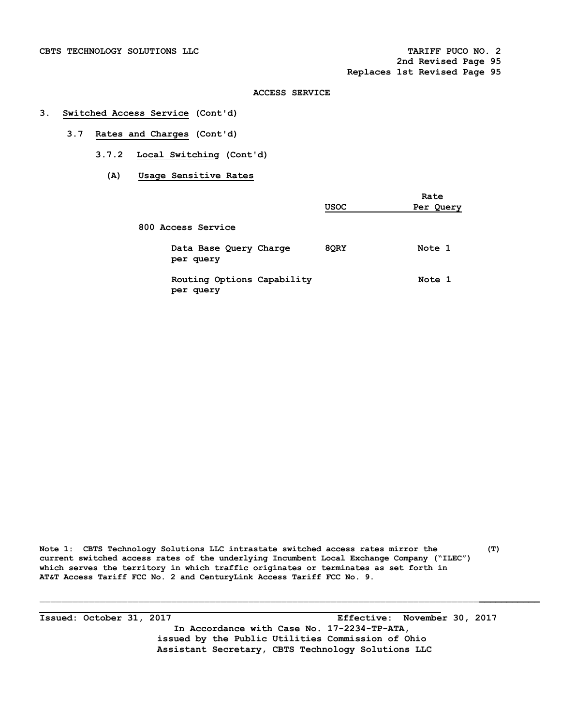#### **3. Switched Access Service (Cont'd)**

- **3.7 Rates and Charges (Cont'd)** 
	- **3.7.2 Local Switching (Cont'd)** 
		- **(A) Usage Sensitive Rates**

|                                         | <b>USOC</b> | Rate<br>Per Query |
|-----------------------------------------|-------------|-------------------|
| 800 Access Service                      |             |                   |
| Data Base Query Charge<br>per query     | 8QRY        | Note 1            |
| Routing Options Capability<br>per query |             | Note 1            |

**Note 1: CBTS Technology Solutions LLC intrastate switched access rates mirror the (T) current switched access rates of the underlying Incumbent Local Exchange Company ("ILEC") which serves the territory in which traffic originates or terminates as set forth in AT&T Access Tariff FCC No. 2 and CenturyLink Access Tariff FCC No. 9.**

**Issued: October 31, 2017 Effective: November 30, 2017 In Accordance with Case No. 17-2234-TP-ATA, issued by the Public Utilities Commission of Ohio Assistant Secretary, CBTS Technology Solutions LLC** 

**\_\_\_\_\_\_\_\_\_\_\_\_\_\_\_\_\_\_\_\_\_\_\_\_\_\_\_\_\_\_\_\_\_\_\_\_\_\_\_\_\_\_\_\_\_\_\_\_\_\_\_\_\_\_\_\_\_\_\_\_\_\_\_\_\_\_\_\_\_\_\_\_\_**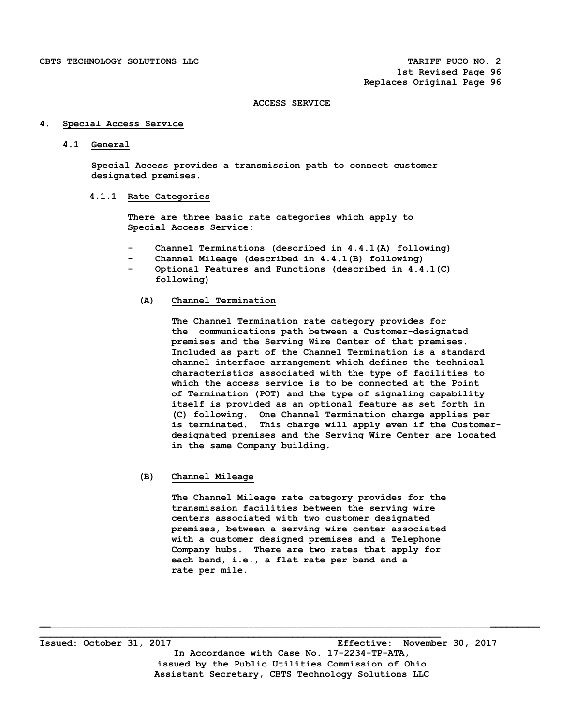## **4. Special Access Service**

#### **4.1 General**

 **Special Access provides a transmission path to connect customer designated premises.** 

#### **4.1.1 Rate Categories**

 **There are three basic rate categories which apply to Special Access Service:** 

- Channel Terminations (described in 4.4.1(A) following)
- Channel Mileage (described in 4.4.1(B) following)
- Optional Features and Functions (described in 4.4.1(C)  **following)**

#### **(A) Channel Termination**

**The Channel Termination rate category provides for the communications path between a Customer-designated premises and the Serving Wire Center of that premises. Included as part of the Channel Termination is a standard channel interface arrangement which defines the technical characteristics associated with the type of facilities to which the access service is to be connected at the Point of Termination (POT) and the type of signaling capability itself is provided as an optional feature as set forth in (C) following. One Channel Termination charge applies per is terminated. This charge will apply even if the Customerdesignated premises and the Serving Wire Center are located in the same Company building.** 

# **(B) Channel Mileage**

 **The Channel Mileage rate category provides for the transmission facilities between the serving wire centers associated with two customer designated premises, between a serving wire center associated with a customer designed premises and a Telephone Company hubs. There are two rates that apply for each band, i.e., a flat rate per band and a rate per mile.** 

**\_\_\_\_\_\_\_\_\_\_\_\_\_\_\_\_\_\_\_\_\_\_\_\_\_\_\_\_\_\_\_\_\_\_\_\_\_\_\_\_\_\_\_\_\_\_\_\_\_\_\_\_\_\_\_\_\_\_\_\_\_\_\_\_\_\_\_\_\_\_\_\_\_ Issued: October 31, 2017 Effective: November 30, 2017 In Accordance with Case No. 17-2234-TP-ATA, issued by the Public Utilities Commission of Ohio Assistant Secretary, CBTS Technology Solutions LLC**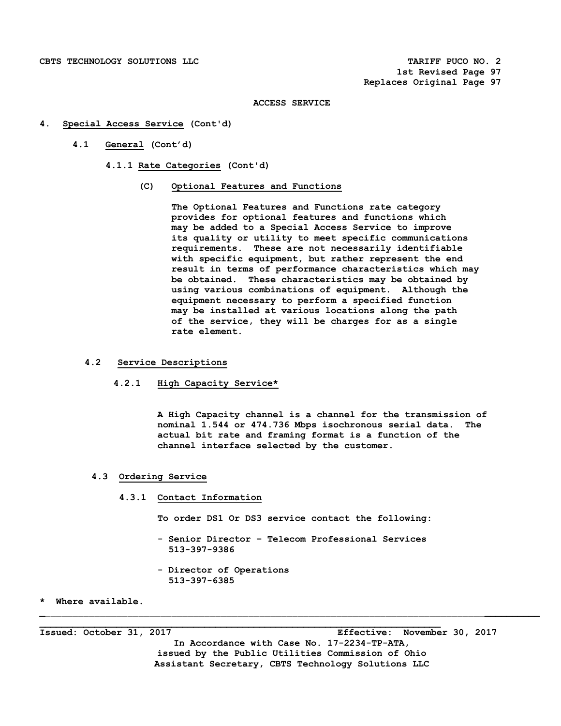- **4. Special Access Service (Cont'd)** 
	- **4.1 General (Cont'd)** 
		- **4.1.1 Rate Categories (Cont'd)**

# **(C) Optional Features and Functions**

**The Optional Features and Functions rate category provides for optional features and functions which may be added to a Special Access Service to improve its quality or utility to meet specific communications requirements. These are not necessarily identifiable with specific equipment, but rather represent the end result in terms of performance characteristics which may be obtained. These characteristics may be obtained by using various combinations of equipment. Although the equipment necessary to perform a specified function may be installed at various locations along the path of the service, they will be charges for as a single rate element.** 

### **4.2 Service Descriptions**

 **4.2.1 High Capacity Service\*** 

 **A High Capacity channel is a channel for the transmission of nominal 1.544 or 474.736 Mbps isochronous serial data. The actual bit rate and framing format is a function of the channel interface selected by the customer.** 

#### **4.3 Ordering Service**

 **4.3.1 Contact Information** 

 **To order DS1 Or DS3 service contact the following:** 

 **- Senior Director – Telecom Professional Services 513-397-9386** 

**\_**\_\_\_\_\_\_\_\_\_\_\_\_\_\_\_\_\_\_\_\_\_\_\_\_\_\_\_\_\_\_\_\_\_\_\_\_\_\_\_\_\_\_\_\_\_\_\_\_\_\_\_\_\_\_\_\_\_\_\_\_\_\_\_\_\_\_\_\_\_\_\_\_\_\_\_\_\_\_\_\_**\_\_\_\_\_\_\_\_\_\_**

 **- Director of Operations 513-397-6385** 

**\_\_\_\_\_\_\_\_\_\_\_\_\_\_\_\_\_\_\_\_\_\_\_\_\_\_\_\_\_\_\_\_\_\_\_\_\_\_\_\_\_\_\_\_\_\_\_\_\_\_\_\_\_\_\_\_\_\_\_\_\_\_\_\_\_\_\_\_\_\_\_\_\_** 

**\* Where available.** 

**Issued: October 31, 2017 Effective: November 30, 2017 In Accordance with Case No. 17-2234-TP-ATA, issued by the Public Utilities Commission of Ohio Assistant Secretary, CBTS Technology Solutions LLC**